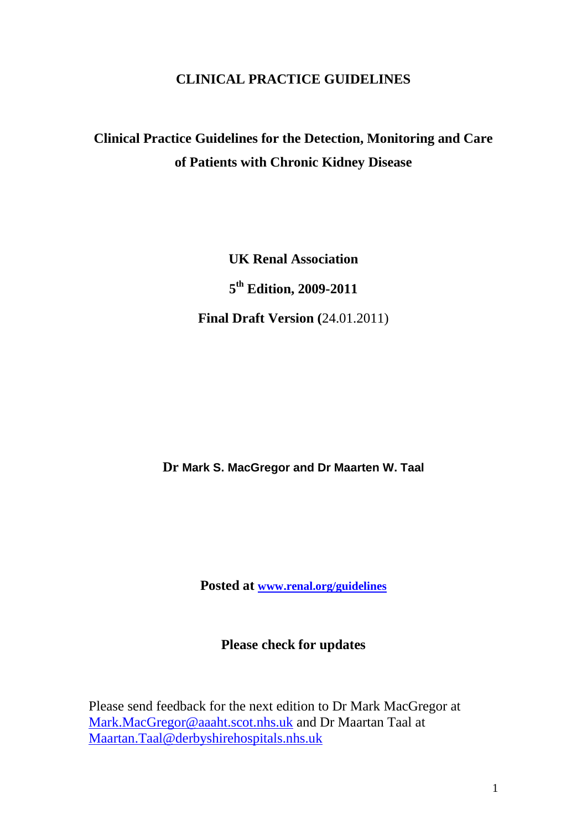# **CLINICAL PRACTICE GUIDELINES**

**Clinical Practice Guidelines for the Detection, Monitoring and Care of Patients with Chronic Kidney Disease**

> **UK Renal Association 5 th Edition, 2009-2011 Final Draft Version (**24.01.2011)

**Dr Mark S. MacGregor and Dr Maarten W. Taal**

**Posted at [www.renal.org/guidelines](http://www.renal.org/guidelines)**

**Please check for updates**

Please send feedback for the next edition to Dr Mark MacGregor at [Mark.MacGregor@aaaht.scot.nhs.uk](mailto:Mark.MacGregor@aaaht.scot.nhs.uk) and Dr Maartan Taal at [Maartan.Taal@derbyshirehospitals.nhs.uk](mailto:Maartan.Taal@derbyshirehospitals.nhs.uk)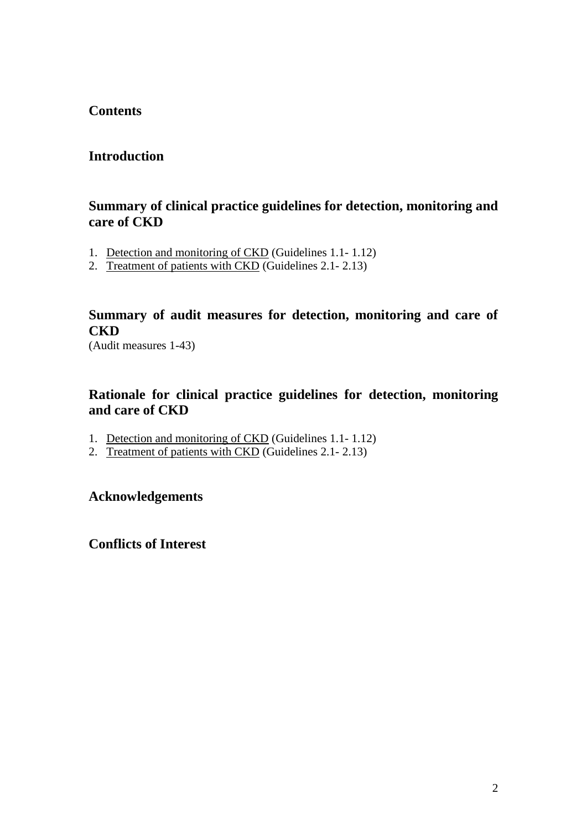# **Contents**

# **Introduction**

# **Summary of clinical practice guidelines for detection, monitoring and care of CKD**

- 1. Detection and monitoring of CKD (Guidelines 1.1- 1.12)
- 2. Treatment of patients with CKD (Guidelines 2.1- 2.13)

# **Summary of audit measures for detection, monitoring and care of CKD**

(Audit measures 1-43)

# **Rationale for clinical practice guidelines for detection, monitoring and care of CKD**

- 1. Detection and monitoring of CKD (Guidelines 1.1- 1.12)
- 2. Treatment of patients with CKD (Guidelines 2.1- 2.13)

# **Acknowledgements**

**Conflicts of Interest**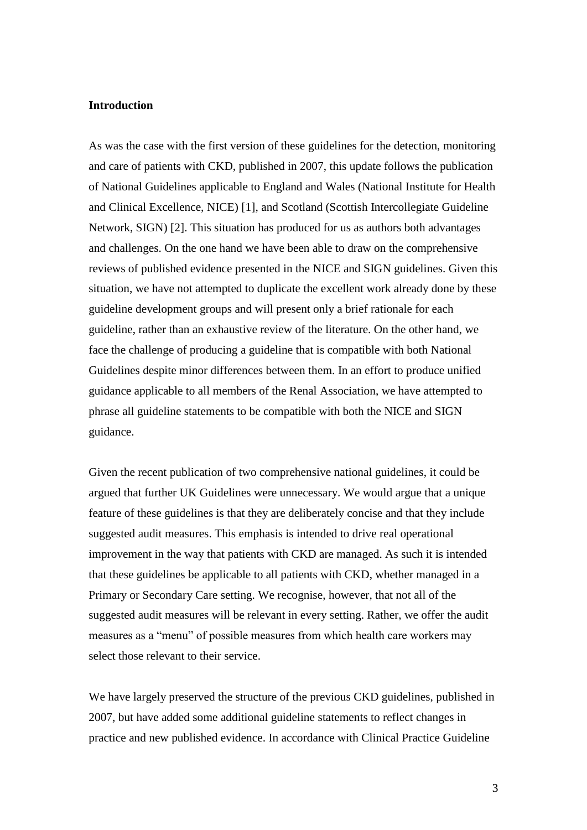### **Introduction**

As was the case with the first version of these guidelines for the detection, monitoring and care of patients with CKD, published in 2007, this update follows the publication of National Guidelines applicable to England and Wales (National Institute for Health and Clinical Excellence, NICE) [1], and Scotland (Scottish Intercollegiate Guideline Network, SIGN) [2]. This situation has produced for us as authors both advantages and challenges. On the one hand we have been able to draw on the comprehensive reviews of published evidence presented in the NICE and SIGN guidelines. Given this situation, we have not attempted to duplicate the excellent work already done by these guideline development groups and will present only a brief rationale for each guideline, rather than an exhaustive review of the literature. On the other hand, we face the challenge of producing a guideline that is compatible with both National Guidelines despite minor differences between them. In an effort to produce unified guidance applicable to all members of the Renal Association, we have attempted to phrase all guideline statements to be compatible with both the NICE and SIGN guidance.

Given the recent publication of two comprehensive national guidelines, it could be argued that further UK Guidelines were unnecessary. We would argue that a unique feature of these guidelines is that they are deliberately concise and that they include suggested audit measures. This emphasis is intended to drive real operational improvement in the way that patients with CKD are managed. As such it is intended that these guidelines be applicable to all patients with CKD, whether managed in a Primary or Secondary Care setting. We recognise, however, that not all of the suggested audit measures will be relevant in every setting. Rather, we offer the audit measures as a "menu" of possible measures from which health care workers may select those relevant to their service.

We have largely preserved the structure of the previous CKD guidelines, published in 2007, but have added some additional guideline statements to reflect changes in practice and new published evidence. In accordance with Clinical Practice Guideline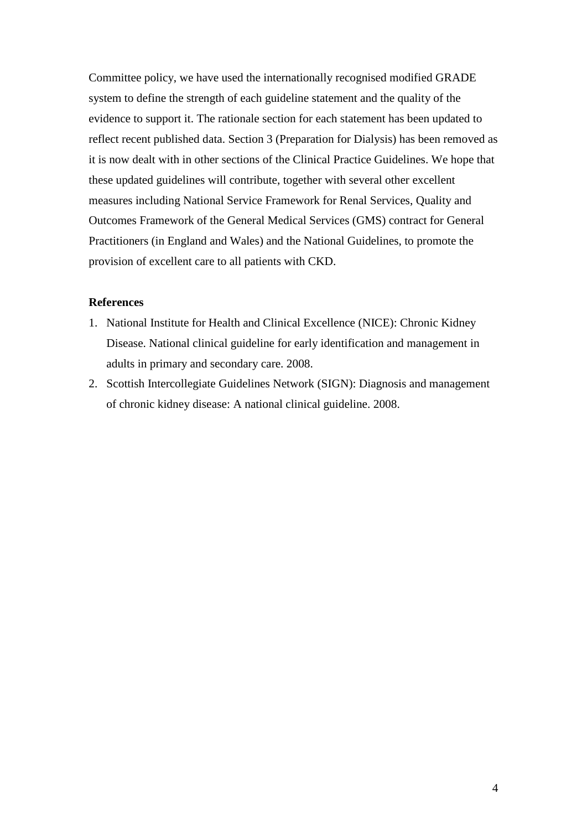Committee policy, we have used the internationally recognised modified GRADE system to define the strength of each guideline statement and the quality of the evidence to support it. The rationale section for each statement has been updated to reflect recent published data. Section 3 (Preparation for Dialysis) has been removed as it is now dealt with in other sections of the Clinical Practice Guidelines. We hope that these updated guidelines will contribute, together with several other excellent measures including National Service Framework for Renal Services, Quality and Outcomes Framework of the General Medical Services (GMS) contract for General Practitioners (in England and Wales) and the National Guidelines, to promote the provision of excellent care to all patients with CKD.

- 1. National Institute for Health and Clinical Excellence (NICE): Chronic Kidney Disease. National clinical guideline for early identification and management in adults in primary and secondary care. 2008.
- 2. Scottish Intercollegiate Guidelines Network (SIGN): Diagnosis and management of chronic kidney disease: A national clinical guideline. 2008.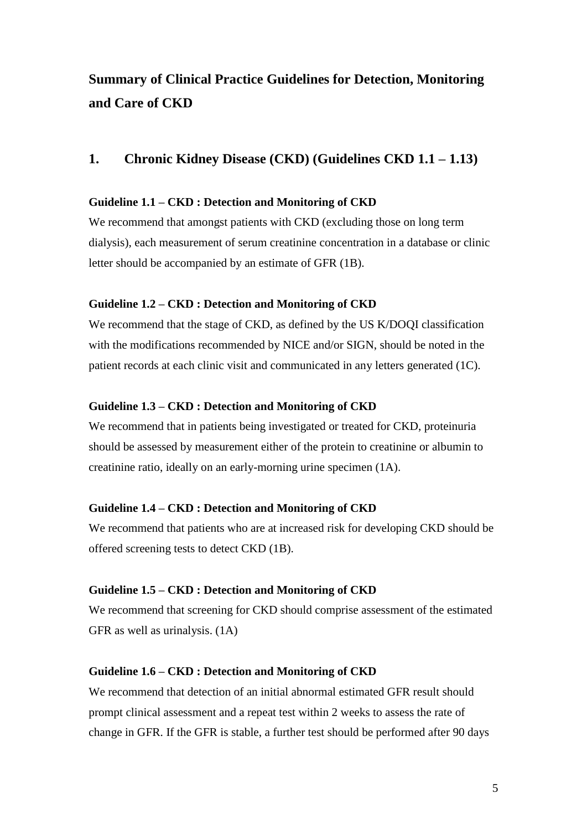# **Summary of Clinical Practice Guidelines for Detection, Monitoring and Care of CKD**

# **1. Chronic Kidney Disease (CKD) (Guidelines CKD 1.1 – 1.13)**

### **Guideline 1.1 – CKD : Detection and Monitoring of CKD**

We recommend that amongst patients with CKD (excluding those on long term dialysis), each measurement of serum creatinine concentration in a database or clinic letter should be accompanied by an estimate of GFR (1B).

### **Guideline 1.2 – CKD : Detection and Monitoring of CKD**

We recommend that the stage of CKD, as defined by the US K/DOQI classification with the modifications recommended by NICE and/or SIGN, should be noted in the patient records at each clinic visit and communicated in any letters generated (1C).

### **Guideline 1.3 – CKD : Detection and Monitoring of CKD**

We recommend that in patients being investigated or treated for CKD, proteinuria should be assessed by measurement either of the protein to creatinine or albumin to creatinine ratio, ideally on an early-morning urine specimen (1A).

#### **Guideline 1.4 – CKD : Detection and Monitoring of CKD**

We recommend that patients who are at increased risk for developing CKD should be offered screening tests to detect CKD (1B).

#### **Guideline 1.5 – CKD : Detection and Monitoring of CKD**

We recommend that screening for CKD should comprise assessment of the estimated GFR as well as urinalysis. (1A)

#### **Guideline 1.6 – CKD : Detection and Monitoring of CKD**

We recommend that detection of an initial abnormal estimated GFR result should prompt clinical assessment and a repeat test within 2 weeks to assess the rate of change in GFR. If the GFR is stable, a further test should be performed after 90 days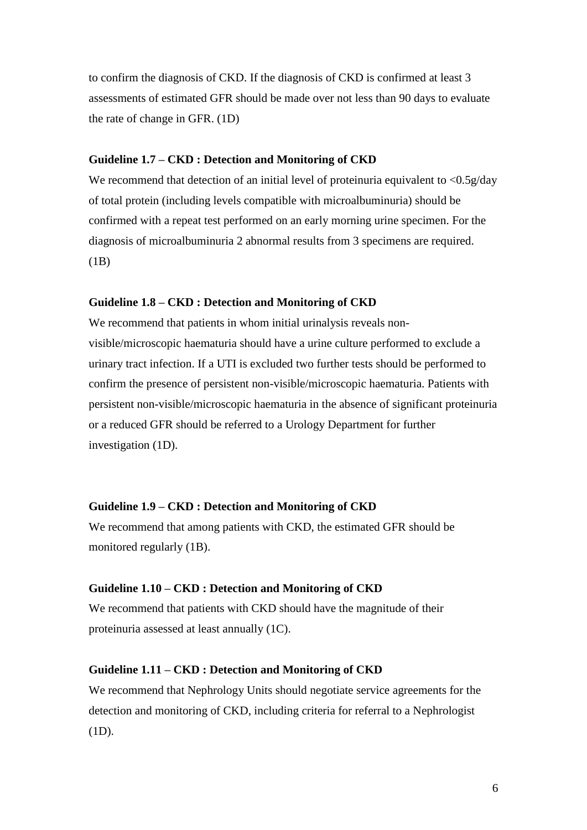to confirm the diagnosis of CKD. If the diagnosis of CKD is confirmed at least 3 assessments of estimated GFR should be made over not less than 90 days to evaluate the rate of change in GFR. (1D)

#### **Guideline 1.7 – CKD : Detection and Monitoring of CKD**

We recommend that detection of an initial level of proteinuria equivalent to  $\langle 0.5g/day \rangle$ of total protein (including levels compatible with microalbuminuria) should be confirmed with a repeat test performed on an early morning urine specimen. For the diagnosis of microalbuminuria 2 abnormal results from 3 specimens are required. (1B)

#### **Guideline 1.8 – CKD : Detection and Monitoring of CKD**

We recommend that patients in whom initial urinalysis reveals nonvisible/microscopic haematuria should have a urine culture performed to exclude a urinary tract infection. If a UTI is excluded two further tests should be performed to confirm the presence of persistent non-visible/microscopic haematuria. Patients with persistent non-visible/microscopic haematuria in the absence of significant proteinuria or a reduced GFR should be referred to a Urology Department for further investigation (1D).

#### **Guideline 1.9 – CKD : Detection and Monitoring of CKD**

We recommend that among patients with CKD, the estimated GFR should be monitored regularly (1B).

#### **Guideline 1.10 – CKD : Detection and Monitoring of CKD**

We recommend that patients with CKD should have the magnitude of their proteinuria assessed at least annually (1C).

#### **Guideline 1.11 – CKD : Detection and Monitoring of CKD**

We recommend that Nephrology Units should negotiate service agreements for the detection and monitoring of CKD, including criteria for referral to a Nephrologist (1D).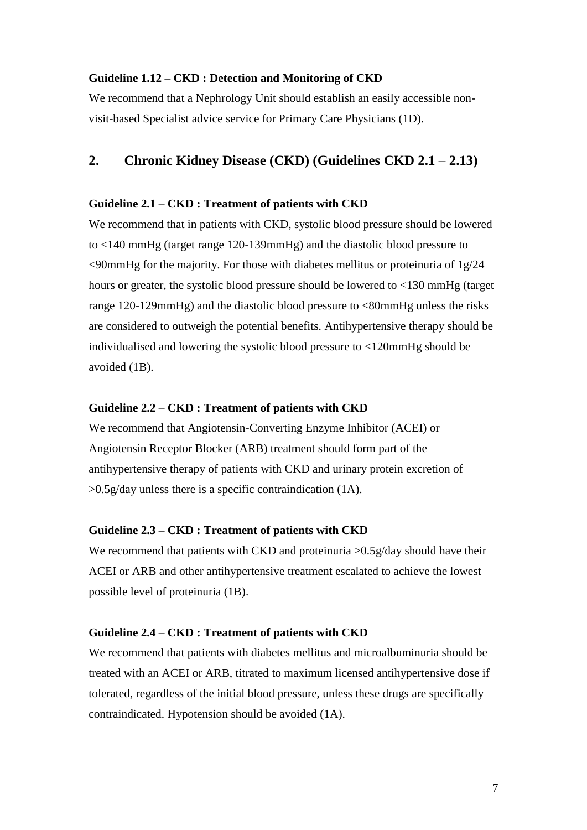#### **Guideline 1.12 – CKD : Detection and Monitoring of CKD**

We recommend that a Nephrology Unit should establish an easily accessible nonvisit-based Specialist advice service for Primary Care Physicians (1D).

# **2. Chronic Kidney Disease (CKD) (Guidelines CKD 2.1 – 2.13)**

#### **Guideline 2.1 – CKD : Treatment of patients with CKD**

We recommend that in patients with CKD, systolic blood pressure should be lowered to <140 mmHg (target range 120-139mmHg) and the diastolic blood pressure to  $\leq$ 90mmHg for the majority. For those with diabetes mellitus or proteinuria of 1g/24 hours or greater, the systolic blood pressure should be lowered to <130 mmHg (target range 120-129mmHg) and the diastolic blood pressure to <80mmHg unless the risks are considered to outweigh the potential benefits. Antihypertensive therapy should be individualised and lowering the systolic blood pressure to <120mmHg should be avoided (1B).

#### **Guideline 2.2 – CKD : Treatment of patients with CKD**

We recommend that Angiotensin-Converting Enzyme Inhibitor (ACEI) or Angiotensin Receptor Blocker (ARB) treatment should form part of the antihypertensive therapy of patients with CKD and urinary protein excretion of  $>0.5$ g/day unless there is a specific contraindication (1A).

#### **Guideline 2.3 – CKD : Treatment of patients with CKD**

We recommend that patients with CKD and proteinuria >0.5g/day should have their ACEI or ARB and other antihypertensive treatment escalated to achieve the lowest possible level of proteinuria (1B).

### **Guideline 2.4 – CKD : Treatment of patients with CKD**

We recommend that patients with diabetes mellitus and microalbuminuria should be treated with an ACEI or ARB, titrated to maximum licensed antihypertensive dose if tolerated, regardless of the initial blood pressure, unless these drugs are specifically contraindicated. Hypotension should be avoided (1A).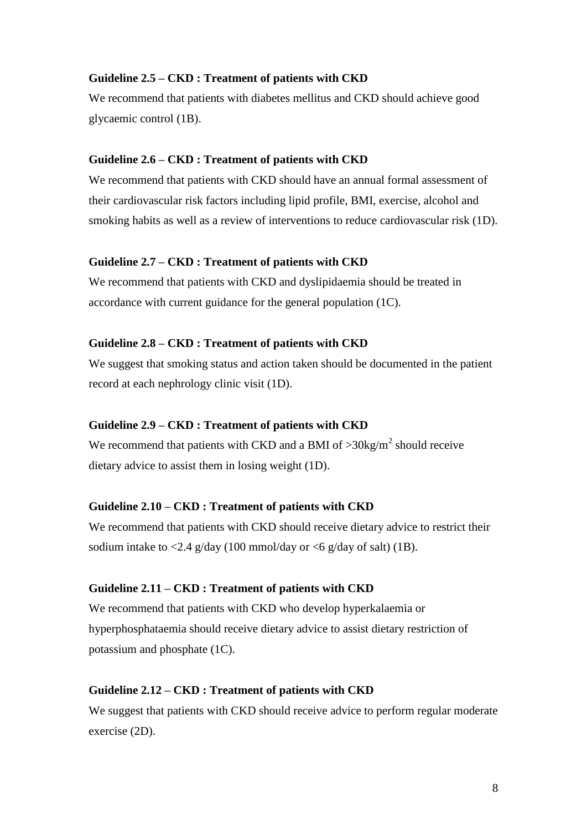#### **Guideline 2.5 – CKD : Treatment of patients with CKD**

We recommend that patients with diabetes mellitus and CKD should achieve good glycaemic control (1B).

#### **Guideline 2.6 – CKD : Treatment of patients with CKD**

We recommend that patients with CKD should have an annual formal assessment of their cardiovascular risk factors including lipid profile, BMI, exercise, alcohol and smoking habits as well as a review of interventions to reduce cardiovascular risk (1D).

### **Guideline 2.7 – CKD : Treatment of patients with CKD**

We recommend that patients with CKD and dyslipidaemia should be treated in accordance with current guidance for the general population (1C).

#### **Guideline 2.8 – CKD : Treatment of patients with CKD**

We suggest that smoking status and action taken should be documented in the patient record at each nephrology clinic visit (1D).

#### **Guideline 2.9 – CKD : Treatment of patients with CKD**

We recommend that patients with CKD and a BMI of  $>30$ kg/m<sup>2</sup> should receive dietary advice to assist them in losing weight (1D).

#### **Guideline 2.10 – CKD : Treatment of patients with CKD**

We recommend that patients with CKD should receive dietary advice to restrict their sodium intake to  $\langle 2.4 \text{ g/day} (100 \text{ mmol/day or} \langle 6 \text{ g/day of salt} (1B)$ .

#### **Guideline 2.11 – CKD : Treatment of patients with CKD**

We recommend that patients with CKD who develop hyperkalaemia or hyperphosphataemia should receive dietary advice to assist dietary restriction of potassium and phosphate (1C).

### **Guideline 2.12 – CKD : Treatment of patients with CKD**

We suggest that patients with CKD should receive advice to perform regular moderate exercise (2D).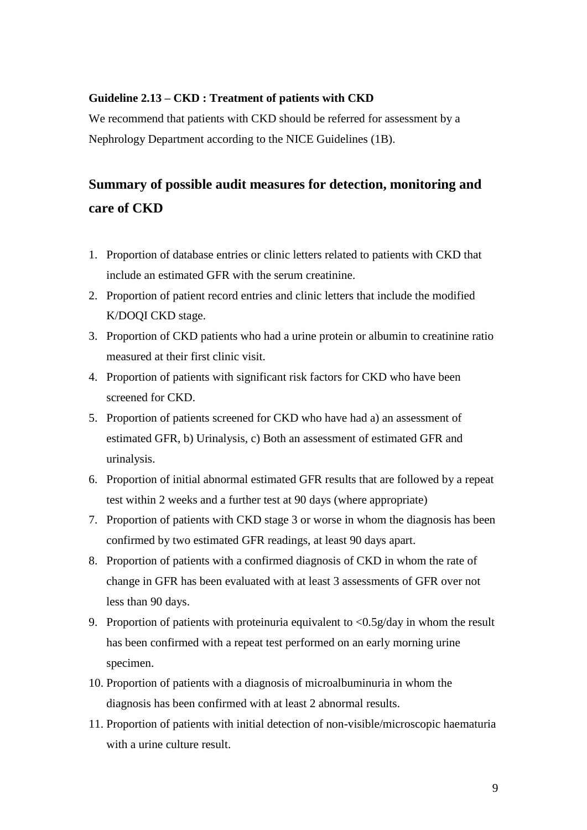#### **Guideline 2.13 – CKD : Treatment of patients with CKD**

We recommend that patients with CKD should be referred for assessment by a Nephrology Department according to the NICE Guidelines (1B).

# **Summary of possible audit measures for detection, monitoring and care of CKD**

- 1. Proportion of database entries or clinic letters related to patients with CKD that include an estimated GFR with the serum creatinine.
- 2. Proportion of patient record entries and clinic letters that include the modified K/DOQI CKD stage.
- 3. Proportion of CKD patients who had a urine protein or albumin to creatinine ratio measured at their first clinic visit.
- 4. Proportion of patients with significant risk factors for CKD who have been screened for CKD.
- 5. Proportion of patients screened for CKD who have had a) an assessment of estimated GFR, b) Urinalysis, c) Both an assessment of estimated GFR and urinalysis.
- 6. Proportion of initial abnormal estimated GFR results that are followed by a repeat test within 2 weeks and a further test at 90 days (where appropriate)
- 7. Proportion of patients with CKD stage 3 or worse in whom the diagnosis has been confirmed by two estimated GFR readings, at least 90 days apart.
- 8. Proportion of patients with a confirmed diagnosis of CKD in whom the rate of change in GFR has been evaluated with at least 3 assessments of GFR over not less than 90 days.
- 9. Proportion of patients with proteinuria equivalent to  $\langle 0.5g/day$  in whom the result has been confirmed with a repeat test performed on an early morning urine specimen.
- 10. Proportion of patients with a diagnosis of microalbuminuria in whom the diagnosis has been confirmed with at least 2 abnormal results.
- 11. Proportion of patients with initial detection of non-visible/microscopic haematuria with a urine culture result.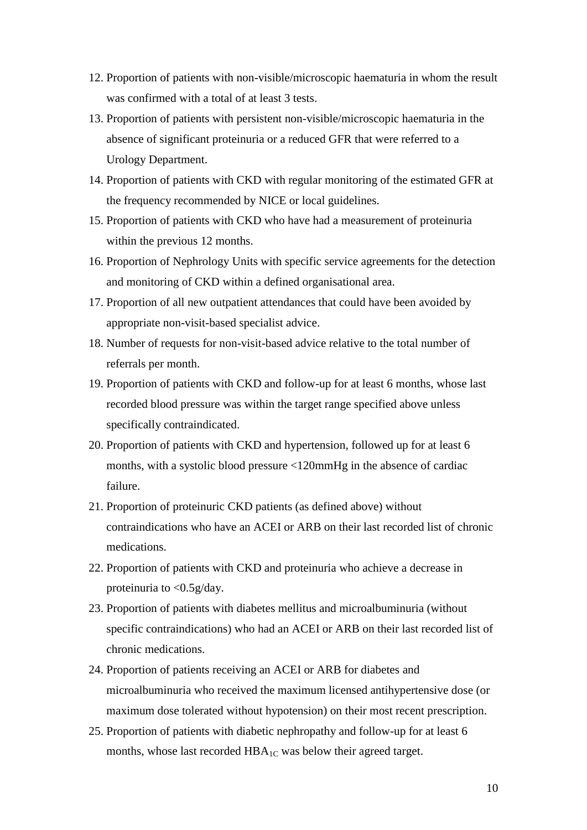- 12. Proportion of patients with non-visible/microscopic haematuria in whom the result was confirmed with a total of at least 3 tests.
- 13. Proportion of patients with persistent non-visible/microscopic haematuria in the absence of significant proteinuria or a reduced GFR that were referred to a Urology Department.
- 14. Proportion of patients with CKD with regular monitoring of the estimated GFR at the frequency recommended by NICE or local guidelines.
- 15. Proportion of patients with CKD who have had a measurement of proteinuria within the previous 12 months.
- 16. Proportion of Nephrology Units with specific service agreements for the detection and monitoring of CKD within a defined organisational area.
- 17. Proportion of all new outpatient attendances that could have been avoided by appropriate non-visit-based specialist advice.
- 18. Number of requests for non-visit-based advice relative to the total number of referrals per month.
- 19. Proportion of patients with CKD and follow-up for at least 6 months, whose last recorded blood pressure was within the target range specified above unless specifically contraindicated.
- 20. Proportion of patients with CKD and hypertension, followed up for at least 6 months, with a systolic blood pressure <120mmHg in the absence of cardiac failure.
- 21. Proportion of proteinuric CKD patients (as defined above) without contraindications who have an ACEI or ARB on their last recorded list of chronic medications.
- 22. Proportion of patients with CKD and proteinuria who achieve a decrease in proteinuria to <0.5g/day.
- 23. Proportion of patients with diabetes mellitus and microalbuminuria (without specific contraindications) who had an ACEI or ARB on their last recorded list of chronic medications.
- 24. Proportion of patients receiving an ACEI or ARB for diabetes and microalbuminuria who received the maximum licensed antihypertensive dose (or maximum dose tolerated without hypotension) on their most recent prescription.
- 25. Proportion of patients with diabetic nephropathy and follow-up for at least 6 months, whose last recorded  $HBA_{1C}$  was below their agreed target.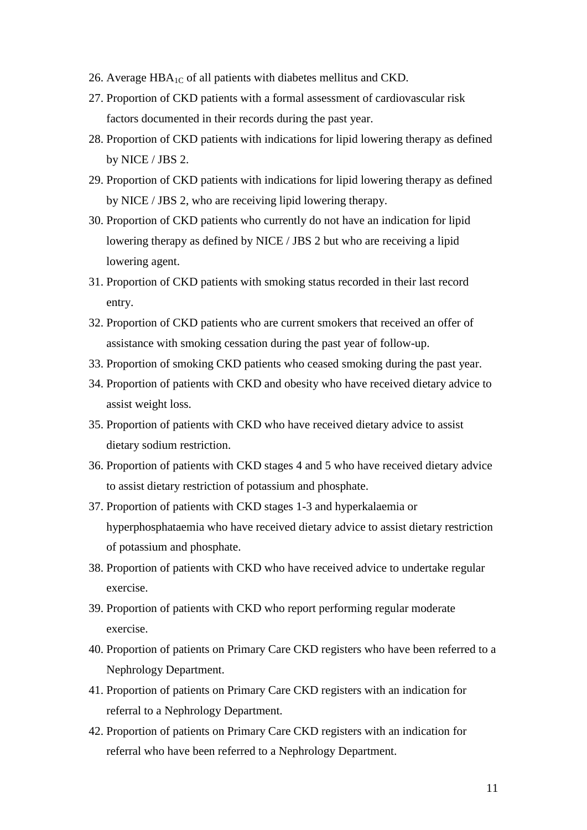- 26. Average  $HBA_{1C}$  of all patients with diabetes mellitus and CKD.
- 27. Proportion of CKD patients with a formal assessment of cardiovascular risk factors documented in their records during the past year.
- 28. Proportion of CKD patients with indications for lipid lowering therapy as defined by NICE / JBS 2.
- 29. Proportion of CKD patients with indications for lipid lowering therapy as defined by NICE / JBS 2, who are receiving lipid lowering therapy.
- 30. Proportion of CKD patients who currently do not have an indication for lipid lowering therapy as defined by NICE / JBS 2 but who are receiving a lipid lowering agent.
- 31. Proportion of CKD patients with smoking status recorded in their last record entry.
- 32. Proportion of CKD patients who are current smokers that received an offer of assistance with smoking cessation during the past year of follow-up.
- 33. Proportion of smoking CKD patients who ceased smoking during the past year.
- 34. Proportion of patients with CKD and obesity who have received dietary advice to assist weight loss.
- 35. Proportion of patients with CKD who have received dietary advice to assist dietary sodium restriction.
- 36. Proportion of patients with CKD stages 4 and 5 who have received dietary advice to assist dietary restriction of potassium and phosphate.
- 37. Proportion of patients with CKD stages 1-3 and hyperkalaemia or hyperphosphataemia who have received dietary advice to assist dietary restriction of potassium and phosphate.
- 38. Proportion of patients with CKD who have received advice to undertake regular exercise.
- 39. Proportion of patients with CKD who report performing regular moderate exercise.
- 40. Proportion of patients on Primary Care CKD registers who have been referred to a Nephrology Department.
- 41. Proportion of patients on Primary Care CKD registers with an indication for referral to a Nephrology Department.
- 42. Proportion of patients on Primary Care CKD registers with an indication for referral who have been referred to a Nephrology Department.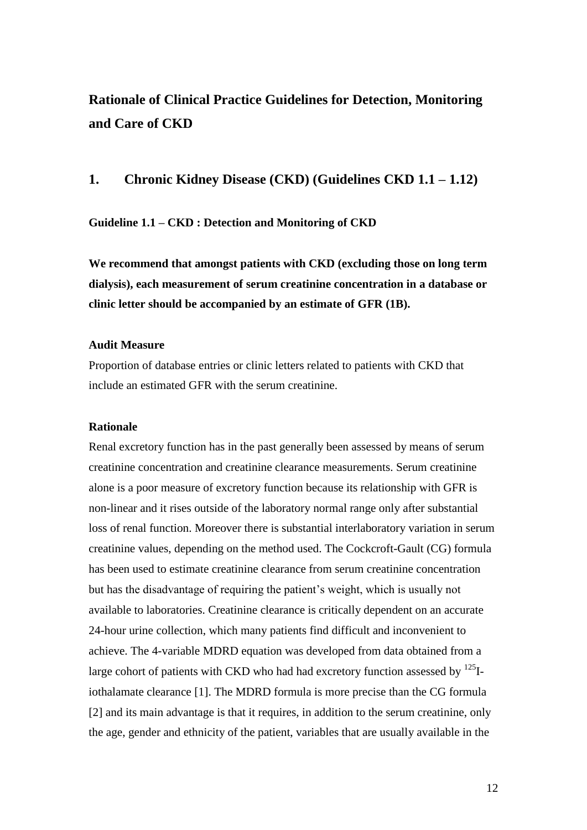# **Rationale of Clinical Practice Guidelines for Detection, Monitoring and Care of CKD**

# **1. Chronic Kidney Disease (CKD) (Guidelines CKD 1.1 – 1.12)**

**Guideline 1.1 – CKD : Detection and Monitoring of CKD**

**We recommend that amongst patients with CKD (excluding those on long term dialysis), each measurement of serum creatinine concentration in a database or clinic letter should be accompanied by an estimate of GFR (1B).**

# **Audit Measure**

Proportion of database entries or clinic letters related to patients with CKD that include an estimated GFR with the serum creatinine.

### **Rationale**

Renal excretory function has in the past generally been assessed by means of serum creatinine concentration and creatinine clearance measurements. Serum creatinine alone is a poor measure of excretory function because its relationship with GFR is non-linear and it rises outside of the laboratory normal range only after substantial loss of renal function. Moreover there is substantial interlaboratory variation in serum creatinine values, depending on the method used. The Cockcroft-Gault (CG) formula has been used to estimate creatinine clearance from serum creatinine concentration but has the disadvantage of requiring the patient"s weight, which is usually not available to laboratories. Creatinine clearance is critically dependent on an accurate 24-hour urine collection, which many patients find difficult and inconvenient to achieve. The 4-variable MDRD equation was developed from data obtained from a large cohort of patients with CKD who had had excretory function assessed by  $^{125}I$ iothalamate clearance [1]. The MDRD formula is more precise than the CG formula [2] and its main advantage is that it requires, in addition to the serum creatinine, only the age, gender and ethnicity of the patient, variables that are usually available in the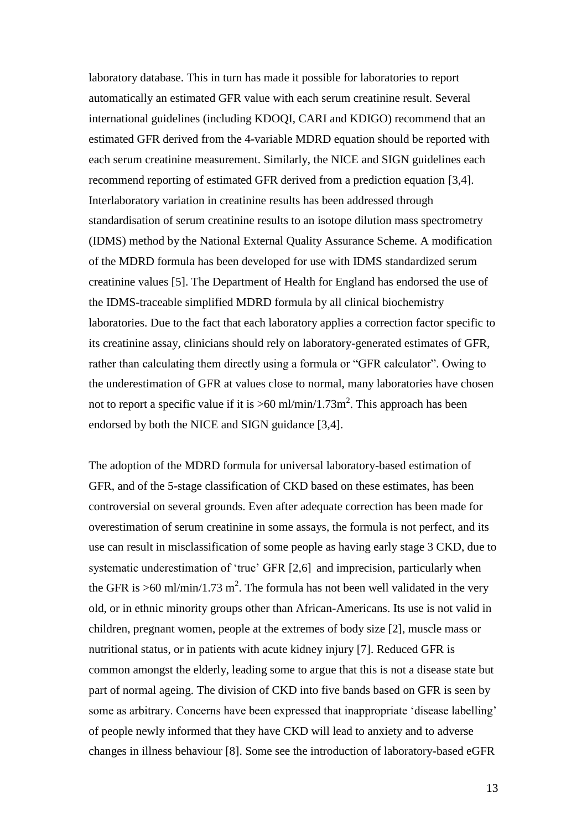laboratory database. This in turn has made it possible for laboratories to report automatically an estimated GFR value with each serum creatinine result. Several international guidelines (including KDOQI, CARI and KDIGO) recommend that an estimated GFR derived from the 4-variable MDRD equation should be reported with each serum creatinine measurement. Similarly, the NICE and SIGN guidelines each recommend reporting of estimated GFR derived from a prediction equation [3,4]. Interlaboratory variation in creatinine results has been addressed through standardisation of serum creatinine results to an isotope dilution mass spectrometry (IDMS) method by the National External Quality Assurance Scheme. A modification of the MDRD formula has been developed for use with IDMS standardized serum creatinine values [5]. The Department of Health for England has endorsed the use of the IDMS-traceable simplified MDRD formula by all clinical biochemistry laboratories. Due to the fact that each laboratory applies a correction factor specific to its creatinine assay, clinicians should rely on laboratory-generated estimates of GFR, rather than calculating them directly using a formula or "GFR calculator". Owing to the underestimation of GFR at values close to normal, many laboratories have chosen not to report a specific value if it is  $>60$  ml/min/1.73m<sup>2</sup>. This approach has been endorsed by both the NICE and SIGN guidance [3,4].

The adoption of the MDRD formula for universal laboratory-based estimation of GFR, and of the 5-stage classification of CKD based on these estimates, has been controversial on several grounds. Even after adequate correction has been made for overestimation of serum creatinine in some assays, the formula is not perfect, and its use can result in misclassification of some people as having early stage 3 CKD, due to systematic underestimation of 'true' GFR [2,6] and imprecision, particularly when the GFR is >60 ml/min/1.73 m<sup>2</sup>. The formula has not been well validated in the very old, or in ethnic minority groups other than African-Americans. Its use is not valid in children, pregnant women, people at the extremes of body size [2], muscle mass or nutritional status, or in patients with acute kidney injury [7]. Reduced GFR is common amongst the elderly, leading some to argue that this is not a disease state but part of normal ageing. The division of CKD into five bands based on GFR is seen by some as arbitrary. Concerns have been expressed that inappropriate 'disease labelling' of people newly informed that they have CKD will lead to anxiety and to adverse changes in illness behaviour [8]. Some see the introduction of laboratory-based eGFR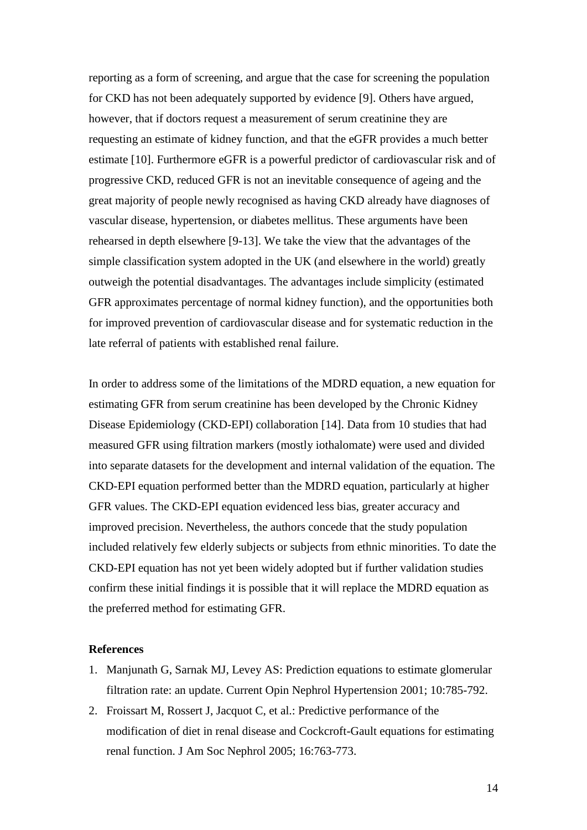reporting as a form of screening, and argue that the case for screening the population for CKD has not been adequately supported by evidence [9]. Others have argued, however, that if doctors request a measurement of serum creatinine they are requesting an estimate of kidney function, and that the eGFR provides a much better estimate [10]. Furthermore eGFR is a powerful predictor of cardiovascular risk and of progressive CKD, reduced GFR is not an inevitable consequence of ageing and the great majority of people newly recognised as having CKD already have diagnoses of vascular disease, hypertension, or diabetes mellitus. These arguments have been rehearsed in depth elsewhere [9-13]. We take the view that the advantages of the simple classification system adopted in the UK (and elsewhere in the world) greatly outweigh the potential disadvantages. The advantages include simplicity (estimated GFR approximates percentage of normal kidney function), and the opportunities both for improved prevention of cardiovascular disease and for systematic reduction in the late referral of patients with established renal failure.

In order to address some of the limitations of the MDRD equation, a new equation for estimating GFR from serum creatinine has been developed by the Chronic Kidney Disease Epidemiology (CKD-EPI) collaboration [14]. Data from 10 studies that had measured GFR using filtration markers (mostly iothalomate) were used and divided into separate datasets for the development and internal validation of the equation. The CKD-EPI equation performed better than the MDRD equation, particularly at higher GFR values. The CKD-EPI equation evidenced less bias, greater accuracy and improved precision. Nevertheless, the authors concede that the study population included relatively few elderly subjects or subjects from ethnic minorities. To date the CKD-EPI equation has not yet been widely adopted but if further validation studies confirm these initial findings it is possible that it will replace the MDRD equation as the preferred method for estimating GFR.

- 1. Manjunath G, Sarnak MJ, Levey AS: Prediction equations to estimate glomerular filtration rate: an update. Current Opin Nephrol Hypertension 2001; 10:785-792.
- 2. Froissart M, Rossert J, Jacquot C, et al.: Predictive performance of the modification of diet in renal disease and Cockcroft-Gault equations for estimating renal function. J Am Soc Nephrol 2005; 16:763-773.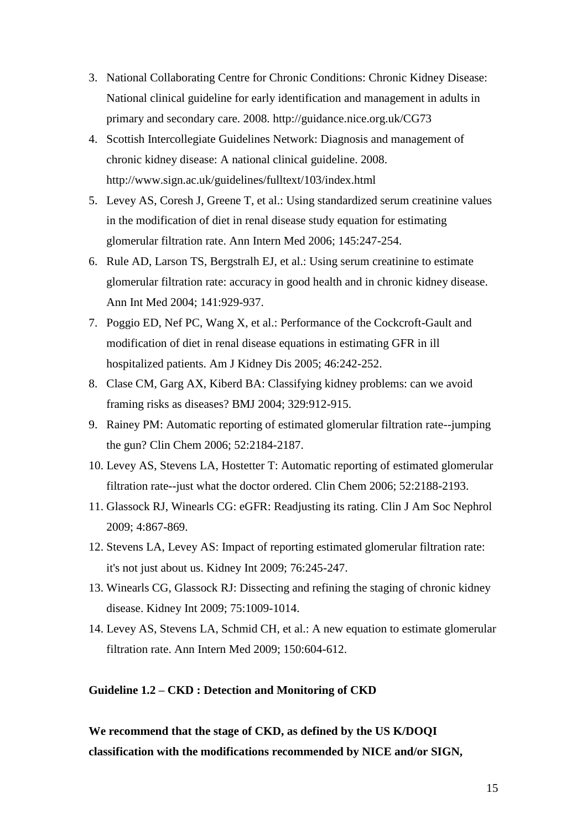- 3. National Collaborating Centre for Chronic Conditions: Chronic Kidney Disease: National clinical guideline for early identification and management in adults in primary and secondary care. 2008. http://guidance.nice.org.uk/CG73
- 4. Scottish Intercollegiate Guidelines Network: Diagnosis and management of chronic kidney disease: A national clinical guideline. 2008. http://www.sign.ac.uk/guidelines/fulltext/103/index.html
- 5. Levey AS, Coresh J, Greene T, et al.: Using standardized serum creatinine values in the modification of diet in renal disease study equation for estimating glomerular filtration rate. Ann Intern Med 2006; 145:247-254.
- 6. Rule AD, Larson TS, Bergstralh EJ, et al.: Using serum creatinine to estimate glomerular filtration rate: accuracy in good health and in chronic kidney disease. Ann Int Med 2004; 141:929-937.
- 7. Poggio ED, Nef PC, Wang X, et al.: Performance of the Cockcroft-Gault and modification of diet in renal disease equations in estimating GFR in ill hospitalized patients. Am J Kidney Dis 2005; 46:242-252.
- 8. Clase CM, Garg AX, Kiberd BA: Classifying kidney problems: can we avoid framing risks as diseases? BMJ 2004; 329:912-915.
- 9. Rainey PM: Automatic reporting of estimated glomerular filtration rate--jumping the gun? Clin Chem 2006; 52:2184-2187.
- 10. Levey AS, Stevens LA, Hostetter T: Automatic reporting of estimated glomerular filtration rate--just what the doctor ordered. Clin Chem 2006; 52:2188-2193.
- 11. Glassock RJ, Winearls CG: eGFR: Readjusting its rating. Clin J Am Soc Nephrol 2009; 4:867-869.
- 12. Stevens LA, Levey AS: Impact of reporting estimated glomerular filtration rate: it's not just about us. Kidney Int 2009; 76:245-247.
- 13. Winearls CG, Glassock RJ: Dissecting and refining the staging of chronic kidney disease. Kidney Int 2009; 75:1009-1014.
- 14. Levey AS, Stevens LA, Schmid CH, et al.: A new equation to estimate glomerular filtration rate. Ann Intern Med 2009; 150:604-612.

### **Guideline 1.2 – CKD : Detection and Monitoring of CKD**

**We recommend that the stage of CKD, as defined by the US K/DOQI classification with the modifications recommended by NICE and/or SIGN,**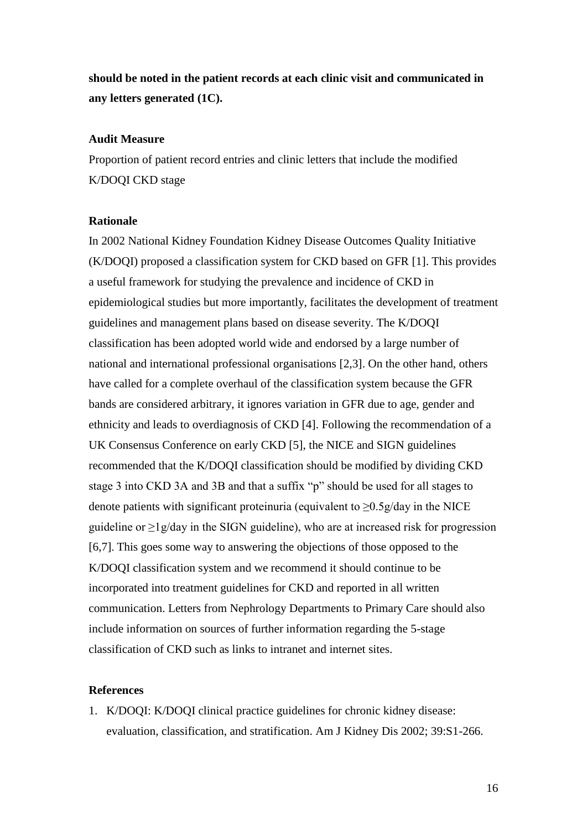**should be noted in the patient records at each clinic visit and communicated in any letters generated (1C).**

# **Audit Measure**

Proportion of patient record entries and clinic letters that include the modified K/DOQI CKD stage

#### **Rationale**

In 2002 National Kidney Foundation Kidney Disease Outcomes Quality Initiative (K/DOQI) proposed a classification system for CKD based on GFR [1]. This provides a useful framework for studying the prevalence and incidence of CKD in epidemiological studies but more importantly, facilitates the development of treatment guidelines and management plans based on disease severity. The K/DOQI classification has been adopted world wide and endorsed by a large number of national and international professional organisations [2,3]. On the other hand, others have called for a complete overhaul of the classification system because the GFR bands are considered arbitrary, it ignores variation in GFR due to age, gender and ethnicity and leads to overdiagnosis of CKD [4]. Following the recommendation of a UK Consensus Conference on early CKD [5], the NICE and SIGN guidelines recommended that the K/DOQI classification should be modified by dividing CKD stage 3 into CKD 3A and 3B and that a suffix "p" should be used for all stages to denote patients with significant proteinuria (equivalent to  $\geq 0.5$ g/day in the NICE guideline or  $\geq$ 1g/day in the SIGN guideline), who are at increased risk for progression [6,7]. This goes some way to answering the objections of those opposed to the K/DOQI classification system and we recommend it should continue to be incorporated into treatment guidelines for CKD and reported in all written communication. Letters from Nephrology Departments to Primary Care should also include information on sources of further information regarding the 5-stage classification of CKD such as links to intranet and internet sites.

#### **References**

1. K/DOQI: K/DOQI clinical practice guidelines for chronic kidney disease: evaluation, classification, and stratification. Am J Kidney Dis 2002; 39:S1-266.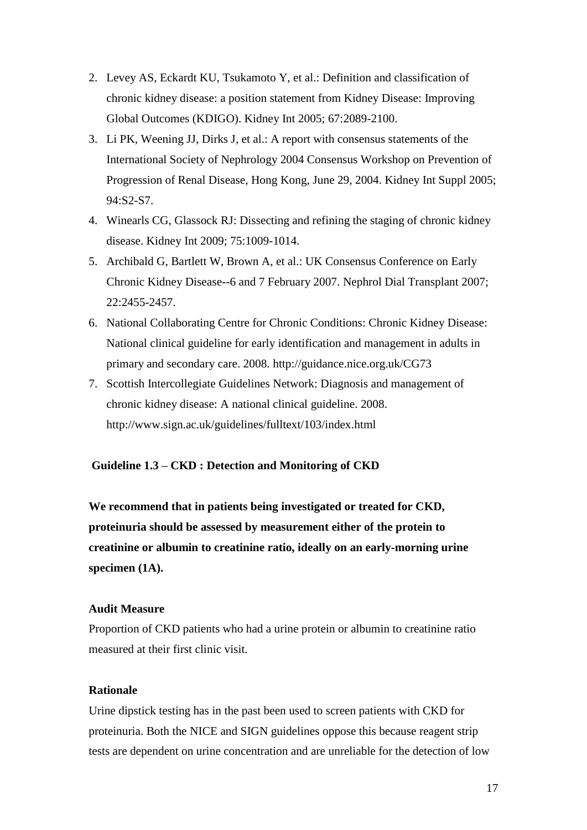- 2. Levey AS, Eckardt KU, Tsukamoto Y, et al.: Definition and classification of chronic kidney disease: a position statement from Kidney Disease: Improving Global Outcomes (KDIGO). Kidney Int 2005; 67:2089-2100.
- 3. Li PK, Weening JJ, Dirks J, et al.: A report with consensus statements of the International Society of Nephrology 2004 Consensus Workshop on Prevention of Progression of Renal Disease, Hong Kong, June 29, 2004. Kidney Int Suppl 2005; 94:S2-S7.
- 4. Winearls CG, Glassock RJ: Dissecting and refining the staging of chronic kidney disease. Kidney Int 2009; 75:1009-1014.
- 5. Archibald G, Bartlett W, Brown A, et al.: UK Consensus Conference on Early Chronic Kidney Disease--6 and 7 February 2007. Nephrol Dial Transplant 2007; 22:2455-2457.
- 6. National Collaborating Centre for Chronic Conditions: Chronic Kidney Disease: National clinical guideline for early identification and management in adults in primary and secondary care. 2008. http://guidance.nice.org.uk/CG73
- 7. Scottish Intercollegiate Guidelines Network: Diagnosis and management of chronic kidney disease: A national clinical guideline. 2008. http://www.sign.ac.uk/guidelines/fulltext/103/index.html

# **Guideline 1.3 – CKD : Detection and Monitoring of CKD**

**We recommend that in patients being investigated or treated for CKD, proteinuria should be assessed by measurement either of the protein to creatinine or albumin to creatinine ratio, ideally on an early-morning urine specimen (1A).**

#### **Audit Measure**

Proportion of CKD patients who had a urine protein or albumin to creatinine ratio measured at their first clinic visit.

#### **Rationale**

Urine dipstick testing has in the past been used to screen patients with CKD for proteinuria. Both the NICE and SIGN guidelines oppose this because reagent strip tests are dependent on urine concentration and are unreliable for the detection of low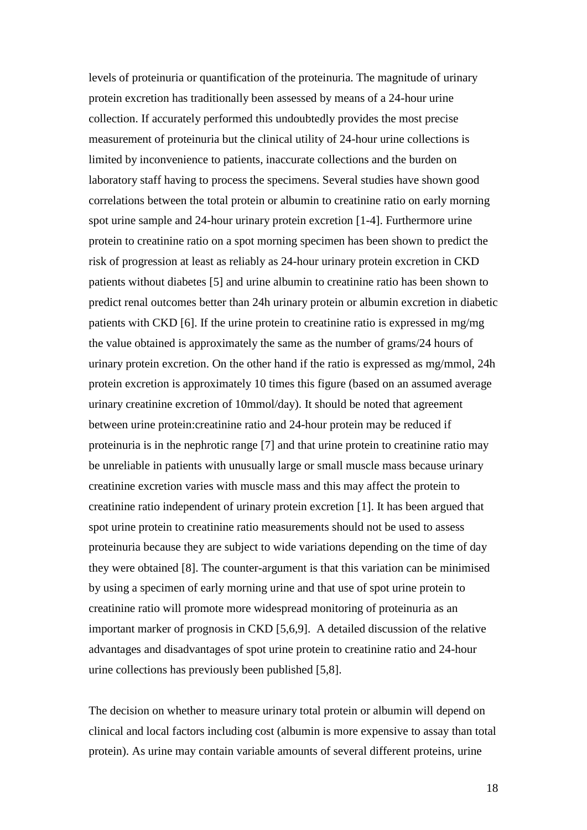levels of proteinuria or quantification of the proteinuria. The magnitude of urinary protein excretion has traditionally been assessed by means of a 24-hour urine collection. If accurately performed this undoubtedly provides the most precise measurement of proteinuria but the clinical utility of 24-hour urine collections is limited by inconvenience to patients, inaccurate collections and the burden on laboratory staff having to process the specimens. Several studies have shown good correlations between the total protein or albumin to creatinine ratio on early morning spot urine sample and 24-hour urinary protein excretion [1-4]. Furthermore urine protein to creatinine ratio on a spot morning specimen has been shown to predict the risk of progression at least as reliably as 24-hour urinary protein excretion in CKD patients without diabetes [5] and urine albumin to creatinine ratio has been shown to predict renal outcomes better than 24h urinary protein or albumin excretion in diabetic patients with CKD [6]. If the urine protein to creatinine ratio is expressed in mg/mg the value obtained is approximately the same as the number of grams/24 hours of urinary protein excretion. On the other hand if the ratio is expressed as mg/mmol, 24h protein excretion is approximately 10 times this figure (based on an assumed average urinary creatinine excretion of 10mmol/day). It should be noted that agreement between urine protein:creatinine ratio and 24-hour protein may be reduced if proteinuria is in the nephrotic range [7] and that urine protein to creatinine ratio may be unreliable in patients with unusually large or small muscle mass because urinary creatinine excretion varies with muscle mass and this may affect the protein to creatinine ratio independent of urinary protein excretion [1]. It has been argued that spot urine protein to creatinine ratio measurements should not be used to assess proteinuria because they are subject to wide variations depending on the time of day they were obtained [8]. The counter-argument is that this variation can be minimised by using a specimen of early morning urine and that use of spot urine protein to creatinine ratio will promote more widespread monitoring of proteinuria as an important marker of prognosis in CKD [5,6,9]. A detailed discussion of the relative advantages and disadvantages of spot urine protein to creatinine ratio and 24-hour urine collections has previously been published [5,8].

The decision on whether to measure urinary total protein or albumin will depend on clinical and local factors including cost (albumin is more expensive to assay than total protein). As urine may contain variable amounts of several different proteins, urine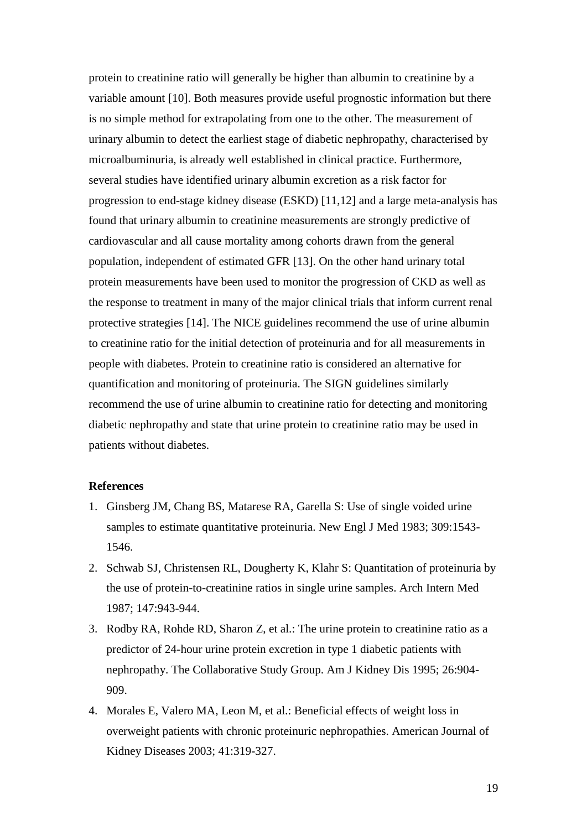protein to creatinine ratio will generally be higher than albumin to creatinine by a variable amount [10]. Both measures provide useful prognostic information but there is no simple method for extrapolating from one to the other. The measurement of urinary albumin to detect the earliest stage of diabetic nephropathy, characterised by microalbuminuria, is already well established in clinical practice. Furthermore, several studies have identified urinary albumin excretion as a risk factor for progression to end-stage kidney disease (ESKD) [11,12] and a large meta-analysis has found that urinary albumin to creatinine measurements are strongly predictive of cardiovascular and all cause mortality among cohorts drawn from the general population, independent of estimated GFR [13]. On the other hand urinary total protein measurements have been used to monitor the progression of CKD as well as the response to treatment in many of the major clinical trials that inform current renal protective strategies [14]. The NICE guidelines recommend the use of urine albumin to creatinine ratio for the initial detection of proteinuria and for all measurements in people with diabetes. Protein to creatinine ratio is considered an alternative for quantification and monitoring of proteinuria. The SIGN guidelines similarly recommend the use of urine albumin to creatinine ratio for detecting and monitoring diabetic nephropathy and state that urine protein to creatinine ratio may be used in patients without diabetes.

- 1. Ginsberg JM, Chang BS, Matarese RA, Garella S: Use of single voided urine samples to estimate quantitative proteinuria. New Engl J Med 1983; 309:1543- 1546.
- 2. Schwab SJ, Christensen RL, Dougherty K, Klahr S: Quantitation of proteinuria by the use of protein-to-creatinine ratios in single urine samples. Arch Intern Med 1987; 147:943-944.
- 3. Rodby RA, Rohde RD, Sharon Z, et al.: The urine protein to creatinine ratio as a predictor of 24-hour urine protein excretion in type 1 diabetic patients with nephropathy. The Collaborative Study Group. Am J Kidney Dis 1995; 26:904- 909.
- 4. Morales E, Valero MA, Leon M, et al.: Beneficial effects of weight loss in overweight patients with chronic proteinuric nephropathies. American Journal of Kidney Diseases 2003; 41:319-327.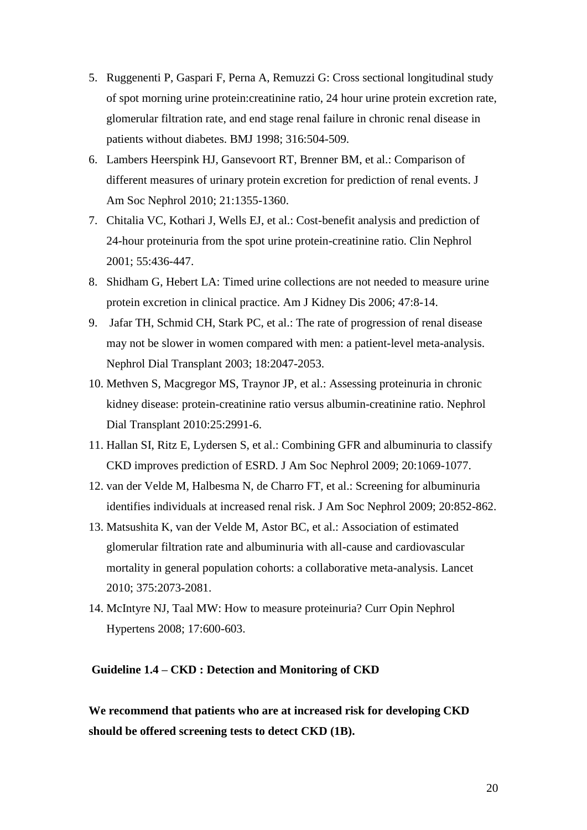- 5. Ruggenenti P, Gaspari F, Perna A, Remuzzi G: Cross sectional longitudinal study of spot morning urine protein:creatinine ratio, 24 hour urine protein excretion rate, glomerular filtration rate, and end stage renal failure in chronic renal disease in patients without diabetes. BMJ 1998; 316:504-509.
- 6. Lambers Heerspink HJ, Gansevoort RT, Brenner BM, et al.: Comparison of different measures of urinary protein excretion for prediction of renal events. J Am Soc Nephrol 2010; 21:1355-1360.
- 7. Chitalia VC, Kothari J, Wells EJ, et al.: Cost-benefit analysis and prediction of 24-hour proteinuria from the spot urine protein-creatinine ratio. Clin Nephrol 2001; 55:436-447.
- 8. Shidham G, Hebert LA: Timed urine collections are not needed to measure urine protein excretion in clinical practice. Am J Kidney Dis 2006; 47:8-14.
- 9. Jafar TH, Schmid CH, Stark PC, et al.: The rate of progression of renal disease may not be slower in women compared with men: a patient-level meta-analysis. Nephrol Dial Transplant 2003; 18:2047-2053.
- 10. Methven S, Macgregor MS, Traynor JP, et al.: Assessing proteinuria in chronic kidney disease: protein-creatinine ratio versus albumin-creatinine ratio. Nephrol Dial Transplant 2010:25:2991-6.
- 11. Hallan SI, Ritz E, Lydersen S, et al.: Combining GFR and albuminuria to classify CKD improves prediction of ESRD. J Am Soc Nephrol 2009; 20:1069-1077.
- 12. van der Velde M, Halbesma N, de Charro FT, et al.: Screening for albuminuria identifies individuals at increased renal risk. J Am Soc Nephrol 2009; 20:852-862.
- 13. Matsushita K, van der Velde M, Astor BC, et al.: Association of estimated glomerular filtration rate and albuminuria with all-cause and cardiovascular mortality in general population cohorts: a collaborative meta-analysis. Lancet 2010; 375:2073-2081.
- 14. McIntyre NJ, Taal MW: How to measure proteinuria? Curr Opin Nephrol Hypertens 2008; 17:600-603.

## **Guideline 1.4 – CKD : Detection and Monitoring of CKD**

**We recommend that patients who are at increased risk for developing CKD should be offered screening tests to detect CKD (1B).**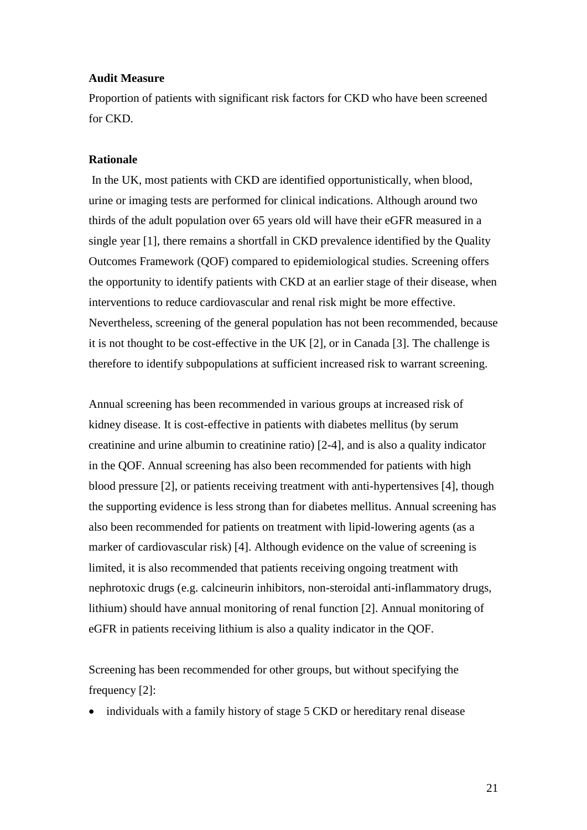### **Audit Measure**

Proportion of patients with significant risk factors for CKD who have been screened for CKD.

# **Rationale**

In the UK, most patients with CKD are identified opportunistically, when blood, urine or imaging tests are performed for clinical indications. Although around two thirds of the adult population over 65 years old will have their eGFR measured in a single year [1], there remains a shortfall in CKD prevalence identified by the Quality Outcomes Framework (QOF) compared to epidemiological studies. Screening offers the opportunity to identify patients with CKD at an earlier stage of their disease, when interventions to reduce cardiovascular and renal risk might be more effective. Nevertheless, screening of the general population has not been recommended, because it is not thought to be cost-effective in the UK [2], or in Canada [3]. The challenge is therefore to identify subpopulations at sufficient increased risk to warrant screening.

Annual screening has been recommended in various groups at increased risk of kidney disease. It is cost-effective in patients with diabetes mellitus (by serum creatinine and urine albumin to creatinine ratio) [2-4], and is also a quality indicator in the QOF. Annual screening has also been recommended for patients with high blood pressure [2], or patients receiving treatment with anti-hypertensives [4], though the supporting evidence is less strong than for diabetes mellitus. Annual screening has also been recommended for patients on treatment with lipid-lowering agents (as a marker of cardiovascular risk) [4]. Although evidence on the value of screening is limited, it is also recommended that patients receiving ongoing treatment with nephrotoxic drugs (e.g. calcineurin inhibitors, non-steroidal anti-inflammatory drugs, lithium) should have annual monitoring of renal function [2]. Annual monitoring of eGFR in patients receiving lithium is also a quality indicator in the QOF.

Screening has been recommended for other groups, but without specifying the frequency [2]:

• individuals with a family history of stage 5 CKD or hereditary renal disease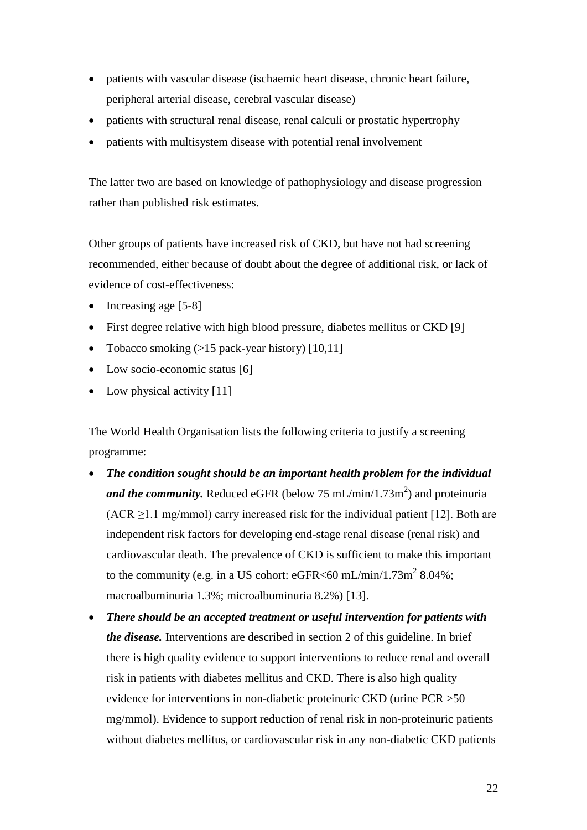- patients with vascular disease (ischaemic heart disease, chronic heart failure, peripheral arterial disease, cerebral vascular disease)
- patients with structural renal disease, renal calculi or prostatic hypertrophy
- patients with multisystem disease with potential renal involvement

The latter two are based on knowledge of pathophysiology and disease progression rather than published risk estimates.

Other groups of patients have increased risk of CKD, but have not had screening recommended, either because of doubt about the degree of additional risk, or lack of evidence of cost-effectiveness:

- Increasing age [5-8]
- First degree relative with high blood pressure, diabetes mellitus or CKD [9]
- Tobacco smoking  $(>15$  pack-year history) [10,11]
- Low socio-economic status [6]
- Low physical activity [11]

The World Health Organisation lists the following criteria to justify a screening programme:

- *The condition sought should be an important health problem for the individual*  and the community. Reduced eGFR (below  $75 \text{ mL/min}/1.73 \text{m}^2$ ) and proteinuria  $(ACR > 1.1$  mg/mmol) carry increased risk for the individual patient [12]. Both are independent risk factors for developing end-stage renal disease (renal risk) and cardiovascular death. The prevalence of CKD is sufficient to make this important to the community (e.g. in a US cohort: eGFR<60 mL/min/1.73m<sup>2</sup> 8.04%; macroalbuminuria 1.3%; microalbuminuria 8.2%) [13].
- *There should be an accepted treatment or useful intervention for patients with the disease.* Interventions are described in section 2 of this guideline. In brief there is high quality evidence to support interventions to reduce renal and overall risk in patients with diabetes mellitus and CKD. There is also high quality evidence for interventions in non-diabetic proteinuric CKD (urine PCR >50 mg/mmol). Evidence to support reduction of renal risk in non-proteinuric patients without diabetes mellitus, or cardiovascular risk in any non-diabetic CKD patients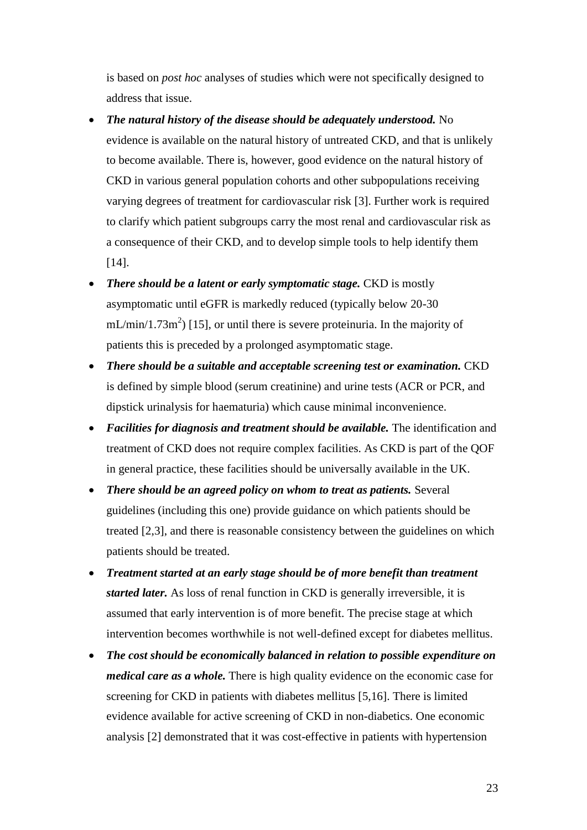is based on *post hoc* analyses of studies which were not specifically designed to address that issue.

- *The natural history of the disease should be adequately understood.* No evidence is available on the natural history of untreated CKD, and that is unlikely to become available. There is, however, good evidence on the natural history of CKD in various general population cohorts and other subpopulations receiving varying degrees of treatment for cardiovascular risk [3]. Further work is required to clarify which patient subgroups carry the most renal and cardiovascular risk as a consequence of their CKD, and to develop simple tools to help identify them [14].
- *There should be a latent or early symptomatic stage.* CKD is mostly asymptomatic until eGFR is markedly reduced (typically below 20-30  $mL/min/1.73m<sup>2</sup>$  [15], or until there is severe proteinuria. In the majority of patients this is preceded by a prolonged asymptomatic stage.
- *There should be a suitable and acceptable screening test or examination.* CKD is defined by simple blood (serum creatinine) and urine tests (ACR or PCR, and dipstick urinalysis for haematuria) which cause minimal inconvenience.
- *Facilities for diagnosis and treatment should be available.* The identification and treatment of CKD does not require complex facilities. As CKD is part of the QOF in general practice, these facilities should be universally available in the UK.
- *There should be an agreed policy on whom to treat as patients.* Several guidelines (including this one) provide guidance on which patients should be treated [2,3], and there is reasonable consistency between the guidelines on which patients should be treated.
- *Treatment started at an early stage should be of more benefit than treatment started later.* As loss of renal function in CKD is generally irreversible, it is assumed that early intervention is of more benefit. The precise stage at which intervention becomes worthwhile is not well-defined except for diabetes mellitus.
- *The cost should be economically balanced in relation to possible expenditure on medical care as a whole.* There is high quality evidence on the economic case for screening for CKD in patients with diabetes mellitus [5,16]. There is limited evidence available for active screening of CKD in non-diabetics. One economic analysis [2] demonstrated that it was cost-effective in patients with hypertension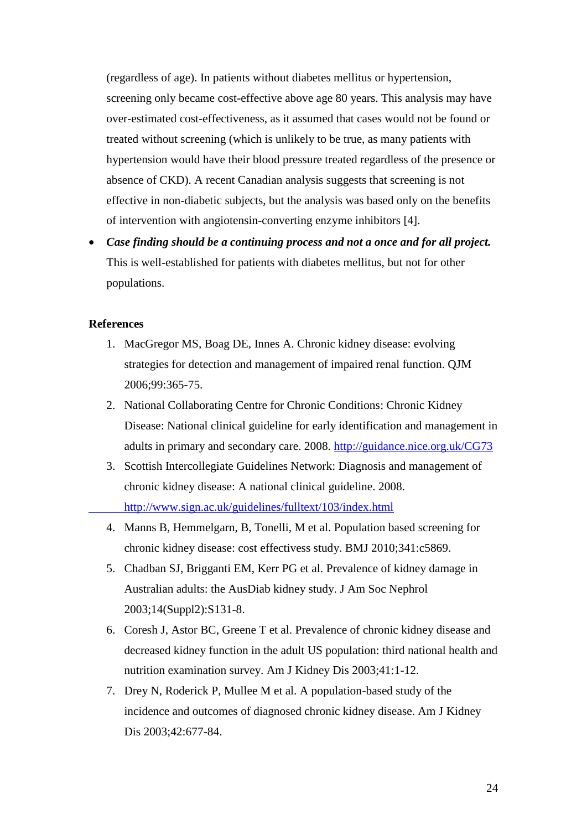(regardless of age). In patients without diabetes mellitus or hypertension, screening only became cost-effective above age 80 years. This analysis may have over-estimated cost-effectiveness, as it assumed that cases would not be found or treated without screening (which is unlikely to be true, as many patients with hypertension would have their blood pressure treated regardless of the presence or absence of CKD). A recent Canadian analysis suggests that screening is not effective in non-diabetic subjects, but the analysis was based only on the benefits of intervention with angiotensin-converting enzyme inhibitors [4].

 *Case finding should be a continuing process and not a once and for all project.* This is well-established for patients with diabetes mellitus, but not for other populations.

- 1. MacGregor MS, Boag DE, Innes A. Chronic kidney disease: evolving strategies for detection and management of impaired renal function. QJM 2006;99:365-75.
- 2. National Collaborating Centre for Chronic Conditions: Chronic Kidney Disease: National clinical guideline for early identification and management in adults in primary and secondary care. 2008.<http://guidance.nice.org.uk/CG73>
- 3. Scottish Intercollegiate Guidelines Network: Diagnosis and management of chronic kidney disease: A national clinical guideline. 2008. [http://www.sign.ac.uk/guidelines/fulltext/103/index.html](file:///C:/Documents%20and%20Settings/mactiro440/Local%20Settings/Temporary%20Internet%20Files/Content.Outlook/XLJ3MGL1/http%20http:/www.sign.ac.uk/guidelines/fulltext/103/index.html)
- 4. Manns B, Hemmelgarn, B, Tonelli, M et al. Population based screening for chronic kidney disease: cost effectivess study. BMJ 2010;341:c5869.
- 5. Chadban SJ, Brigganti EM, Kerr PG et al. Prevalence of kidney damage in Australian adults: the AusDiab kidney study. J Am Soc Nephrol 2003;14(Suppl2):S131-8.
- 6. Coresh J, Astor BC, Greene T et al. Prevalence of chronic kidney disease and decreased kidney function in the adult US population: third national health and nutrition examination survey. Am J Kidney Dis 2003;41:1-12.
- 7. Drey N, Roderick P, Mullee M et al. A population-based study of the incidence and outcomes of diagnosed chronic kidney disease. Am J Kidney Dis 2003;42:677-84.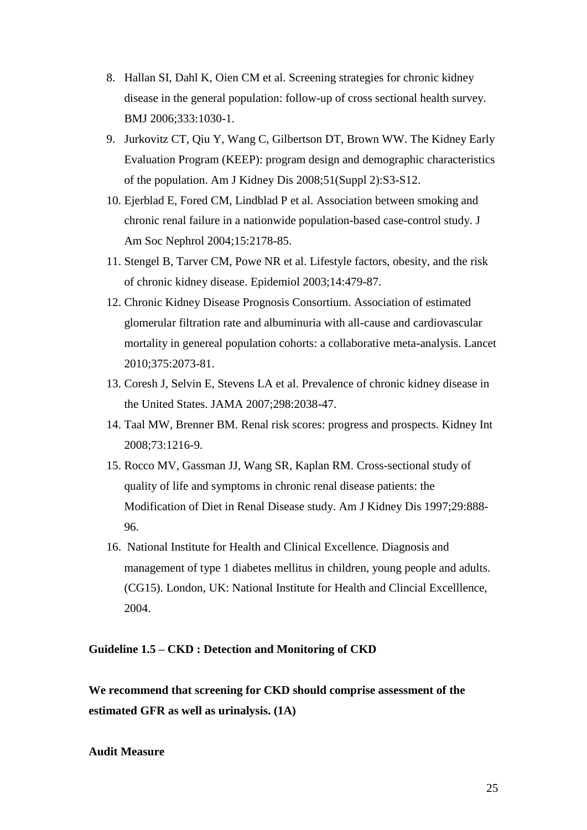- 8. Hallan SI, Dahl K, Oien CM et al. Screening strategies for chronic kidney disease in the general population: follow-up of cross sectional health survey. BMJ 2006;333:1030-1.
- 9. Jurkovitz CT, Qiu Y, Wang C, Gilbertson DT, Brown WW. The Kidney Early Evaluation Program (KEEP): program design and demographic characteristics of the population. Am J Kidney Dis 2008;51(Suppl 2):S3-S12.
- 10. Ejerblad E, Fored CM, Lindblad P et al. Association between smoking and chronic renal failure in a nationwide population-based case-control study. J Am Soc Nephrol 2004;15:2178-85.
- 11. Stengel B, Tarver CM, Powe NR et al. Lifestyle factors, obesity, and the risk of chronic kidney disease. Epidemiol 2003;14:479-87.
- 12. Chronic Kidney Disease Prognosis Consortium. Association of estimated glomerular filtration rate and albuminuria with all-cause and cardiovascular mortality in genereal population cohorts: a collaborative meta-analysis. Lancet 2010;375:2073-81.
- 13. Coresh J, Selvin E, Stevens LA et al. Prevalence of chronic kidney disease in the United States. JAMA 2007;298:2038-47.
- 14. Taal MW, Brenner BM. Renal risk scores: progress and prospects. Kidney Int 2008;73:1216-9.
- 15. Rocco MV, Gassman JJ, Wang SR, Kaplan RM. Cross-sectional study of quality of life and symptoms in chronic renal disease patients: the Modification of Diet in Renal Disease study. Am J Kidney Dis 1997;29:888- 96.
- 16. National Institute for Health and Clinical Excellence. Diagnosis and management of type 1 diabetes mellitus in children, young people and adults. (CG15). London, UK: National Institute for Health and Clincial Excelllence, 2004.

# **Guideline 1.5 – CKD : Detection and Monitoring of CKD**

**We recommend that screening for CKD should comprise assessment of the estimated GFR as well as urinalysis. (1A)**

# **Audit Measure**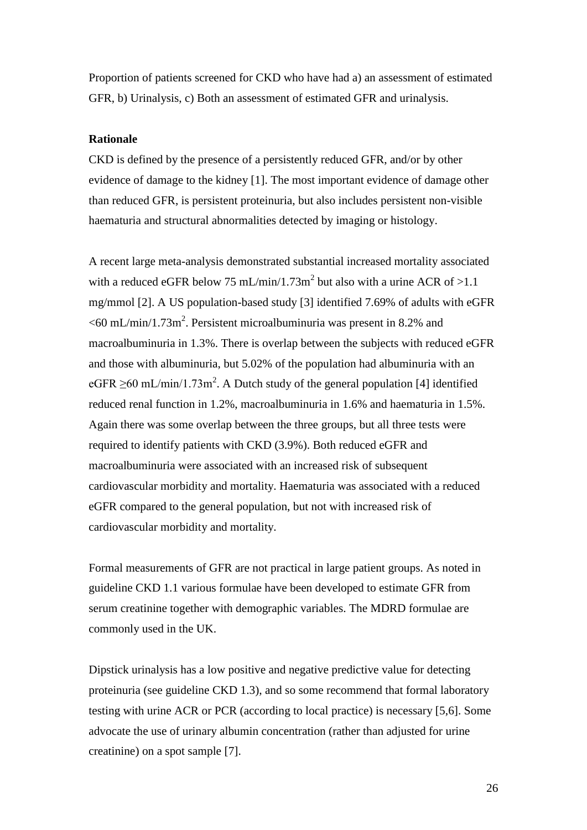Proportion of patients screened for CKD who have had a) an assessment of estimated GFR, b) Urinalysis, c) Both an assessment of estimated GFR and urinalysis.

#### **Rationale**

CKD is defined by the presence of a persistently reduced GFR, and/or by other evidence of damage to the kidney [1]. The most important evidence of damage other than reduced GFR, is persistent proteinuria, but also includes persistent non-visible haematuria and structural abnormalities detected by imaging or histology.

A recent large meta-analysis demonstrated substantial increased mortality associated with a reduced eGFR below 75 mL/min/1.73m<sup>2</sup> but also with a urine ACR of >1.1 mg/mmol [2]. A US population-based study [3] identified 7.69% of adults with eGFR  $\leq 60$  mL/min/1.73m<sup>2</sup>. Persistent microalbuminuria was present in 8.2% and macroalbuminuria in 1.3%. There is overlap between the subjects with reduced eGFR and those with albuminuria, but 5.02% of the population had albuminuria with an eGFR  $\geq$ 60 mL/min/1.73m<sup>2</sup>. A Dutch study of the general population [4] identified reduced renal function in 1.2%, macroalbuminuria in 1.6% and haematuria in 1.5%. Again there was some overlap between the three groups, but all three tests were required to identify patients with CKD (3.9%). Both reduced eGFR and macroalbuminuria were associated with an increased risk of subsequent cardiovascular morbidity and mortality. Haematuria was associated with a reduced eGFR compared to the general population, but not with increased risk of cardiovascular morbidity and mortality.

Formal measurements of GFR are not practical in large patient groups. As noted in guideline CKD 1.1 various formulae have been developed to estimate GFR from serum creatinine together with demographic variables. The MDRD formulae are commonly used in the UK.

Dipstick urinalysis has a low positive and negative predictive value for detecting proteinuria (see guideline CKD 1.3), and so some recommend that formal laboratory testing with urine ACR or PCR (according to local practice) is necessary [5,6]. Some advocate the use of urinary albumin concentration (rather than adjusted for urine creatinine) on a spot sample [7].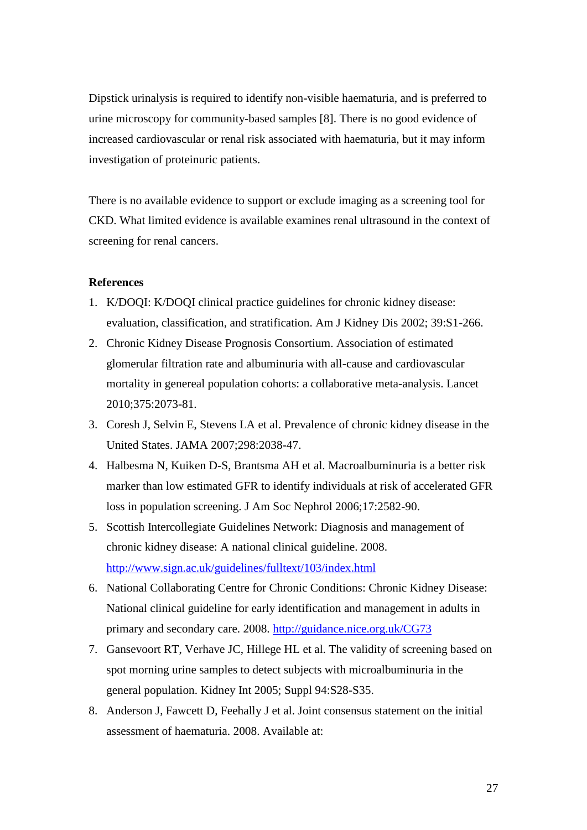Dipstick urinalysis is required to identify non-visible haematuria, and is preferred to urine microscopy for community-based samples [8]. There is no good evidence of increased cardiovascular or renal risk associated with haematuria, but it may inform investigation of proteinuric patients.

There is no available evidence to support or exclude imaging as a screening tool for CKD. What limited evidence is available examines renal ultrasound in the context of screening for renal cancers.

- 1. K/DOQI: K/DOQI clinical practice guidelines for chronic kidney disease: evaluation, classification, and stratification. Am J Kidney Dis 2002; 39:S1-266.
- 2. Chronic Kidney Disease Prognosis Consortium. Association of estimated glomerular filtration rate and albuminuria with all-cause and cardiovascular mortality in genereal population cohorts: a collaborative meta-analysis. Lancet 2010;375:2073-81.
- 3. Coresh J, Selvin E, Stevens LA et al. Prevalence of chronic kidney disease in the United States. JAMA 2007;298:2038-47.
- 4. Halbesma N, Kuiken D-S, Brantsma AH et al. Macroalbuminuria is a better risk marker than low estimated GFR to identify individuals at risk of accelerated GFR loss in population screening. J Am Soc Nephrol 2006;17:2582-90.
- 5. Scottish Intercollegiate Guidelines Network: Diagnosis and management of chronic kidney disease: A national clinical guideline. 2008. <http://www.sign.ac.uk/guidelines/fulltext/103/index.html>
- 6. National Collaborating Centre for Chronic Conditions: Chronic Kidney Disease: National clinical guideline for early identification and management in adults in primary and secondary care. 2008.<http://guidance.nice.org.uk/CG73>
- 7. Gansevoort RT, Verhave JC, Hillege HL et al. The validity of screening based on spot morning urine samples to detect subjects with microalbuminuria in the general population. Kidney Int 2005; Suppl 94:S28-S35.
- 8. Anderson J, Fawcett D, Feehally J et al. Joint consensus statement on the initial assessment of haematuria. 2008. Available at: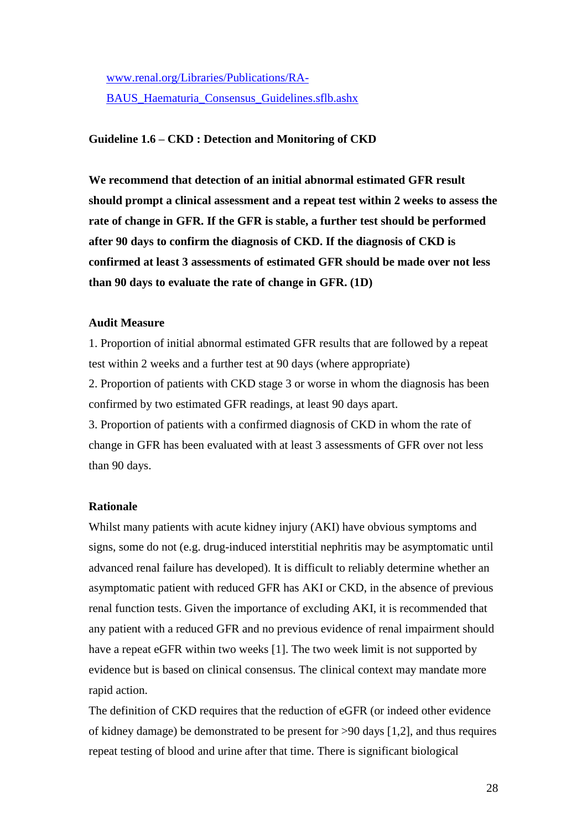[www.renal.org/Libraries/Publications/RA-](http://www.renal.org/Libraries/Publications/RA-BAUS_Haematuria_Consensus_Guidelines.sflb.ashx)[BAUS\\_Haematuria\\_Consensus\\_Guidelines.sflb.ashx](http://www.renal.org/Libraries/Publications/RA-BAUS_Haematuria_Consensus_Guidelines.sflb.ashx) 

#### **Guideline 1.6 – CKD : Detection and Monitoring of CKD**

**We recommend that detection of an initial abnormal estimated GFR result should prompt a clinical assessment and a repeat test within 2 weeks to assess the rate of change in GFR. If the GFR is stable, a further test should be performed after 90 days to confirm the diagnosis of CKD. If the diagnosis of CKD is confirmed at least 3 assessments of estimated GFR should be made over not less than 90 days to evaluate the rate of change in GFR. (1D)**

## **Audit Measure**

1. Proportion of initial abnormal estimated GFR results that are followed by a repeat test within 2 weeks and a further test at 90 days (where appropriate) 2. Proportion of patients with CKD stage 3 or worse in whom the diagnosis has been confirmed by two estimated GFR readings, at least 90 days apart. 3. Proportion of patients with a confirmed diagnosis of CKD in whom the rate of change in GFR has been evaluated with at least 3 assessments of GFR over not less than 90 days.

#### **Rationale**

Whilst many patients with acute kidney injury (AKI) have obvious symptoms and signs, some do not (e.g. drug-induced interstitial nephritis may be asymptomatic until advanced renal failure has developed). It is difficult to reliably determine whether an asymptomatic patient with reduced GFR has AKI or CKD, in the absence of previous renal function tests. Given the importance of excluding AKI, it is recommended that any patient with a reduced GFR and no previous evidence of renal impairment should have a repeat eGFR within two weeks [1]. The two week limit is not supported by evidence but is based on clinical consensus. The clinical context may mandate more rapid action.

The definition of CKD requires that the reduction of eGFR (or indeed other evidence of kidney damage) be demonstrated to be present for >90 days [1,2], and thus requires repeat testing of blood and urine after that time. There is significant biological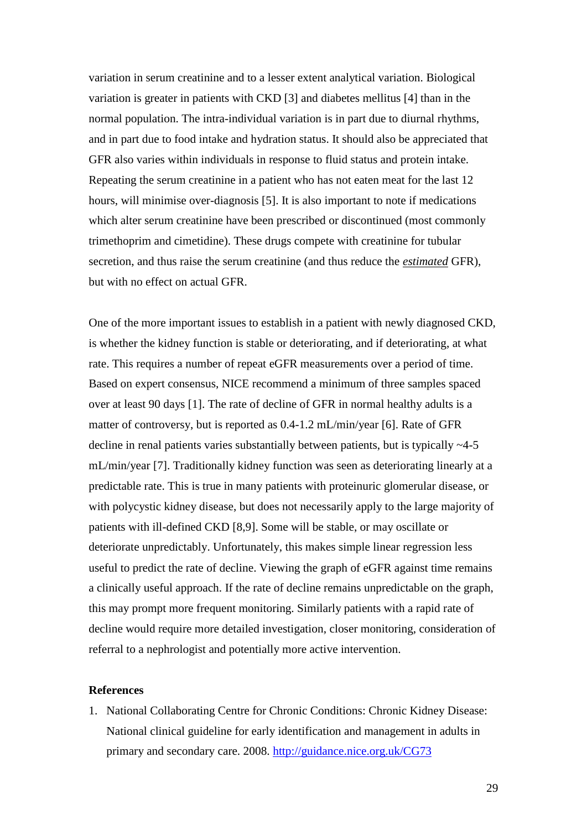variation in serum creatinine and to a lesser extent analytical variation. Biological variation is greater in patients with CKD [3] and diabetes mellitus [4] than in the normal population. The intra-individual variation is in part due to diurnal rhythms, and in part due to food intake and hydration status. It should also be appreciated that GFR also varies within individuals in response to fluid status and protein intake. Repeating the serum creatinine in a patient who has not eaten meat for the last 12 hours, will minimise over-diagnosis [5]. It is also important to note if medications which alter serum creatinine have been prescribed or discontinued (most commonly trimethoprim and cimetidine). These drugs compete with creatinine for tubular secretion, and thus raise the serum creatinine (and thus reduce the *estimated* GFR), but with no effect on actual GFR.

One of the more important issues to establish in a patient with newly diagnosed CKD, is whether the kidney function is stable or deteriorating, and if deteriorating, at what rate. This requires a number of repeat eGFR measurements over a period of time. Based on expert consensus, NICE recommend a minimum of three samples spaced over at least 90 days [1]. The rate of decline of GFR in normal healthy adults is a matter of controversy, but is reported as 0.4-1.2 mL/min/year [6]. Rate of GFR decline in renal patients varies substantially between patients, but is typically ~4-5 mL/min/year [7]. Traditionally kidney function was seen as deteriorating linearly at a predictable rate. This is true in many patients with proteinuric glomerular disease, or with polycystic kidney disease, but does not necessarily apply to the large majority of patients with ill-defined CKD [8,9]. Some will be stable, or may oscillate or deteriorate unpredictably. Unfortunately, this makes simple linear regression less useful to predict the rate of decline. Viewing the graph of eGFR against time remains a clinically useful approach. If the rate of decline remains unpredictable on the graph, this may prompt more frequent monitoring. Similarly patients with a rapid rate of decline would require more detailed investigation, closer monitoring, consideration of referral to a nephrologist and potentially more active intervention.

#### **References**

1. National Collaborating Centre for Chronic Conditions: Chronic Kidney Disease: National clinical guideline for early identification and management in adults in primary and secondary care. 2008.<http://guidance.nice.org.uk/CG73>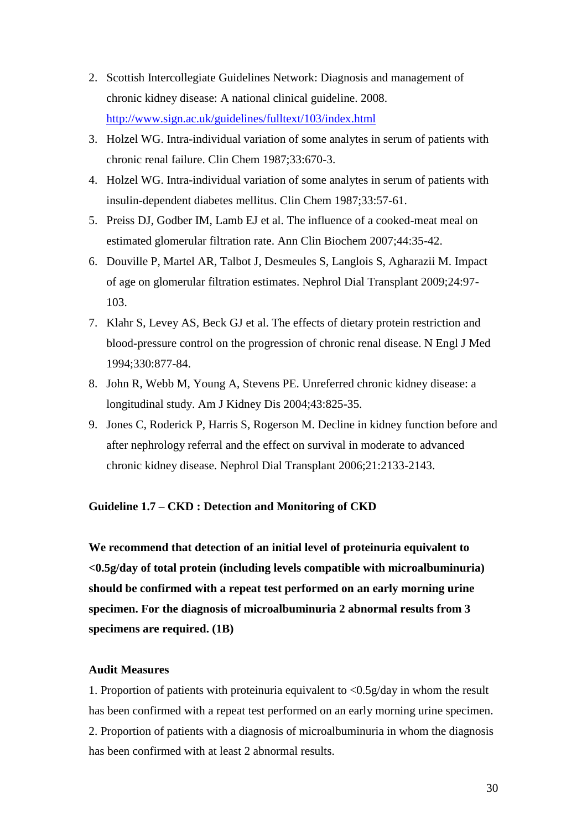- 2. Scottish Intercollegiate Guidelines Network: Diagnosis and management of chronic kidney disease: A national clinical guideline. 2008. <http://www.sign.ac.uk/guidelines/fulltext/103/index.html>
- 3. Holzel WG. Intra-individual variation of some analytes in serum of patients with chronic renal failure. Clin Chem 1987;33:670-3.
- 4. Holzel WG. Intra-individual variation of some analytes in serum of patients with insulin-dependent diabetes mellitus. Clin Chem 1987;33:57-61.
- 5. Preiss DJ, Godber IM, Lamb EJ et al. The influence of a cooked-meat meal on estimated glomerular filtration rate. Ann Clin Biochem 2007;44:35-42.
- 6. Douville P, Martel AR, Talbot J, Desmeules S, Langlois S, Agharazii M. Impact of age on glomerular filtration estimates. Nephrol Dial Transplant 2009;24:97- 103.
- 7. Klahr S, Levey AS, Beck GJ et al. The effects of dietary protein restriction and blood-pressure control on the progression of chronic renal disease. N Engl J Med 1994;330:877-84.
- 8. John R, Webb M, Young A, Stevens PE. Unreferred chronic kidney disease: a longitudinal study. Am J Kidney Dis 2004;43:825-35.
- 9. Jones C, Roderick P, Harris S, Rogerson M. Decline in kidney function before and after nephrology referral and the effect on survival in moderate to advanced chronic kidney disease. Nephrol Dial Transplant 2006;21:2133-2143.

# **Guideline 1.7 – CKD : Detection and Monitoring of CKD**

**We recommend that detection of an initial level of proteinuria equivalent to <0.5g/day of total protein (including levels compatible with microalbuminuria) should be confirmed with a repeat test performed on an early morning urine specimen. For the diagnosis of microalbuminuria 2 abnormal results from 3 specimens are required. (1B)**

## **Audit Measures**

1. Proportion of patients with proteinuria equivalent to <0.5g/day in whom the result has been confirmed with a repeat test performed on an early morning urine specimen. 2. Proportion of patients with a diagnosis of microalbuminuria in whom the diagnosis has been confirmed with at least 2 abnormal results.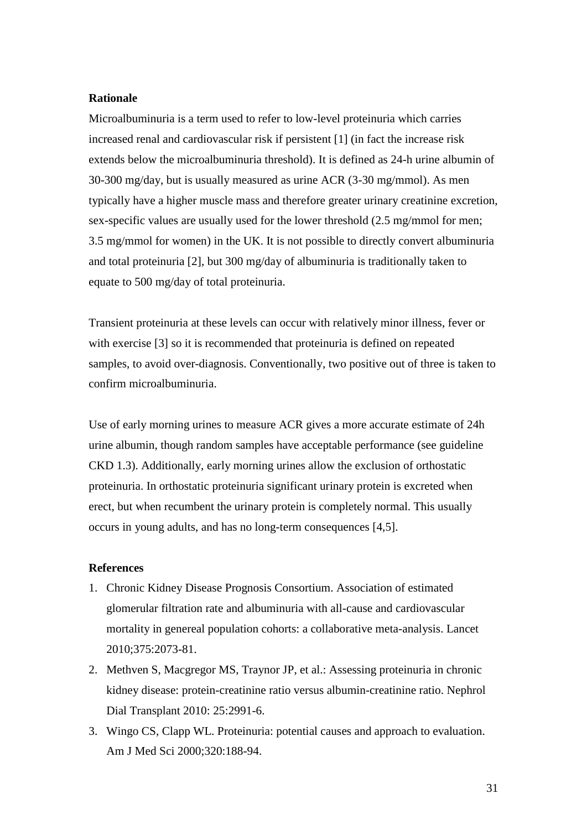#### **Rationale**

Microalbuminuria is a term used to refer to low-level proteinuria which carries increased renal and cardiovascular risk if persistent [1] (in fact the increase risk extends below the microalbuminuria threshold). It is defined as 24-h urine albumin of 30-300 mg/day, but is usually measured as urine ACR (3-30 mg/mmol). As men typically have a higher muscle mass and therefore greater urinary creatinine excretion, sex-specific values are usually used for the lower threshold (2.5 mg/mmol for men; 3.5 mg/mmol for women) in the UK. It is not possible to directly convert albuminuria and total proteinuria [2], but 300 mg/day of albuminuria is traditionally taken to equate to 500 mg/day of total proteinuria.

Transient proteinuria at these levels can occur with relatively minor illness, fever or with exercise [3] so it is recommended that proteinuria is defined on repeated samples, to avoid over-diagnosis. Conventionally, two positive out of three is taken to confirm microalbuminuria.

Use of early morning urines to measure ACR gives a more accurate estimate of 24h urine albumin, though random samples have acceptable performance (see guideline CKD 1.3). Additionally, early morning urines allow the exclusion of orthostatic proteinuria. In orthostatic proteinuria significant urinary protein is excreted when erect, but when recumbent the urinary protein is completely normal. This usually occurs in young adults, and has no long-term consequences [4,5].

- 1. Chronic Kidney Disease Prognosis Consortium. Association of estimated glomerular filtration rate and albuminuria with all-cause and cardiovascular mortality in genereal population cohorts: a collaborative meta-analysis. Lancet 2010;375:2073-81.
- 2. Methven S, Macgregor MS, Traynor JP, et al.: Assessing proteinuria in chronic kidney disease: protein-creatinine ratio versus albumin-creatinine ratio. Nephrol Dial Transplant 2010: 25:2991-6.
- 3. Wingo CS, Clapp WL. Proteinuria: potential causes and approach to evaluation. Am J Med Sci 2000;320:188-94.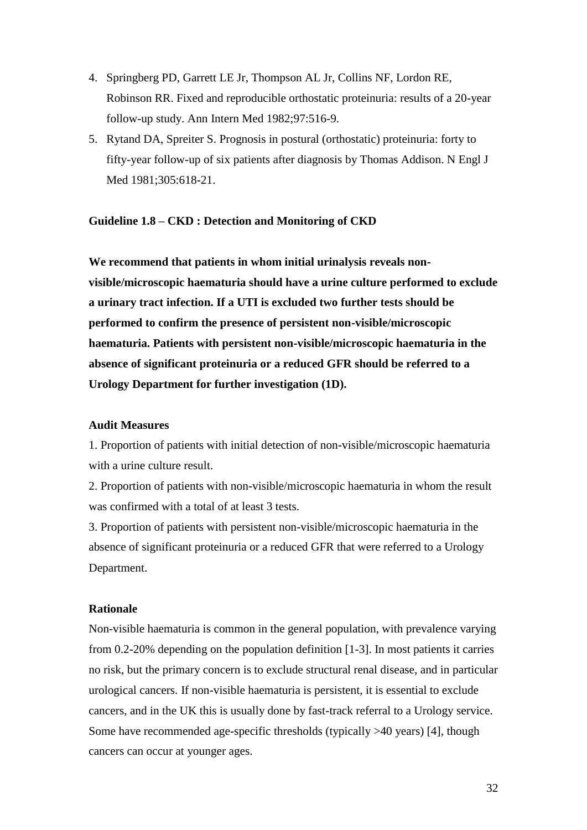- 4. Springberg PD, Garrett LE Jr, Thompson AL Jr, Collins NF, Lordon RE, Robinson RR. Fixed and reproducible orthostatic proteinuria: results of a 20-year follow-up study. Ann Intern Med 1982;97:516-9.
- 5. Rytand DA, Spreiter S. Prognosis in postural (orthostatic) proteinuria: forty to fifty-year follow-up of six patients after diagnosis by Thomas Addison. N Engl J Med 1981;305:618-21.

### **Guideline 1.8 – CKD : Detection and Monitoring of CKD**

**We recommend that patients in whom initial urinalysis reveals nonvisible/microscopic haematuria should have a urine culture performed to exclude a urinary tract infection. If a UTI is excluded two further tests should be performed to confirm the presence of persistent non-visible/microscopic haematuria. Patients with persistent non-visible/microscopic haematuria in the absence of significant proteinuria or a reduced GFR should be referred to a Urology Department for further investigation (1D).**

### **Audit Measures**

1. Proportion of patients with initial detection of non-visible/microscopic haematuria with a urine culture result.

2. Proportion of patients with non-visible/microscopic haematuria in whom the result was confirmed with a total of at least 3 tests.

3. Proportion of patients with persistent non-visible/microscopic haematuria in the absence of significant proteinuria or a reduced GFR that were referred to a Urology Department.

# **Rationale**

Non-visible haematuria is common in the general population, with prevalence varying from 0.2-20% depending on the population definition [1-3]. In most patients it carries no risk, but the primary concern is to exclude structural renal disease, and in particular urological cancers. If non-visible haematuria is persistent, it is essential to exclude cancers, and in the UK this is usually done by fast-track referral to a Urology service. Some have recommended age-specific thresholds (typically >40 years) [4], though cancers can occur at younger ages.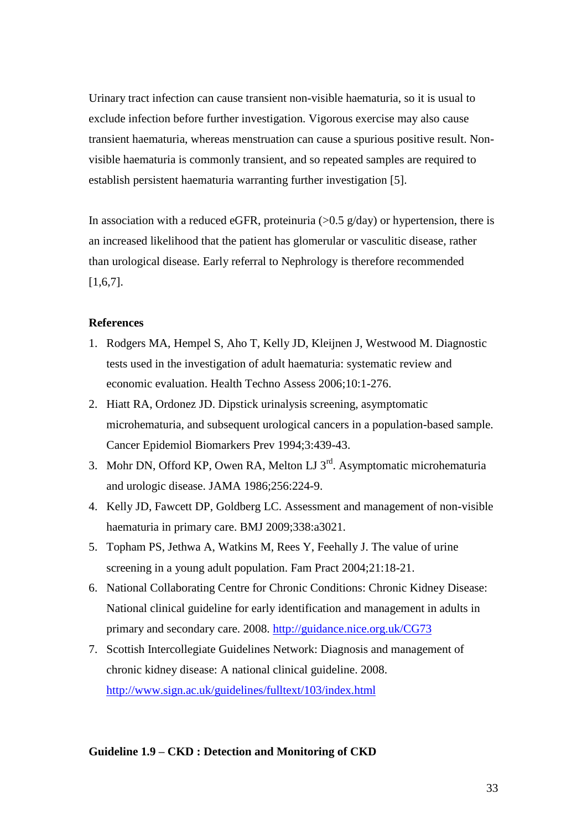Urinary tract infection can cause transient non-visible haematuria, so it is usual to exclude infection before further investigation. Vigorous exercise may also cause transient haematuria, whereas menstruation can cause a spurious positive result. Nonvisible haematuria is commonly transient, and so repeated samples are required to establish persistent haematuria warranting further investigation [5].

In association with a reduced eGFR, proteinuria  $(>0.5 \text{ g/day})$  or hypertension, there is an increased likelihood that the patient has glomerular or vasculitic disease, rather than urological disease. Early referral to Nephrology is therefore recommended [1,6,7].

### **References**

- 1. Rodgers MA, Hempel S, Aho T, Kelly JD, Kleijnen J, Westwood M. Diagnostic tests used in the investigation of adult haematuria: systematic review and economic evaluation. Health Techno Assess 2006;10:1-276.
- 2. Hiatt RA, Ordonez JD. Dipstick urinalysis screening, asymptomatic microhematuria, and subsequent urological cancers in a population-based sample. Cancer Epidemiol Biomarkers Prev 1994;3:439-43.
- 3. Mohr DN, Offord KP, Owen RA, Melton LJ 3<sup>rd</sup>. Asymptomatic microhematuria and urologic disease. JAMA 1986;256:224-9.
- 4. Kelly JD, Fawcett DP, Goldberg LC. Assessment and management of non-visible haematuria in primary care. BMJ 2009;338:a3021.
- 5. Topham PS, Jethwa A, Watkins M, Rees Y, Feehally J. The value of urine screening in a young adult population. Fam Pract 2004;21:18-21.
- 6. National Collaborating Centre for Chronic Conditions: Chronic Kidney Disease: National clinical guideline for early identification and management in adults in primary and secondary care. 2008.<http://guidance.nice.org.uk/CG73>
- 7. Scottish Intercollegiate Guidelines Network: Diagnosis and management of chronic kidney disease: A national clinical guideline. 2008. <http://www.sign.ac.uk/guidelines/fulltext/103/index.html>

#### **Guideline 1.9 – CKD : Detection and Monitoring of CKD**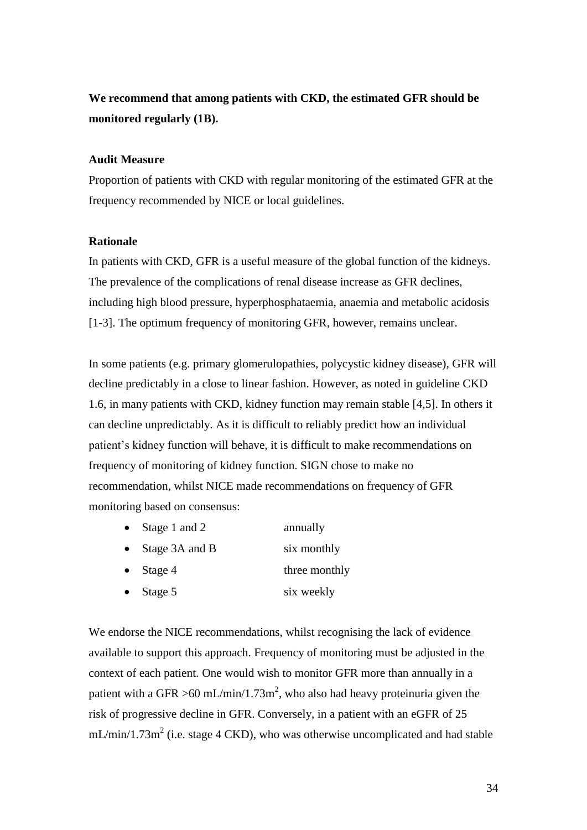**We recommend that among patients with CKD, the estimated GFR should be monitored regularly (1B).**

# **Audit Measure**

Proportion of patients with CKD with regular monitoring of the estimated GFR at the frequency recommended by NICE or local guidelines.

#### **Rationale**

In patients with CKD, GFR is a useful measure of the global function of the kidneys. The prevalence of the complications of renal disease increase as GFR declines, including high blood pressure, hyperphosphataemia, anaemia and metabolic acidosis [1-3]. The optimum frequency of monitoring GFR, however, remains unclear.

In some patients (e.g. primary glomerulopathies, polycystic kidney disease), GFR will decline predictably in a close to linear fashion. However, as noted in guideline CKD 1.6, in many patients with CKD, kidney function may remain stable [4,5]. In others it can decline unpredictably. As it is difficult to reliably predict how an individual patient's kidney function will behave, it is difficult to make recommendations on frequency of monitoring of kidney function. SIGN chose to make no recommendation, whilst NICE made recommendations on frequency of GFR monitoring based on consensus:

|  | Stage 1 and 2 | annually |
|--|---------------|----------|
|--|---------------|----------|

• Stage 3A and B six monthly

- Stage 4 three monthly
- Stage 5 six weekly

We endorse the NICE recommendations, whilst recognising the lack of evidence available to support this approach. Frequency of monitoring must be adjusted in the context of each patient. One would wish to monitor GFR more than annually in a patient with a GFR >60 mL/min/1.73m<sup>2</sup>, who also had heavy proteinuria given the risk of progressive decline in GFR. Conversely, in a patient with an eGFR of 25  $mL/min/1.73m<sup>2</sup>$  (i.e. stage 4 CKD), who was otherwise uncomplicated and had stable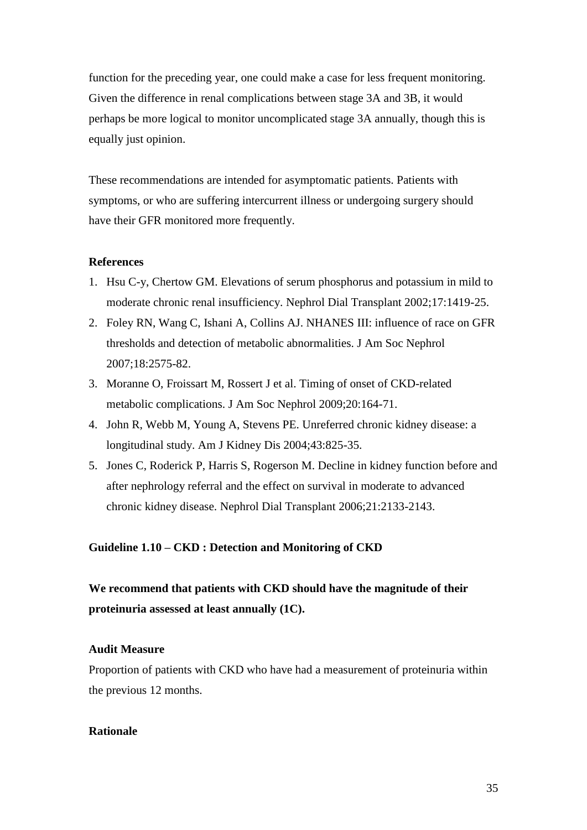function for the preceding year, one could make a case for less frequent monitoring. Given the difference in renal complications between stage 3A and 3B, it would perhaps be more logical to monitor uncomplicated stage 3A annually, though this is equally just opinion.

These recommendations are intended for asymptomatic patients. Patients with symptoms, or who are suffering intercurrent illness or undergoing surgery should have their GFR monitored more frequently.

### **References**

- 1. Hsu C-y, Chertow GM. Elevations of serum phosphorus and potassium in mild to moderate chronic renal insufficiency. Nephrol Dial Transplant 2002;17:1419-25.
- 2. Foley RN, Wang C, Ishani A, Collins AJ. NHANES III: influence of race on GFR thresholds and detection of metabolic abnormalities. J Am Soc Nephrol 2007;18:2575-82.
- 3. Moranne O, Froissart M, Rossert J et al. Timing of onset of CKD-related metabolic complications. J Am Soc Nephrol 2009;20:164-71.
- 4. John R, Webb M, Young A, Stevens PE. Unreferred chronic kidney disease: a longitudinal study. Am J Kidney Dis 2004;43:825-35.
- 5. Jones C, Roderick P, Harris S, Rogerson M. Decline in kidney function before and after nephrology referral and the effect on survival in moderate to advanced chronic kidney disease. Nephrol Dial Transplant 2006;21:2133-2143.

#### **Guideline 1.10 – CKD : Detection and Monitoring of CKD**

# **We recommend that patients with CKD should have the magnitude of their proteinuria assessed at least annually (1C).**

#### **Audit Measure**

Proportion of patients with CKD who have had a measurement of proteinuria within the previous 12 months.

# **Rationale**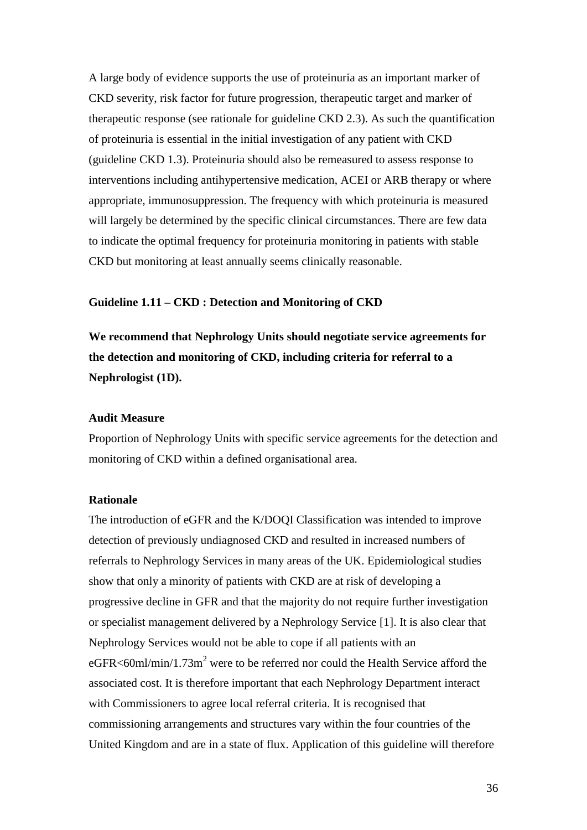A large body of evidence supports the use of proteinuria as an important marker of CKD severity, risk factor for future progression, therapeutic target and marker of therapeutic response (see rationale for guideline CKD 2.3). As such the quantification of proteinuria is essential in the initial investigation of any patient with CKD (guideline CKD 1.3). Proteinuria should also be remeasured to assess response to interventions including antihypertensive medication, ACEI or ARB therapy or where appropriate, immunosuppression. The frequency with which proteinuria is measured will largely be determined by the specific clinical circumstances. There are few data to indicate the optimal frequency for proteinuria monitoring in patients with stable CKD but monitoring at least annually seems clinically reasonable.

#### **Guideline 1.11 – CKD : Detection and Monitoring of CKD**

**We recommend that Nephrology Units should negotiate service agreements for the detection and monitoring of CKD, including criteria for referral to a Nephrologist (1D).**

#### **Audit Measure**

Proportion of Nephrology Units with specific service agreements for the detection and monitoring of CKD within a defined organisational area.

#### **Rationale**

The introduction of eGFR and the K/DOQI Classification was intended to improve detection of previously undiagnosed CKD and resulted in increased numbers of referrals to Nephrology Services in many areas of the UK. Epidemiological studies show that only a minority of patients with CKD are at risk of developing a progressive decline in GFR and that the majority do not require further investigation or specialist management delivered by a Nephrology Service [1]. It is also clear that Nephrology Services would not be able to cope if all patients with an  $e$ GFR<60ml/min/1.73m<sup>2</sup> were to be referred nor could the Health Service afford the associated cost. It is therefore important that each Nephrology Department interact with Commissioners to agree local referral criteria. It is recognised that commissioning arrangements and structures vary within the four countries of the United Kingdom and are in a state of flux. Application of this guideline will therefore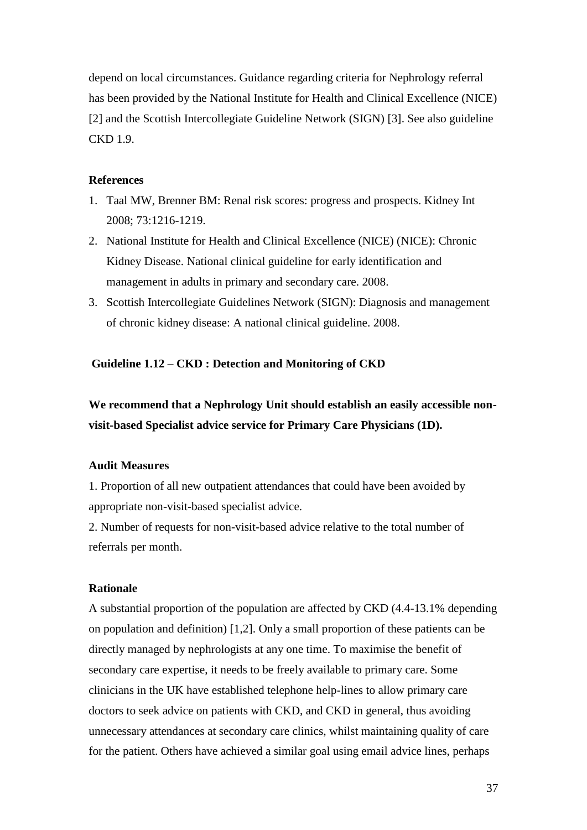depend on local circumstances. Guidance regarding criteria for Nephrology referral has been provided by the National Institute for Health and Clinical Excellence (NICE) [2] and the Scottish Intercollegiate Guideline Network (SIGN) [3]. See also guideline  $CKD 1.9$ 

### **References**

- 1. Taal MW, Brenner BM: Renal risk scores: progress and prospects. Kidney Int 2008; 73:1216-1219.
- 2. National Institute for Health and Clinical Excellence (NICE) (NICE): Chronic Kidney Disease. National clinical guideline for early identification and management in adults in primary and secondary care. 2008.
- 3. Scottish Intercollegiate Guidelines Network (SIGN): Diagnosis and management of chronic kidney disease: A national clinical guideline. 2008.

### **Guideline 1.12 – CKD : Detection and Monitoring of CKD**

**We recommend that a Nephrology Unit should establish an easily accessible nonvisit-based Specialist advice service for Primary Care Physicians (1D).**

#### **Audit Measures**

1. Proportion of all new outpatient attendances that could have been avoided by appropriate non-visit-based specialist advice.

2. Number of requests for non-visit-based advice relative to the total number of referrals per month.

# **Rationale**

A substantial proportion of the population are affected by CKD (4.4-13.1% depending on population and definition) [1,2]. Only a small proportion of these patients can be directly managed by nephrologists at any one time. To maximise the benefit of secondary care expertise, it needs to be freely available to primary care. Some clinicians in the UK have established telephone help-lines to allow primary care doctors to seek advice on patients with CKD, and CKD in general, thus avoiding unnecessary attendances at secondary care clinics, whilst maintaining quality of care for the patient. Others have achieved a similar goal using email advice lines, perhaps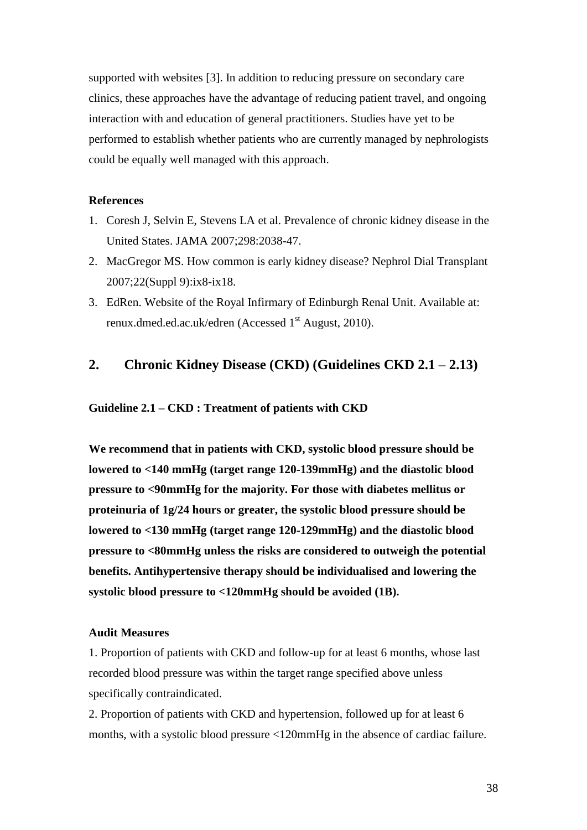supported with websites [3]. In addition to reducing pressure on secondary care clinics, these approaches have the advantage of reducing patient travel, and ongoing interaction with and education of general practitioners. Studies have yet to be performed to establish whether patients who are currently managed by nephrologists could be equally well managed with this approach.

#### **References**

- 1. Coresh J, Selvin E, Stevens LA et al. Prevalence of chronic kidney disease in the United States. JAMA 2007;298:2038-47.
- 2. MacGregor MS. How common is early kidney disease? Nephrol Dial Transplant 2007;22(Suppl 9):ix8-ix18.
- 3. EdRen. Website of the Royal Infirmary of Edinburgh Renal Unit. Available at: renux.dmed.ed.ac.uk/edren (Accessed 1<sup>st</sup> August, 2010).

# **2. Chronic Kidney Disease (CKD) (Guidelines CKD 2.1 – 2.13)**

#### **Guideline 2.1 – CKD : Treatment of patients with CKD**

**We recommend that in patients with CKD, systolic blood pressure should be lowered to <140 mmHg (target range 120-139mmHg) and the diastolic blood pressure to <90mmHg for the majority. For those with diabetes mellitus or proteinuria of 1g/24 hours or greater, the systolic blood pressure should be lowered to <130 mmHg (target range 120-129mmHg) and the diastolic blood pressure to <80mmHg unless the risks are considered to outweigh the potential benefits. Antihypertensive therapy should be individualised and lowering the systolic blood pressure to <120mmHg should be avoided (1B).**

# **Audit Measures**

1. Proportion of patients with CKD and follow-up for at least 6 months, whose last recorded blood pressure was within the target range specified above unless specifically contraindicated.

2. Proportion of patients with CKD and hypertension, followed up for at least 6 months, with a systolic blood pressure <120mmHg in the absence of cardiac failure.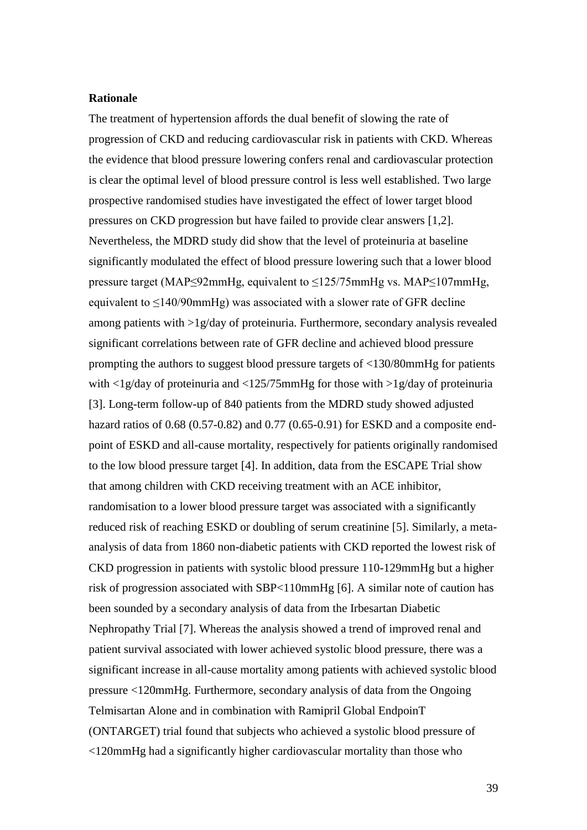#### **Rationale**

The treatment of hypertension affords the dual benefit of slowing the rate of progression of CKD and reducing cardiovascular risk in patients with CKD. Whereas the evidence that blood pressure lowering confers renal and cardiovascular protection is clear the optimal level of blood pressure control is less well established. Two large prospective randomised studies have investigated the effect of lower target blood pressures on CKD progression but have failed to provide clear answers [1,2]. Nevertheless, the MDRD study did show that the level of proteinuria at baseline significantly modulated the effect of blood pressure lowering such that a lower blood pressure target (MAP≤92mmHg, equivalent to ≤125/75mmHg vs. MAP≤107mmHg, equivalent to  $\leq$ 140/90mmHg) was associated with a slower rate of GFR decline among patients with >1g/day of proteinuria. Furthermore, secondary analysis revealed significant correlations between rate of GFR decline and achieved blood pressure prompting the authors to suggest blood pressure targets of <130/80mmHg for patients with <1g/day of proteinuria and <125/75mmHg for those with >1g/day of proteinuria [3]. Long-term follow-up of 840 patients from the MDRD study showed adjusted hazard ratios of 0.68 (0.57-0.82) and 0.77 (0.65-0.91) for ESKD and a composite endpoint of ESKD and all-cause mortality, respectively for patients originally randomised to the low blood pressure target [4]. In addition, data from the ESCAPE Trial show that among children with CKD receiving treatment with an ACE inhibitor, randomisation to a lower blood pressure target was associated with a significantly reduced risk of reaching ESKD or doubling of serum creatinine [5]. Similarly, a metaanalysis of data from 1860 non-diabetic patients with CKD reported the lowest risk of CKD progression in patients with systolic blood pressure 110-129mmHg but a higher risk of progression associated with SBP<110mmHg [6]. A similar note of caution has been sounded by a secondary analysis of data from the Irbesartan Diabetic Nephropathy Trial [7]. Whereas the analysis showed a trend of improved renal and patient survival associated with lower achieved systolic blood pressure, there was a significant increase in all-cause mortality among patients with achieved systolic blood pressure <120mmHg. Furthermore, secondary analysis of data from the Ongoing Telmisartan Alone and in combination with Ramipril Global EndpoinT (ONTARGET) trial found that subjects who achieved a systolic blood pressure of <120mmHg had a significantly higher cardiovascular mortality than those who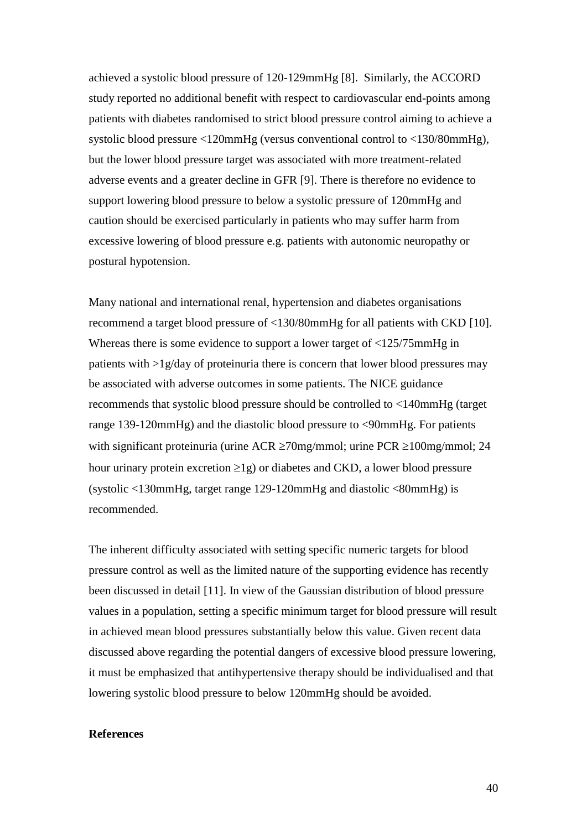achieved a systolic blood pressure of 120-129mmHg [8]. Similarly, the ACCORD study reported no additional benefit with respect to cardiovascular end-points among patients with diabetes randomised to strict blood pressure control aiming to achieve a systolic blood pressure <120mmHg (versus conventional control to <130/80mmHg), but the lower blood pressure target was associated with more treatment-related adverse events and a greater decline in GFR [9]. There is therefore no evidence to support lowering blood pressure to below a systolic pressure of 120mmHg and caution should be exercised particularly in patients who may suffer harm from excessive lowering of blood pressure e.g. patients with autonomic neuropathy or postural hypotension.

Many national and international renal, hypertension and diabetes organisations recommend a target blood pressure of <130/80mmHg for all patients with CKD [10]. Whereas there is some evidence to support a lower target of  $\langle 125/75 \text{mmHg} \rangle$  in patients with >1g/day of proteinuria there is concern that lower blood pressures may be associated with adverse outcomes in some patients. The NICE guidance recommends that systolic blood pressure should be controlled to <140mmHg (target range 139-120mmHg) and the diastolic blood pressure to <90mmHg. For patients with significant proteinuria (urine ACR  $\geq$  70mg/mmol; urine PCR  $\geq$  100mg/mmol; 24 hour urinary protein excretion  $\geq 1g$ ) or diabetes and CKD, a lower blood pressure (systolic <130mmHg, target range 129-120mmHg and diastolic <80mmHg) is recommended.

The inherent difficulty associated with setting specific numeric targets for blood pressure control as well as the limited nature of the supporting evidence has recently been discussed in detail [11]. In view of the Gaussian distribution of blood pressure values in a population, setting a specific minimum target for blood pressure will result in achieved mean blood pressures substantially below this value. Given recent data discussed above regarding the potential dangers of excessive blood pressure lowering, it must be emphasized that antihypertensive therapy should be individualised and that lowering systolic blood pressure to below 120mmHg should be avoided.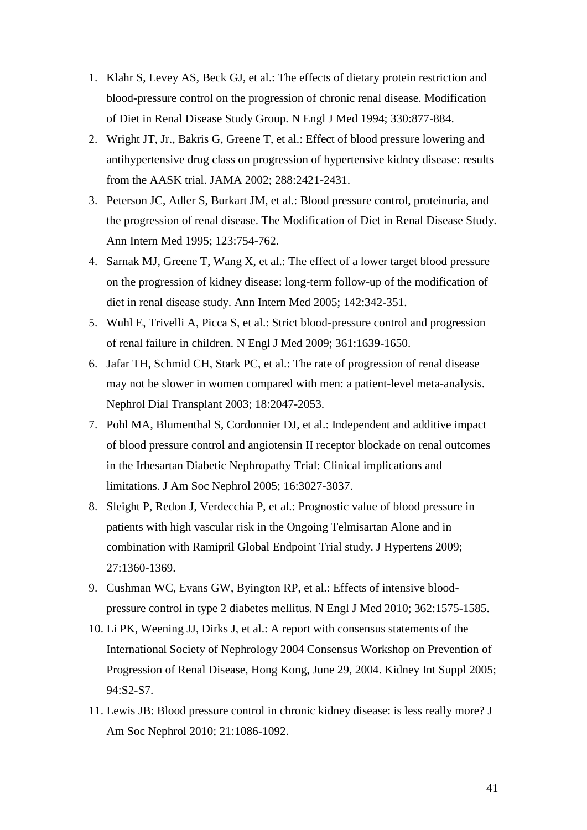- 1. Klahr S, Levey AS, Beck GJ, et al.: The effects of dietary protein restriction and blood-pressure control on the progression of chronic renal disease. Modification of Diet in Renal Disease Study Group. N Engl J Med 1994; 330:877-884.
- 2. Wright JT, Jr., Bakris G, Greene T, et al.: Effect of blood pressure lowering and antihypertensive drug class on progression of hypertensive kidney disease: results from the AASK trial. JAMA 2002; 288:2421-2431.
- 3. Peterson JC, Adler S, Burkart JM, et al.: Blood pressure control, proteinuria, and the progression of renal disease. The Modification of Diet in Renal Disease Study. Ann Intern Med 1995; 123:754-762.
- 4. Sarnak MJ, Greene T, Wang X, et al.: The effect of a lower target blood pressure on the progression of kidney disease: long-term follow-up of the modification of diet in renal disease study. Ann Intern Med 2005; 142:342-351.
- 5. Wuhl E, Trivelli A, Picca S, et al.: Strict blood-pressure control and progression of renal failure in children. N Engl J Med 2009; 361:1639-1650.
- 6. Jafar TH, Schmid CH, Stark PC, et al.: The rate of progression of renal disease may not be slower in women compared with men: a patient-level meta-analysis. Nephrol Dial Transplant 2003; 18:2047-2053.
- 7. Pohl MA, Blumenthal S, Cordonnier DJ, et al.: Independent and additive impact of blood pressure control and angiotensin II receptor blockade on renal outcomes in the Irbesartan Diabetic Nephropathy Trial: Clinical implications and limitations. J Am Soc Nephrol 2005; 16:3027-3037.
- 8. Sleight P, Redon J, Verdecchia P, et al.: Prognostic value of blood pressure in patients with high vascular risk in the Ongoing Telmisartan Alone and in combination with Ramipril Global Endpoint Trial study. J Hypertens 2009; 27:1360-1369.
- 9. Cushman WC, Evans GW, Byington RP, et al.: Effects of intensive bloodpressure control in type 2 diabetes mellitus. N Engl J Med 2010; 362:1575-1585.
- 10. Li PK, Weening JJ, Dirks J, et al.: A report with consensus statements of the International Society of Nephrology 2004 Consensus Workshop on Prevention of Progression of Renal Disease, Hong Kong, June 29, 2004. Kidney Int Suppl 2005; 94:S2-S7.
- 11. Lewis JB: Blood pressure control in chronic kidney disease: is less really more? J Am Soc Nephrol 2010; 21:1086-1092.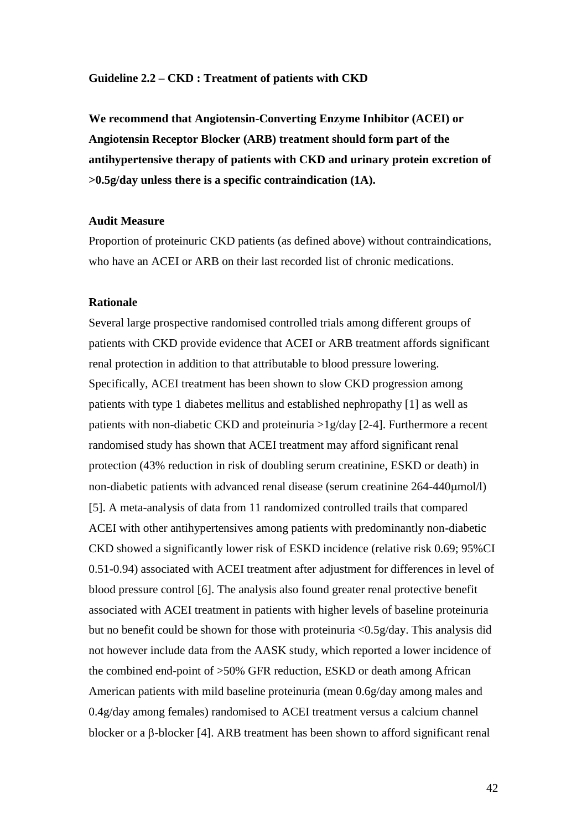#### **Guideline 2.2 – CKD : Treatment of patients with CKD**

**We recommend that Angiotensin-Converting Enzyme Inhibitor (ACEI) or Angiotensin Receptor Blocker (ARB) treatment should form part of the antihypertensive therapy of patients with CKD and urinary protein excretion of >0.5g/day unless there is a specific contraindication (1A).**

#### **Audit Measure**

Proportion of proteinuric CKD patients (as defined above) without contraindications, who have an ACEI or ARB on their last recorded list of chronic medications.

#### **Rationale**

Several large prospective randomised controlled trials among different groups of patients with CKD provide evidence that ACEI or ARB treatment affords significant renal protection in addition to that attributable to blood pressure lowering. Specifically, ACEI treatment has been shown to slow CKD progression among patients with type 1 diabetes mellitus and established nephropathy [1] as well as patients with non-diabetic CKD and proteinuria >1g/day [2-4]. Furthermore a recent randomised study has shown that ACEI treatment may afford significant renal protection (43% reduction in risk of doubling serum creatinine, ESKD or death) in non-diabetic patients with advanced renal disease (serum creatinine 264-440 $\mu$ mol/l) [5]. A meta-analysis of data from 11 randomized controlled trails that compared ACEI with other antihypertensives among patients with predominantly non-diabetic CKD showed a significantly lower risk of ESKD incidence (relative risk 0.69; 95%CI 0.51-0.94) associated with ACEI treatment after adjustment for differences in level of blood pressure control [6]. The analysis also found greater renal protective benefit associated with ACEI treatment in patients with higher levels of baseline proteinuria but no benefit could be shown for those with proteinuria <0.5g/day. This analysis did not however include data from the AASK study, which reported a lower incidence of the combined end-point of >50% GFR reduction, ESKD or death among African American patients with mild baseline proteinuria (mean 0.6g/day among males and 0.4g/day among females) randomised to ACEI treatment versus a calcium channel blocker or a  $\beta$ -blocker [4]. ARB treatment has been shown to afford significant renal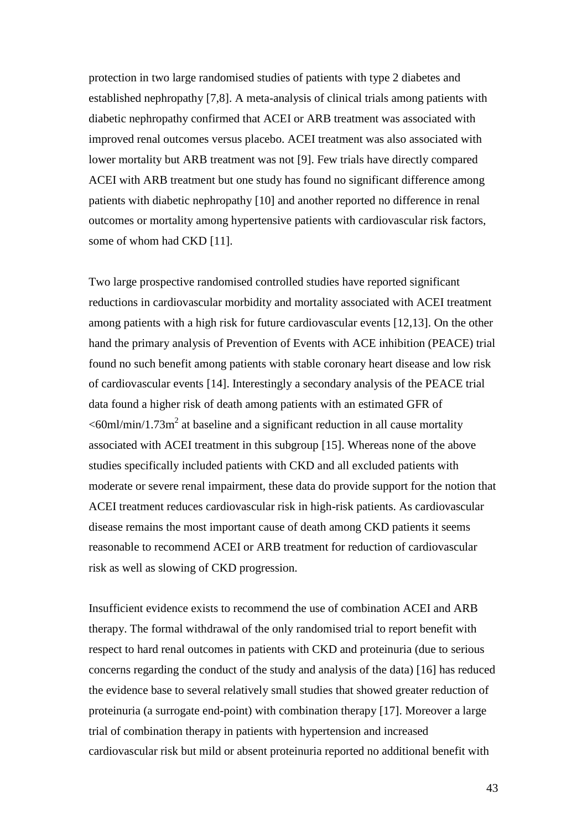protection in two large randomised studies of patients with type 2 diabetes and established nephropathy [7,8]. A meta-analysis of clinical trials among patients with diabetic nephropathy confirmed that ACEI or ARB treatment was associated with improved renal outcomes versus placebo. ACEI treatment was also associated with lower mortality but ARB treatment was not [9]. Few trials have directly compared ACEI with ARB treatment but one study has found no significant difference among patients with diabetic nephropathy [10] and another reported no difference in renal outcomes or mortality among hypertensive patients with cardiovascular risk factors, some of whom had CKD [11].

Two large prospective randomised controlled studies have reported significant reductions in cardiovascular morbidity and mortality associated with ACEI treatment among patients with a high risk for future cardiovascular events [12,13]. On the other hand the primary analysis of Prevention of Events with ACE inhibition (PEACE) trial found no such benefit among patients with stable coronary heart disease and low risk of cardiovascular events [14]. Interestingly a secondary analysis of the PEACE trial data found a higher risk of death among patients with an estimated GFR of  $\leq 60$ ml/min/1.73m<sup>2</sup> at baseline and a significant reduction in all cause mortality associated with ACEI treatment in this subgroup [15]. Whereas none of the above studies specifically included patients with CKD and all excluded patients with moderate or severe renal impairment, these data do provide support for the notion that ACEI treatment reduces cardiovascular risk in high-risk patients. As cardiovascular disease remains the most important cause of death among CKD patients it seems reasonable to recommend ACEI or ARB treatment for reduction of cardiovascular risk as well as slowing of CKD progression.

Insufficient evidence exists to recommend the use of combination ACEI and ARB therapy. The formal withdrawal of the only randomised trial to report benefit with respect to hard renal outcomes in patients with CKD and proteinuria (due to serious concerns regarding the conduct of the study and analysis of the data) [16] has reduced the evidence base to several relatively small studies that showed greater reduction of proteinuria (a surrogate end-point) with combination therapy [17]. Moreover a large trial of combination therapy in patients with hypertension and increased cardiovascular risk but mild or absent proteinuria reported no additional benefit with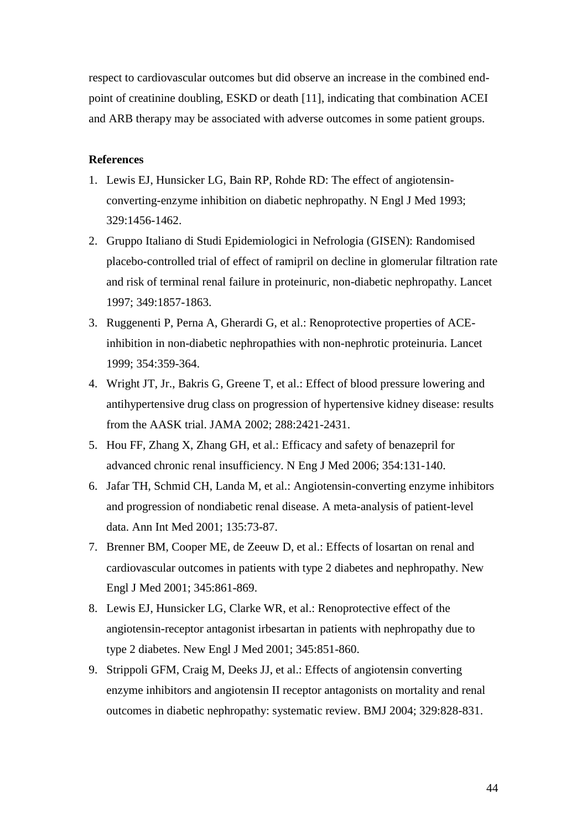respect to cardiovascular outcomes but did observe an increase in the combined endpoint of creatinine doubling, ESKD or death [11], indicating that combination ACEI and ARB therapy may be associated with adverse outcomes in some patient groups.

- 1. Lewis EJ, Hunsicker LG, Bain RP, Rohde RD: The effect of angiotensinconverting-enzyme inhibition on diabetic nephropathy. N Engl J Med 1993; 329:1456-1462.
- 2. Gruppo Italiano di Studi Epidemiologici in Nefrologia (GISEN): Randomised placebo-controlled trial of effect of ramipril on decline in glomerular filtration rate and risk of terminal renal failure in proteinuric, non-diabetic nephropathy. Lancet 1997; 349:1857-1863.
- 3. Ruggenenti P, Perna A, Gherardi G, et al.: Renoprotective properties of ACEinhibition in non-diabetic nephropathies with non-nephrotic proteinuria. Lancet 1999; 354:359-364.
- 4. Wright JT, Jr., Bakris G, Greene T, et al.: Effect of blood pressure lowering and antihypertensive drug class on progression of hypertensive kidney disease: results from the AASK trial. JAMA 2002; 288:2421-2431.
- 5. Hou FF, Zhang X, Zhang GH, et al.: Efficacy and safety of benazepril for advanced chronic renal insufficiency. N Eng J Med 2006; 354:131-140.
- 6. Jafar TH, Schmid CH, Landa M, et al.: Angiotensin-converting enzyme inhibitors and progression of nondiabetic renal disease. A meta-analysis of patient-level data. Ann Int Med 2001; 135:73-87.
- 7. Brenner BM, Cooper ME, de Zeeuw D, et al.: Effects of losartan on renal and cardiovascular outcomes in patients with type 2 diabetes and nephropathy. New Engl J Med 2001; 345:861-869.
- 8. Lewis EJ, Hunsicker LG, Clarke WR, et al.: Renoprotective effect of the angiotensin-receptor antagonist irbesartan in patients with nephropathy due to type 2 diabetes. New Engl J Med 2001; 345:851-860.
- 9. Strippoli GFM, Craig M, Deeks JJ, et al.: Effects of angiotensin converting enzyme inhibitors and angiotensin II receptor antagonists on mortality and renal outcomes in diabetic nephropathy: systematic review. BMJ 2004; 329:828-831.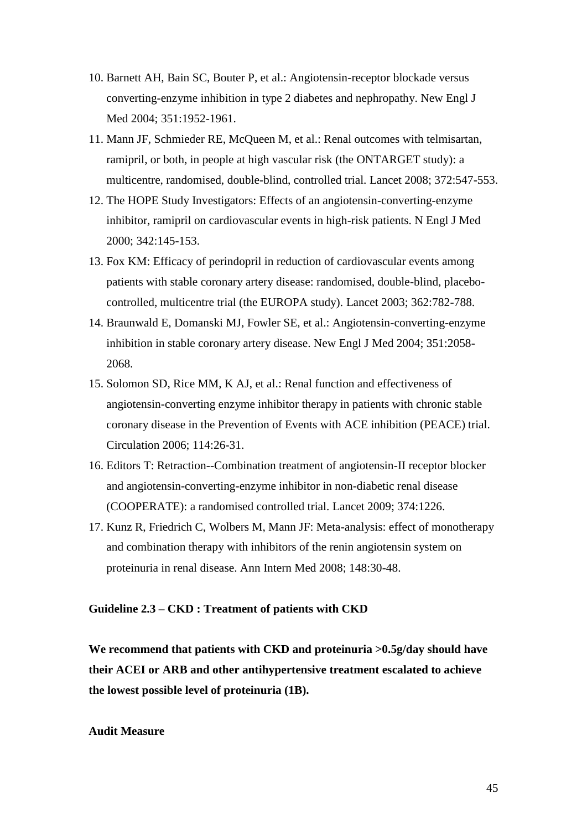- 10. Barnett AH, Bain SC, Bouter P, et al.: Angiotensin-receptor blockade versus converting-enzyme inhibition in type 2 diabetes and nephropathy. New Engl J Med 2004; 351:1952-1961.
- 11. Mann JF, Schmieder RE, McQueen M, et al.: Renal outcomes with telmisartan, ramipril, or both, in people at high vascular risk (the ONTARGET study): a multicentre, randomised, double-blind, controlled trial. Lancet 2008; 372:547-553.
- 12. The HOPE Study Investigators: Effects of an angiotensin-converting-enzyme inhibitor, ramipril on cardiovascular events in high-risk patients. N Engl J Med 2000; 342:145-153.
- 13. Fox KM: Efficacy of perindopril in reduction of cardiovascular events among patients with stable coronary artery disease: randomised, double-blind, placebocontrolled, multicentre trial (the EUROPA study). Lancet 2003; 362:782-788.
- 14. Braunwald E, Domanski MJ, Fowler SE, et al.: Angiotensin-converting-enzyme inhibition in stable coronary artery disease. New Engl J Med 2004; 351:2058- 2068.
- 15. Solomon SD, Rice MM, K AJ, et al.: Renal function and effectiveness of angiotensin-converting enzyme inhibitor therapy in patients with chronic stable coronary disease in the Prevention of Events with ACE inhibition (PEACE) trial. Circulation 2006; 114:26-31.
- 16. Editors T: Retraction--Combination treatment of angiotensin-II receptor blocker and angiotensin-converting-enzyme inhibitor in non-diabetic renal disease (COOPERATE): a randomised controlled trial. Lancet 2009; 374:1226.
- 17. Kunz R, Friedrich C, Wolbers M, Mann JF: Meta-analysis: effect of monotherapy and combination therapy with inhibitors of the renin angiotensin system on proteinuria in renal disease. Ann Intern Med 2008; 148:30-48.

# **Guideline 2.3 – CKD : Treatment of patients with CKD**

**We recommend that patients with CKD and proteinuria >0.5g/day should have their ACEI or ARB and other antihypertensive treatment escalated to achieve the lowest possible level of proteinuria (1B).**

# **Audit Measure**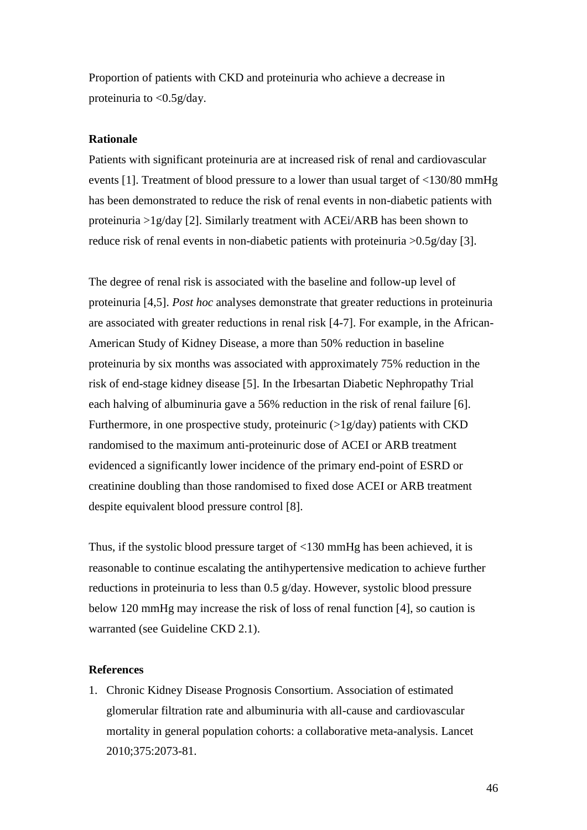Proportion of patients with CKD and proteinuria who achieve a decrease in proteinuria to <0.5g/day.

# **Rationale**

Patients with significant proteinuria are at increased risk of renal and cardiovascular events [1]. Treatment of blood pressure to a lower than usual target of <130/80 mmHg has been demonstrated to reduce the risk of renal events in non-diabetic patients with proteinuria >1g/day [2]. Similarly treatment with ACEi/ARB has been shown to reduce risk of renal events in non-diabetic patients with proteinuria >0.5g/day [3].

The degree of renal risk is associated with the baseline and follow-up level of proteinuria [4,5]. *Post hoc* analyses demonstrate that greater reductions in proteinuria are associated with greater reductions in renal risk [4-7]. For example, in the African-American Study of Kidney Disease, a more than 50% reduction in baseline proteinuria by six months was associated with approximately 75% reduction in the risk of end-stage kidney disease [5]. In the Irbesartan Diabetic Nephropathy Trial each halving of albuminuria gave a 56% reduction in the risk of renal failure [6]. Furthermore, in one prospective study, proteinuric  $(>\!1g/day)$  patients with CKD randomised to the maximum anti-proteinuric dose of ACEI or ARB treatment evidenced a significantly lower incidence of the primary end-point of ESRD or creatinine doubling than those randomised to fixed dose ACEI or ARB treatment despite equivalent blood pressure control [8].

Thus, if the systolic blood pressure target of <130 mmHg has been achieved, it is reasonable to continue escalating the antihypertensive medication to achieve further reductions in proteinuria to less than 0.5 g/day. However, systolic blood pressure below 120 mmHg may increase the risk of loss of renal function [4], so caution is warranted (see Guideline CKD 2.1).

#### **References**

1. Chronic Kidney Disease Prognosis Consortium. Association of estimated glomerular filtration rate and albuminuria with all-cause and cardiovascular mortality in general population cohorts: a collaborative meta-analysis. Lancet 2010;375:2073-81.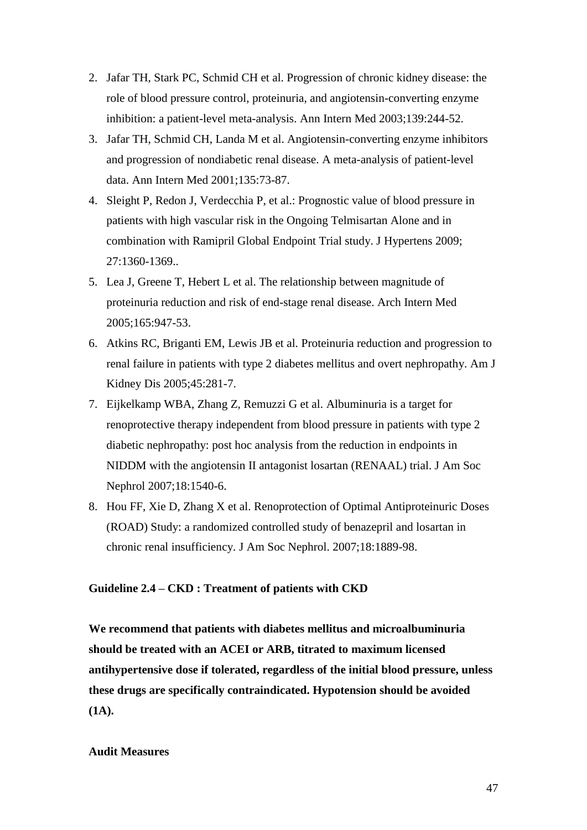- 2. Jafar TH, Stark PC, Schmid CH et al. Progression of chronic kidney disease: the role of blood pressure control, proteinuria, and angiotensin-converting enzyme inhibition: a patient-level meta-analysis. Ann Intern Med 2003;139:244-52.
- 3. Jafar TH, Schmid CH, Landa M et al. Angiotensin-converting enzyme inhibitors and progression of nondiabetic renal disease. A meta-analysis of patient-level data. Ann Intern Med 2001;135:73-87.
- 4. Sleight P, Redon J, Verdecchia P, et al.: Prognostic value of blood pressure in patients with high vascular risk in the Ongoing Telmisartan Alone and in combination with Ramipril Global Endpoint Trial study. J Hypertens 2009; 27:1360-1369..
- 5. Lea J, Greene T, Hebert L et al. The relationship between magnitude of proteinuria reduction and risk of end-stage renal disease. Arch Intern Med 2005;165:947-53.
- 6. Atkins RC, Briganti EM, Lewis JB et al. Proteinuria reduction and progression to renal failure in patients with type 2 diabetes mellitus and overt nephropathy. Am J Kidney Dis 2005;45:281-7.
- 7. Eijkelkamp WBA, Zhang Z, Remuzzi G et al. Albuminuria is a target for renoprotective therapy independent from blood pressure in patients with type 2 diabetic nephropathy: post hoc analysis from the reduction in endpoints in NIDDM with the angiotensin II antagonist losartan (RENAAL) trial. J Am Soc Nephrol 2007;18:1540-6.
- 8. Hou FF, Xie D, Zhang X et al. Renoprotection of Optimal Antiproteinuric Doses (ROAD) Study: a randomized controlled study of benazepril and losartan in chronic renal insufficiency. J Am Soc Nephrol. 2007;18:1889-98.

# **Guideline 2.4 – CKD : Treatment of patients with CKD**

**We recommend that patients with diabetes mellitus and microalbuminuria should be treated with an ACEI or ARB, titrated to maximum licensed antihypertensive dose if tolerated, regardless of the initial blood pressure, unless these drugs are specifically contraindicated. Hypotension should be avoided (1A).**

# **Audit Measures**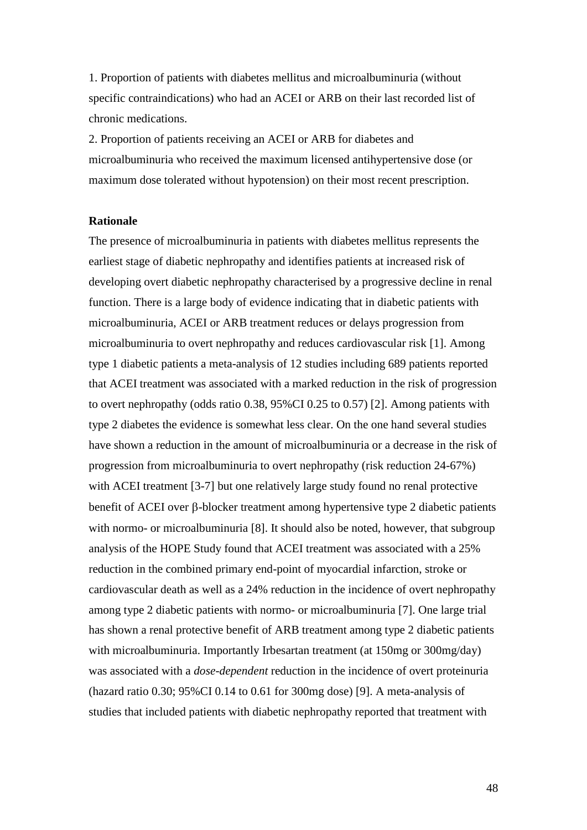1. Proportion of patients with diabetes mellitus and microalbuminuria (without specific contraindications) who had an ACEI or ARB on their last recorded list of chronic medications.

2. Proportion of patients receiving an ACEI or ARB for diabetes and microalbuminuria who received the maximum licensed antihypertensive dose (or maximum dose tolerated without hypotension) on their most recent prescription.

#### **Rationale**

The presence of microalbuminuria in patients with diabetes mellitus represents the earliest stage of diabetic nephropathy and identifies patients at increased risk of developing overt diabetic nephropathy characterised by a progressive decline in renal function. There is a large body of evidence indicating that in diabetic patients with microalbuminuria, ACEI or ARB treatment reduces or delays progression from microalbuminuria to overt nephropathy and reduces cardiovascular risk [1]. Among type 1 diabetic patients a meta-analysis of 12 studies including 689 patients reported that ACEI treatment was associated with a marked reduction in the risk of progression to overt nephropathy (odds ratio 0.38, 95%CI 0.25 to 0.57) [2]. Among patients with type 2 diabetes the evidence is somewhat less clear. On the one hand several studies have shown a reduction in the amount of microalbuminuria or a decrease in the risk of progression from microalbuminuria to overt nephropathy (risk reduction 24-67%) with ACEI treatment [3-7] but one relatively large study found no renal protective benefit of ACEI over  $\beta$ -blocker treatment among hypertensive type 2 diabetic patients with normo- or microalbuminuria [8]. It should also be noted, however, that subgroup analysis of the HOPE Study found that ACEI treatment was associated with a 25% reduction in the combined primary end-point of myocardial infarction, stroke or cardiovascular death as well as a 24% reduction in the incidence of overt nephropathy among type 2 diabetic patients with normo- or microalbuminuria [7]. One large trial has shown a renal protective benefit of ARB treatment among type 2 diabetic patients with microalbuminuria. Importantly Irbesartan treatment (at 150mg or 300mg/day) was associated with a *dose-dependent* reduction in the incidence of overt proteinuria (hazard ratio 0.30; 95%CI 0.14 to 0.61 for 300mg dose) [9]. A meta-analysis of studies that included patients with diabetic nephropathy reported that treatment with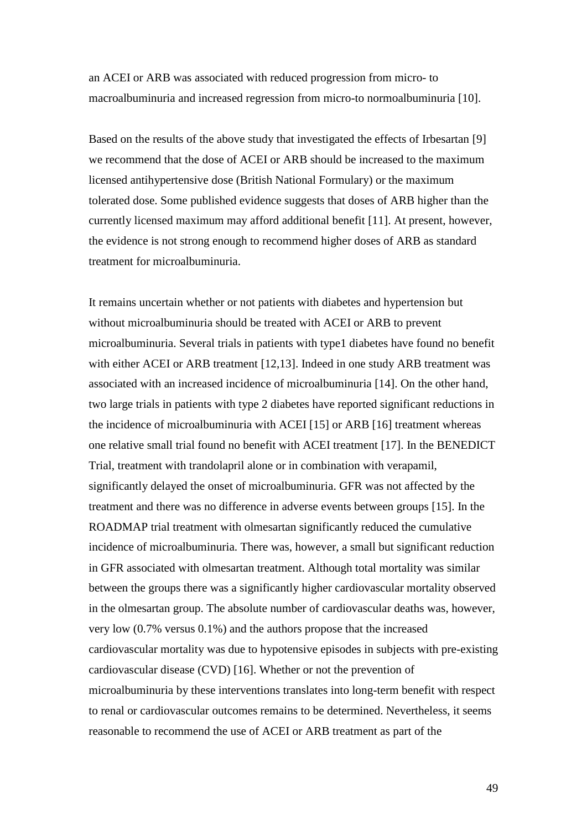an ACEI or ARB was associated with reduced progression from micro- to macroalbuminuria and increased regression from micro-to normoalbuminuria [10].

Based on the results of the above study that investigated the effects of Irbesartan [9] we recommend that the dose of ACEI or ARB should be increased to the maximum licensed antihypertensive dose (British National Formulary) or the maximum tolerated dose. Some published evidence suggests that doses of ARB higher than the currently licensed maximum may afford additional benefit [11]. At present, however, the evidence is not strong enough to recommend higher doses of ARB as standard treatment for microalbuminuria.

It remains uncertain whether or not patients with diabetes and hypertension but without microalbuminuria should be treated with ACEI or ARB to prevent microalbuminuria. Several trials in patients with type1 diabetes have found no benefit with either ACEI or ARB treatment [12,13]. Indeed in one study ARB treatment was associated with an increased incidence of microalbuminuria [14]. On the other hand, two large trials in patients with type 2 diabetes have reported significant reductions in the incidence of microalbuminuria with ACEI [15] or ARB [16] treatment whereas one relative small trial found no benefit with ACEI treatment [17]. In the BENEDICT Trial, treatment with trandolapril alone or in combination with verapamil, significantly delayed the onset of microalbuminuria. GFR was not affected by the treatment and there was no difference in adverse events between groups [15]. In the ROADMAP trial treatment with olmesartan significantly reduced the cumulative incidence of microalbuminuria. There was, however, a small but significant reduction in GFR associated with olmesartan treatment. Although total mortality was similar between the groups there was a significantly higher cardiovascular mortality observed in the olmesartan group. The absolute number of cardiovascular deaths was, however, very low (0.7% versus 0.1%) and the authors propose that the increased cardiovascular mortality was due to hypotensive episodes in subjects with pre-existing cardiovascular disease (CVD) [16]. Whether or not the prevention of microalbuminuria by these interventions translates into long-term benefit with respect to renal or cardiovascular outcomes remains to be determined. Nevertheless, it seems reasonable to recommend the use of ACEI or ARB treatment as part of the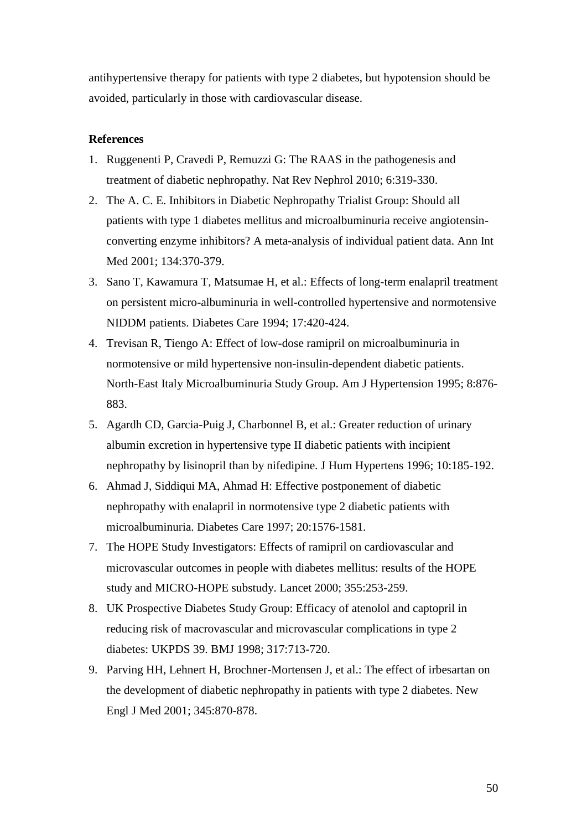antihypertensive therapy for patients with type 2 diabetes, but hypotension should be avoided, particularly in those with cardiovascular disease.

- 1. Ruggenenti P, Cravedi P, Remuzzi G: The RAAS in the pathogenesis and treatment of diabetic nephropathy. Nat Rev Nephrol 2010; 6:319-330.
- 2. The A. C. E. Inhibitors in Diabetic Nephropathy Trialist Group: Should all patients with type 1 diabetes mellitus and microalbuminuria receive angiotensinconverting enzyme inhibitors? A meta-analysis of individual patient data. Ann Int Med 2001; 134:370-379.
- 3. Sano T, Kawamura T, Matsumae H, et al.: Effects of long-term enalapril treatment on persistent micro-albuminuria in well-controlled hypertensive and normotensive NIDDM patients. Diabetes Care 1994; 17:420-424.
- 4. Trevisan R, Tiengo A: Effect of low-dose ramipril on microalbuminuria in normotensive or mild hypertensive non-insulin-dependent diabetic patients. North-East Italy Microalbuminuria Study Group. Am J Hypertension 1995; 8:876- 883.
- 5. Agardh CD, Garcia-Puig J, Charbonnel B, et al.: Greater reduction of urinary albumin excretion in hypertensive type II diabetic patients with incipient nephropathy by lisinopril than by nifedipine. J Hum Hypertens 1996; 10:185-192.
- 6. Ahmad J, Siddiqui MA, Ahmad H: Effective postponement of diabetic nephropathy with enalapril in normotensive type 2 diabetic patients with microalbuminuria. Diabetes Care 1997; 20:1576-1581.
- 7. The HOPE Study Investigators: Effects of ramipril on cardiovascular and microvascular outcomes in people with diabetes mellitus: results of the HOPE study and MICRO-HOPE substudy. Lancet 2000; 355:253-259.
- 8. UK Prospective Diabetes Study Group: Efficacy of atenolol and captopril in reducing risk of macrovascular and microvascular complications in type 2 diabetes: UKPDS 39. BMJ 1998; 317:713-720.
- 9. Parving HH, Lehnert H, Brochner-Mortensen J, et al.: The effect of irbesartan on the development of diabetic nephropathy in patients with type 2 diabetes. New Engl J Med 2001; 345:870-878.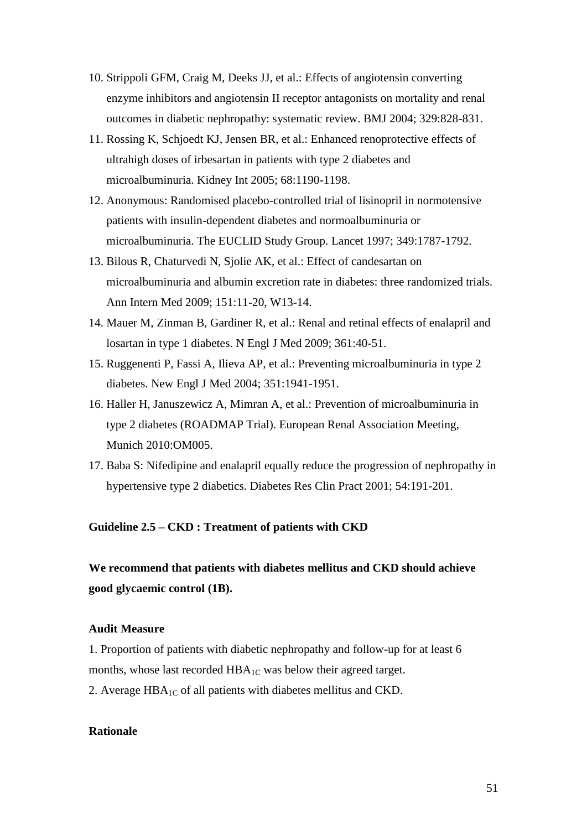- 10. Strippoli GFM, Craig M, Deeks JJ, et al.: Effects of angiotensin converting enzyme inhibitors and angiotensin II receptor antagonists on mortality and renal outcomes in diabetic nephropathy: systematic review. BMJ 2004; 329:828-831.
- 11. Rossing K, Schjoedt KJ, Jensen BR, et al.: Enhanced renoprotective effects of ultrahigh doses of irbesartan in patients with type 2 diabetes and microalbuminuria. Kidney Int 2005; 68:1190-1198.
- 12. Anonymous: Randomised placebo-controlled trial of lisinopril in normotensive patients with insulin-dependent diabetes and normoalbuminuria or microalbuminuria. The EUCLID Study Group. Lancet 1997; 349:1787-1792.
- 13. Bilous R, Chaturvedi N, Sjolie AK, et al.: Effect of candesartan on microalbuminuria and albumin excretion rate in diabetes: three randomized trials. Ann Intern Med 2009; 151:11-20, W13-14.
- 14. Mauer M, Zinman B, Gardiner R, et al.: Renal and retinal effects of enalapril and losartan in type 1 diabetes. N Engl J Med 2009; 361:40-51.
- 15. Ruggenenti P, Fassi A, Ilieva AP, et al.: Preventing microalbuminuria in type 2 diabetes. New Engl J Med 2004; 351:1941-1951.
- 16. Haller H, Januszewicz A, Mimran A, et al.: Prevention of microalbuminuria in type 2 diabetes (ROADMAP Trial). European Renal Association Meeting, Munich 2010:OM005.
- 17. Baba S: Nifedipine and enalapril equally reduce the progression of nephropathy in hypertensive type 2 diabetics. Diabetes Res Clin Pract 2001; 54:191-201.

# **Guideline 2.5 – CKD : Treatment of patients with CKD**

# **We recommend that patients with diabetes mellitus and CKD should achieve good glycaemic control (1B).**

#### **Audit Measure**

1. Proportion of patients with diabetic nephropathy and follow-up for at least 6 months, whose last recorded  $HBA_{1C}$  was below their agreed target.

2. Average  $HBA_{1C}$  of all patients with diabetes mellitus and CKD.

# **Rationale**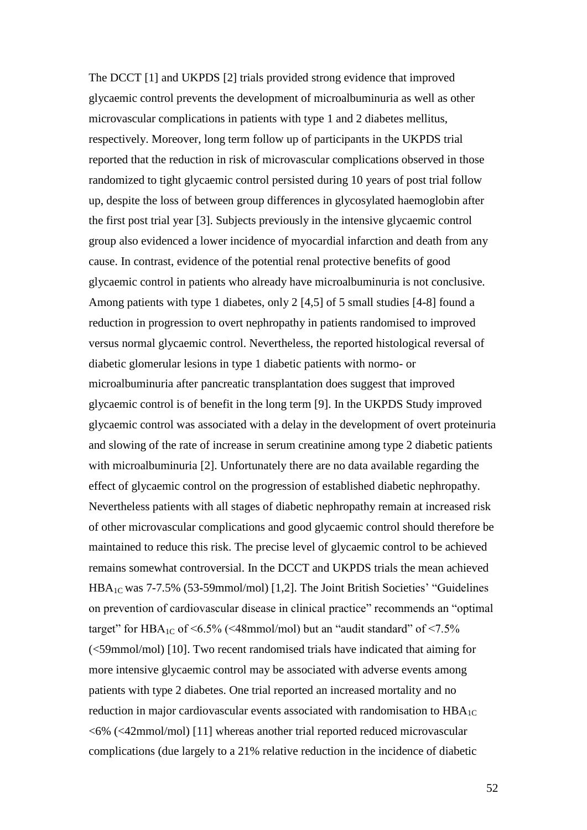The DCCT [1] and UKPDS [2] trials provided strong evidence that improved glycaemic control prevents the development of microalbuminuria as well as other microvascular complications in patients with type 1 and 2 diabetes mellitus, respectively. Moreover, long term follow up of participants in the UKPDS trial reported that the reduction in risk of microvascular complications observed in those randomized to tight glycaemic control persisted during 10 years of post trial follow up, despite the loss of between group differences in glycosylated haemoglobin after the first post trial year [3]. Subjects previously in the intensive glycaemic control group also evidenced a lower incidence of myocardial infarction and death from any cause. In contrast, evidence of the potential renal protective benefits of good glycaemic control in patients who already have microalbuminuria is not conclusive. Among patients with type 1 diabetes, only 2 [4,5] of 5 small studies [4-8] found a reduction in progression to overt nephropathy in patients randomised to improved versus normal glycaemic control. Nevertheless, the reported histological reversal of diabetic glomerular lesions in type 1 diabetic patients with normo- or microalbuminuria after pancreatic transplantation does suggest that improved glycaemic control is of benefit in the long term [9]. In the UKPDS Study improved glycaemic control was associated with a delay in the development of overt proteinuria and slowing of the rate of increase in serum creatinine among type 2 diabetic patients with microalbuminuria [2]. Unfortunately there are no data available regarding the effect of glycaemic control on the progression of established diabetic nephropathy. Nevertheless patients with all stages of diabetic nephropathy remain at increased risk of other microvascular complications and good glycaemic control should therefore be maintained to reduce this risk. The precise level of glycaemic control to be achieved remains somewhat controversial. In the DCCT and UKPDS trials the mean achieved HBA<sub>1C</sub> was 7-7.5% (53-59mmol/mol) [1,2]. The Joint British Societies' "Guidelines" on prevention of cardiovascular disease in clinical practice" recommends an "optimal target" for  $HBA_{1C}$  of <6.5% (<48mmol/mol) but an "audit standard" of <7.5% (<59mmol/mol) [10]. Two recent randomised trials have indicated that aiming for more intensive glycaemic control may be associated with adverse events among patients with type 2 diabetes. One trial reported an increased mortality and no reduction in major cardiovascular events associated with randomisation to  $HBA_{1C}$ <6% (<42mmol/mol) [11] whereas another trial reported reduced microvascular complications (due largely to a 21% relative reduction in the incidence of diabetic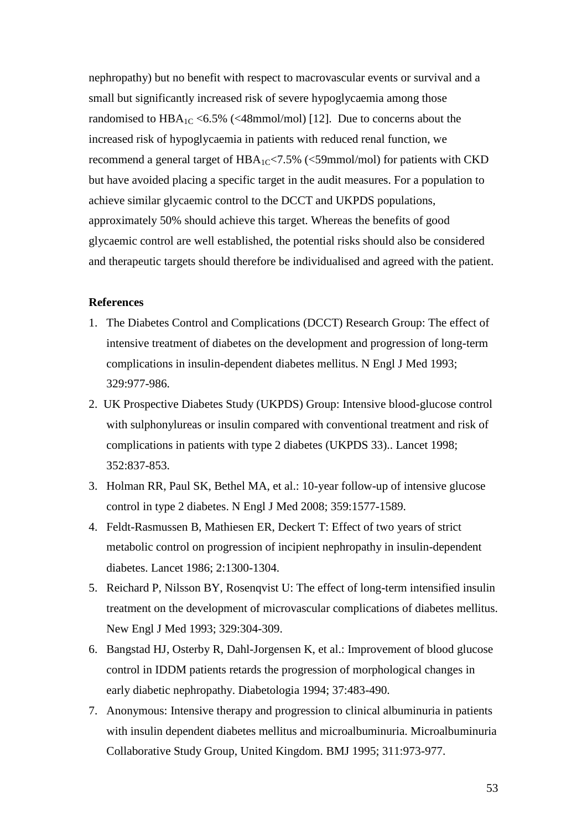nephropathy) but no benefit with respect to macrovascular events or survival and a small but significantly increased risk of severe hypoglycaemia among those randomised to  $HBA_{1C} \le 6.5\%$  (<48mmol/mol) [12]. Due to concerns about the increased risk of hypoglycaemia in patients with reduced renal function, we recommend a general target of  $HBA_{1C} \le 7.5\%$  ( $\le 59$ mmol/mol) for patients with CKD but have avoided placing a specific target in the audit measures. For a population to achieve similar glycaemic control to the DCCT and UKPDS populations, approximately 50% should achieve this target. Whereas the benefits of good glycaemic control are well established, the potential risks should also be considered and therapeutic targets should therefore be individualised and agreed with the patient.

- 1. The Diabetes Control and Complications (DCCT) Research Group: The effect of intensive treatment of diabetes on the development and progression of long-term complications in insulin-dependent diabetes mellitus. N Engl J Med 1993; 329:977-986.
- 2. UK Prospective Diabetes Study (UKPDS) Group: Intensive blood-glucose control with sulphonylureas or insulin compared with conventional treatment and risk of complications in patients with type 2 diabetes (UKPDS 33).. Lancet 1998; 352:837-853.
- 3. Holman RR, Paul SK, Bethel MA, et al.: 10-year follow-up of intensive glucose control in type 2 diabetes. N Engl J Med 2008; 359:1577-1589.
- 4. Feldt-Rasmussen B, Mathiesen ER, Deckert T: Effect of two years of strict metabolic control on progression of incipient nephropathy in insulin-dependent diabetes. Lancet 1986; 2:1300-1304.
- 5. Reichard P, Nilsson BY, Rosenqvist U: The effect of long-term intensified insulin treatment on the development of microvascular complications of diabetes mellitus. New Engl J Med 1993; 329:304-309.
- 6. Bangstad HJ, Osterby R, Dahl-Jorgensen K, et al.: Improvement of blood glucose control in IDDM patients retards the progression of morphological changes in early diabetic nephropathy. Diabetologia 1994; 37:483-490.
- 7. Anonymous: Intensive therapy and progression to clinical albuminuria in patients with insulin dependent diabetes mellitus and microalbuminuria. Microalbuminuria Collaborative Study Group, United Kingdom. BMJ 1995; 311:973-977.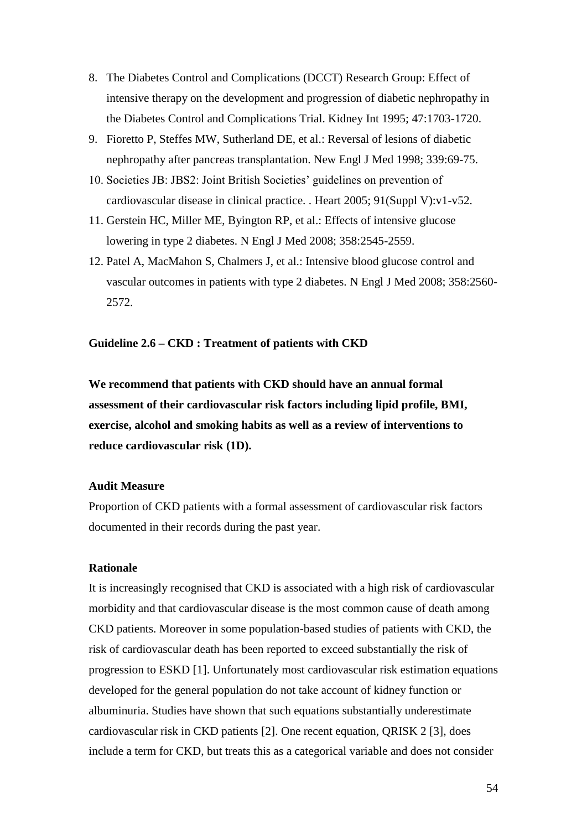- 8. The Diabetes Control and Complications (DCCT) Research Group: Effect of intensive therapy on the development and progression of diabetic nephropathy in the Diabetes Control and Complications Trial. Kidney Int 1995; 47:1703-1720.
- 9. Fioretto P, Steffes MW, Sutherland DE, et al.: Reversal of lesions of diabetic nephropathy after pancreas transplantation. New Engl J Med 1998; 339:69-75.
- 10. Societies JB: JBS2: Joint British Societies" guidelines on prevention of cardiovascular disease in clinical practice. . Heart 2005; 91(Suppl V):v1-v52.
- 11. Gerstein HC, Miller ME, Byington RP, et al.: Effects of intensive glucose lowering in type 2 diabetes. N Engl J Med 2008; 358:2545-2559.
- 12. Patel A, MacMahon S, Chalmers J, et al.: Intensive blood glucose control and vascular outcomes in patients with type 2 diabetes. N Engl J Med 2008; 358:2560- 2572.

#### **Guideline 2.6 – CKD : Treatment of patients with CKD**

**We recommend that patients with CKD should have an annual formal assessment of their cardiovascular risk factors including lipid profile, BMI, exercise, alcohol and smoking habits as well as a review of interventions to reduce cardiovascular risk (1D).**

#### **Audit Measure**

Proportion of CKD patients with a formal assessment of cardiovascular risk factors documented in their records during the past year.

#### **Rationale**

It is increasingly recognised that CKD is associated with a high risk of cardiovascular morbidity and that cardiovascular disease is the most common cause of death among CKD patients. Moreover in some population-based studies of patients with CKD, the risk of cardiovascular death has been reported to exceed substantially the risk of progression to ESKD [1]. Unfortunately most cardiovascular risk estimation equations developed for the general population do not take account of kidney function or albuminuria. Studies have shown that such equations substantially underestimate cardiovascular risk in CKD patients [2]. One recent equation, QRISK 2 [3], does include a term for CKD, but treats this as a categorical variable and does not consider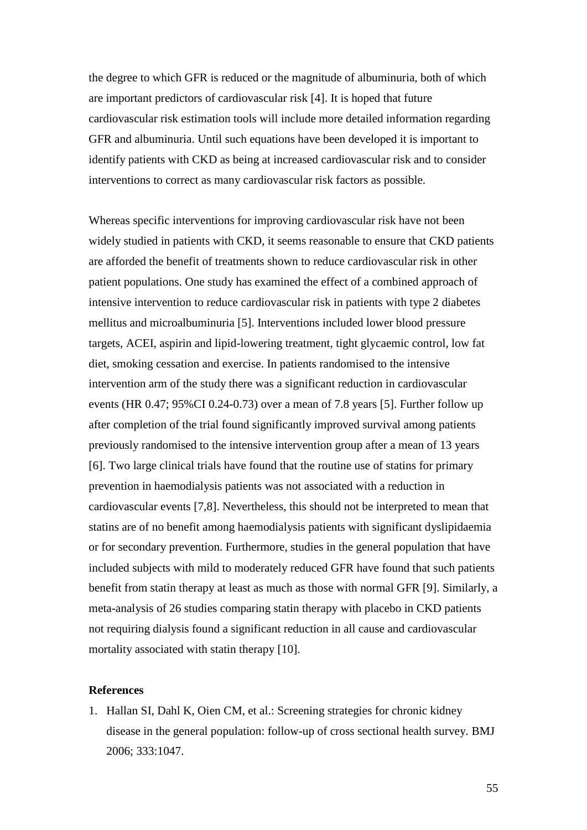the degree to which GFR is reduced or the magnitude of albuminuria, both of which are important predictors of cardiovascular risk [4]. It is hoped that future cardiovascular risk estimation tools will include more detailed information regarding GFR and albuminuria. Until such equations have been developed it is important to identify patients with CKD as being at increased cardiovascular risk and to consider interventions to correct as many cardiovascular risk factors as possible.

Whereas specific interventions for improving cardiovascular risk have not been widely studied in patients with CKD, it seems reasonable to ensure that CKD patients are afforded the benefit of treatments shown to reduce cardiovascular risk in other patient populations. One study has examined the effect of a combined approach of intensive intervention to reduce cardiovascular risk in patients with type 2 diabetes mellitus and microalbuminuria [5]. Interventions included lower blood pressure targets, ACEI, aspirin and lipid-lowering treatment, tight glycaemic control, low fat diet, smoking cessation and exercise. In patients randomised to the intensive intervention arm of the study there was a significant reduction in cardiovascular events (HR 0.47; 95%CI 0.24-0.73) over a mean of 7.8 years [5]. Further follow up after completion of the trial found significantly improved survival among patients previously randomised to the intensive intervention group after a mean of 13 years [6]. Two large clinical trials have found that the routine use of statins for primary prevention in haemodialysis patients was not associated with a reduction in cardiovascular events [7,8]. Nevertheless, this should not be interpreted to mean that statins are of no benefit among haemodialysis patients with significant dyslipidaemia or for secondary prevention. Furthermore, studies in the general population that have included subjects with mild to moderately reduced GFR have found that such patients benefit from statin therapy at least as much as those with normal GFR [9]. Similarly, a meta-analysis of 26 studies comparing statin therapy with placebo in CKD patients not requiring dialysis found a significant reduction in all cause and cardiovascular mortality associated with statin therapy [10].

### **References**

1. Hallan SI, Dahl K, Oien CM, et al.: Screening strategies for chronic kidney disease in the general population: follow-up of cross sectional health survey. BMJ 2006; 333:1047.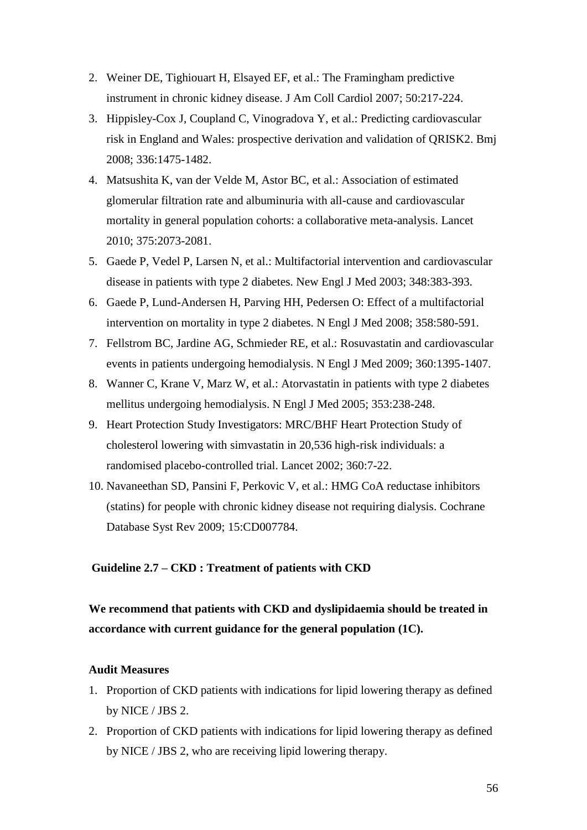- 2. Weiner DE, Tighiouart H, Elsayed EF, et al.: The Framingham predictive instrument in chronic kidney disease. J Am Coll Cardiol 2007; 50:217-224.
- 3. Hippisley-Cox J, Coupland C, Vinogradova Y, et al.: Predicting cardiovascular risk in England and Wales: prospective derivation and validation of QRISK2. Bmj 2008; 336:1475-1482.
- 4. Matsushita K, van der Velde M, Astor BC, et al.: Association of estimated glomerular filtration rate and albuminuria with all-cause and cardiovascular mortality in general population cohorts: a collaborative meta-analysis. Lancet 2010; 375:2073-2081.
- 5. Gaede P, Vedel P, Larsen N, et al.: Multifactorial intervention and cardiovascular disease in patients with type 2 diabetes. New Engl J Med 2003; 348:383-393.
- 6. Gaede P, Lund-Andersen H, Parving HH, Pedersen O: Effect of a multifactorial intervention on mortality in type 2 diabetes. N Engl J Med 2008; 358:580-591.
- 7. Fellstrom BC, Jardine AG, Schmieder RE, et al.: Rosuvastatin and cardiovascular events in patients undergoing hemodialysis. N Engl J Med 2009; 360:1395-1407.
- 8. Wanner C, Krane V, Marz W, et al.: Atorvastatin in patients with type 2 diabetes mellitus undergoing hemodialysis. N Engl J Med 2005; 353:238-248.
- 9. Heart Protection Study Investigators: MRC/BHF Heart Protection Study of cholesterol lowering with simvastatin in 20,536 high-risk individuals: a randomised placebo-controlled trial. Lancet 2002; 360:7-22.
- 10. Navaneethan SD, Pansini F, Perkovic V, et al.: HMG CoA reductase inhibitors (statins) for people with chronic kidney disease not requiring dialysis. Cochrane Database Syst Rev 2009; 15:CD007784.

# **Guideline 2.7 – CKD : Treatment of patients with CKD**

# **We recommend that patients with CKD and dyslipidaemia should be treated in accordance with current guidance for the general population (1C).**

#### **Audit Measures**

- 1. Proportion of CKD patients with indications for lipid lowering therapy as defined by NICE / JBS 2.
- 2. Proportion of CKD patients with indications for lipid lowering therapy as defined by NICE / JBS 2, who are receiving lipid lowering therapy.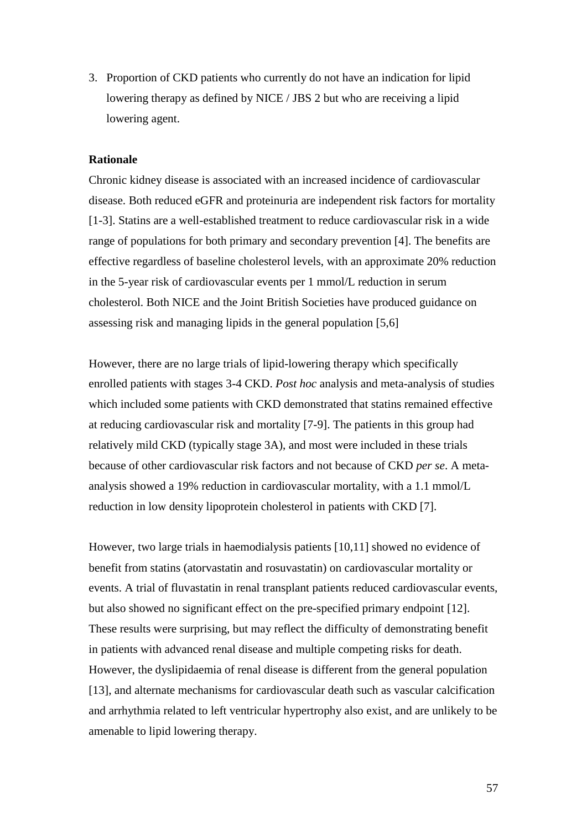3. Proportion of CKD patients who currently do not have an indication for lipid lowering therapy as defined by NICE / JBS 2 but who are receiving a lipid lowering agent.

# **Rationale**

Chronic kidney disease is associated with an increased incidence of cardiovascular disease. Both reduced eGFR and proteinuria are independent risk factors for mortality [1-3]. Statins are a well-established treatment to reduce cardiovascular risk in a wide range of populations for both primary and secondary prevention [4]. The benefits are effective regardless of baseline cholesterol levels, with an approximate 20% reduction in the 5-year risk of cardiovascular events per 1 mmol/L reduction in serum cholesterol. Both NICE and the Joint British Societies have produced guidance on assessing risk and managing lipids in the general population [5,6]

However, there are no large trials of lipid-lowering therapy which specifically enrolled patients with stages 3-4 CKD. *Post hoc* analysis and meta-analysis of studies which included some patients with CKD demonstrated that statins remained effective at reducing cardiovascular risk and mortality [7-9]. The patients in this group had relatively mild CKD (typically stage 3A), and most were included in these trials because of other cardiovascular risk factors and not because of CKD *per se*. A metaanalysis showed a 19% reduction in cardiovascular mortality, with a 1.1 mmol/L reduction in low density lipoprotein cholesterol in patients with CKD [7].

However, two large trials in haemodialysis patients [10,11] showed no evidence of benefit from statins (atorvastatin and rosuvastatin) on cardiovascular mortality or events. A trial of fluvastatin in renal transplant patients reduced cardiovascular events, but also showed no significant effect on the pre-specified primary endpoint [12]. These results were surprising, but may reflect the difficulty of demonstrating benefit in patients with advanced renal disease and multiple competing risks for death. However, the dyslipidaemia of renal disease is different from the general population [13], and alternate mechanisms for cardiovascular death such as vascular calcification and arrhythmia related to left ventricular hypertrophy also exist, and are unlikely to be amenable to lipid lowering therapy.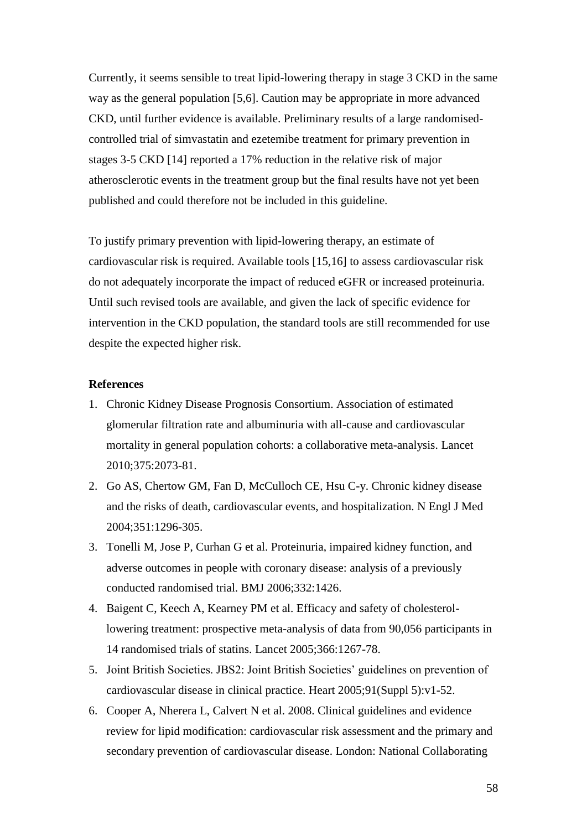Currently, it seems sensible to treat lipid-lowering therapy in stage 3 CKD in the same way as the general population [5,6]. Caution may be appropriate in more advanced CKD, until further evidence is available. Preliminary results of a large randomisedcontrolled trial of simvastatin and ezetemibe treatment for primary prevention in stages 3-5 CKD [14] reported a 17% reduction in the relative risk of major atherosclerotic events in the treatment group but the final results have not yet been published and could therefore not be included in this guideline.

To justify primary prevention with lipid-lowering therapy, an estimate of cardiovascular risk is required. Available tools [15,16] to assess cardiovascular risk do not adequately incorporate the impact of reduced eGFR or increased proteinuria. Until such revised tools are available, and given the lack of specific evidence for intervention in the CKD population, the standard tools are still recommended for use despite the expected higher risk.

- 1. Chronic Kidney Disease Prognosis Consortium. Association of estimated glomerular filtration rate and albuminuria with all-cause and cardiovascular mortality in general population cohorts: a collaborative meta-analysis. Lancet 2010;375:2073-81.
- 2. Go AS, Chertow GM, Fan D, McCulloch CE, Hsu C-y. Chronic kidney disease and the risks of death, cardiovascular events, and hospitalization. N Engl J Med 2004;351:1296-305.
- 3. Tonelli M, Jose P, Curhan G et al. Proteinuria, impaired kidney function, and adverse outcomes in people with coronary disease: analysis of a previously conducted randomised trial. BMJ 2006;332:1426.
- 4. Baigent C, Keech A, Kearney PM et al. Efficacy and safety of cholesterollowering treatment: prospective meta-analysis of data from 90,056 participants in 14 randomised trials of statins. Lancet 2005;366:1267-78.
- 5. Joint British Societies. JBS2: Joint British Societies" guidelines on prevention of cardiovascular disease in clinical practice. Heart 2005;91(Suppl 5):v1-52.
- 6. Cooper A, Nherera L, Calvert N et al. 2008. Clinical guidelines and evidence review for lipid modification: cardiovascular risk assessment and the primary and secondary prevention of cardiovascular disease. London: National Collaborating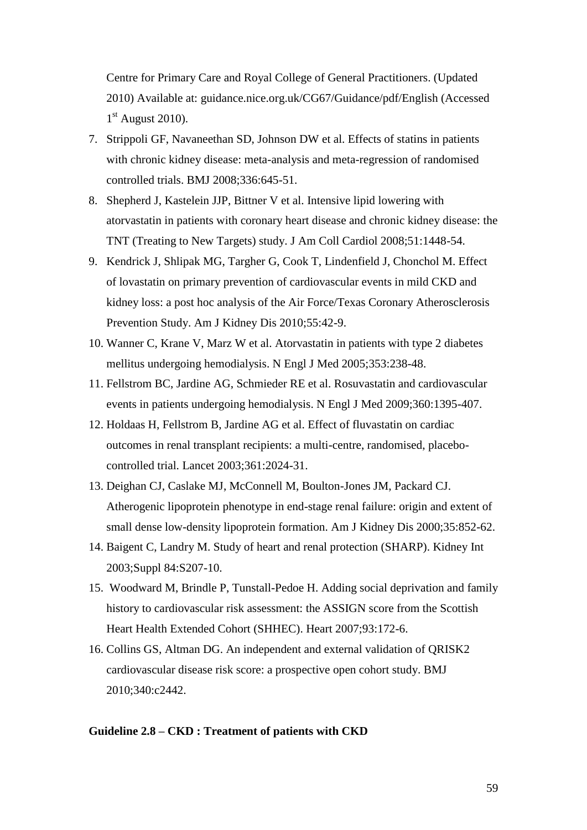Centre for Primary Care and Royal College of General Practitioners. (Updated 2010) Available at: guidance.nice.org.uk/CG67/Guidance/pdf/English (Accessed 1<sup>st</sup> August 2010).

- 7. Strippoli GF, Navaneethan SD, Johnson DW et al. Effects of statins in patients with chronic kidney disease: meta-analysis and meta-regression of randomised controlled trials. BMJ 2008;336:645-51.
- 8. Shepherd J, Kastelein JJP, Bittner V et al. Intensive lipid lowering with atorvastatin in patients with coronary heart disease and chronic kidney disease: the TNT (Treating to New Targets) study. J Am Coll Cardiol 2008;51:1448-54.
- 9. Kendrick J, Shlipak MG, Targher G, Cook T, Lindenfield J, Chonchol M. Effect of lovastatin on primary prevention of cardiovascular events in mild CKD and kidney loss: a post hoc analysis of the Air Force/Texas Coronary Atherosclerosis Prevention Study. Am J Kidney Dis 2010;55:42-9.
- 10. Wanner C, Krane V, Marz W et al. Atorvastatin in patients with type 2 diabetes mellitus undergoing hemodialysis. N Engl J Med 2005;353:238-48.
- 11. Fellstrom BC, Jardine AG, Schmieder RE et al. Rosuvastatin and cardiovascular events in patients undergoing hemodialysis. N Engl J Med 2009;360:1395-407.
- 12. Holdaas H, Fellstrom B, Jardine AG et al. Effect of fluvastatin on cardiac outcomes in renal transplant recipients: a multi-centre, randomised, placebocontrolled trial. Lancet 2003;361:2024-31.
- 13. Deighan CJ, Caslake MJ, McConnell M, Boulton-Jones JM, Packard CJ. Atherogenic lipoprotein phenotype in end-stage renal failure: origin and extent of small dense low-density lipoprotein formation. Am J Kidney Dis 2000;35:852-62.
- 14. Baigent C, Landry M. Study of heart and renal protection (SHARP). Kidney Int 2003;Suppl 84:S207-10.
- 15. Woodward M, Brindle P, Tunstall-Pedoe H. Adding social deprivation and family history to cardiovascular risk assessment: the ASSIGN score from the Scottish Heart Health Extended Cohort (SHHEC). Heart 2007;93:172-6.
- 16. Collins GS, Altman DG. An independent and external validation of QRISK2 cardiovascular disease risk score: a prospective open cohort study. BMJ 2010;340:c2442.

# **Guideline 2.8 – CKD : Treatment of patients with CKD**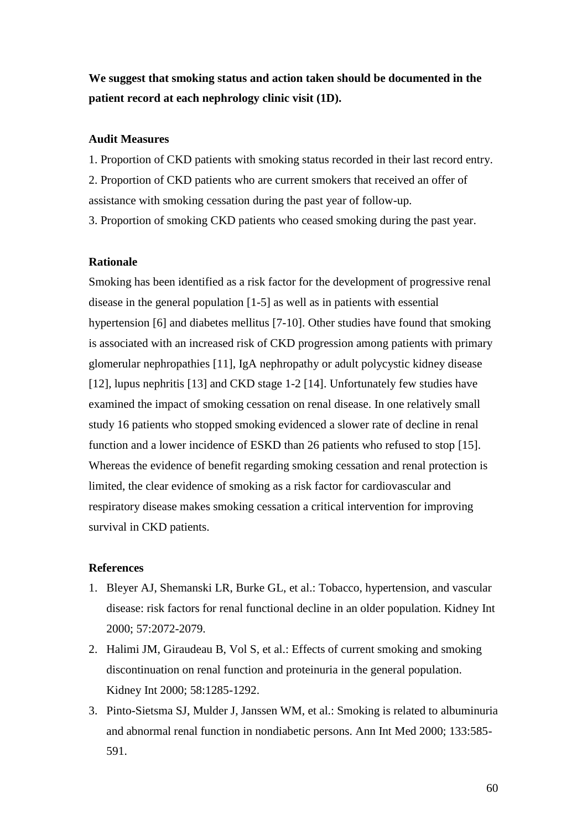**We suggest that smoking status and action taken should be documented in the patient record at each nephrology clinic visit (1D).**

### **Audit Measures**

1. Proportion of CKD patients with smoking status recorded in their last record entry. 2. Proportion of CKD patients who are current smokers that received an offer of assistance with smoking cessation during the past year of follow-up.

3. Proportion of smoking CKD patients who ceased smoking during the past year.

### **Rationale**

Smoking has been identified as a risk factor for the development of progressive renal disease in the general population [1-5] as well as in patients with essential hypertension [6] and diabetes mellitus [7-10]. Other studies have found that smoking is associated with an increased risk of CKD progression among patients with primary glomerular nephropathies [11], IgA nephropathy or adult polycystic kidney disease [12], lupus nephritis [13] and CKD stage 1-2 [14]. Unfortunately few studies have examined the impact of smoking cessation on renal disease. In one relatively small study 16 patients who stopped smoking evidenced a slower rate of decline in renal function and a lower incidence of ESKD than 26 patients who refused to stop [15]. Whereas the evidence of benefit regarding smoking cessation and renal protection is limited, the clear evidence of smoking as a risk factor for cardiovascular and respiratory disease makes smoking cessation a critical intervention for improving survival in CKD patients.

- 1. Bleyer AJ, Shemanski LR, Burke GL, et al.: Tobacco, hypertension, and vascular disease: risk factors for renal functional decline in an older population. Kidney Int 2000; 57:2072-2079.
- 2. Halimi JM, Giraudeau B, Vol S, et al.: Effects of current smoking and smoking discontinuation on renal function and proteinuria in the general population. Kidney Int 2000; 58:1285-1292.
- 3. Pinto-Sietsma SJ, Mulder J, Janssen WM, et al.: Smoking is related to albuminuria and abnormal renal function in nondiabetic persons. Ann Int Med 2000; 133:585- 591.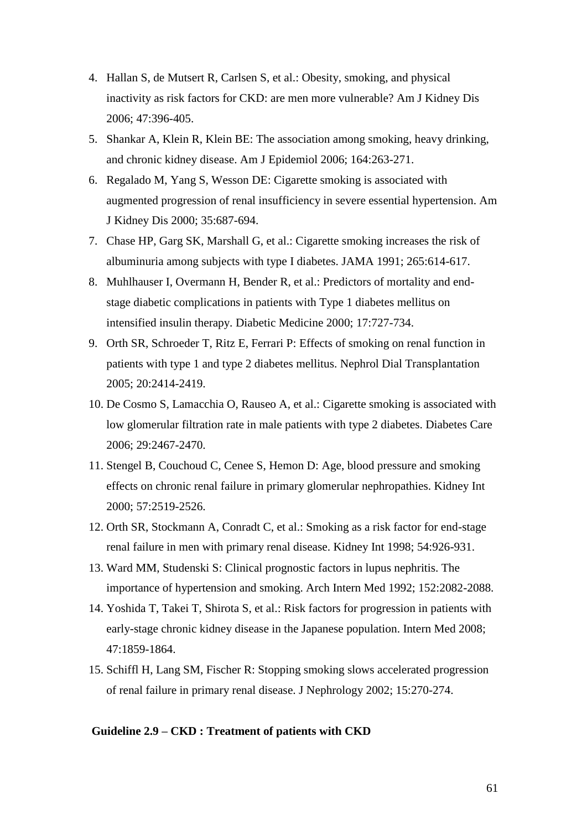- 4. Hallan S, de Mutsert R, Carlsen S, et al.: Obesity, smoking, and physical inactivity as risk factors for CKD: are men more vulnerable? Am J Kidney Dis 2006; 47:396-405.
- 5. Shankar A, Klein R, Klein BE: The association among smoking, heavy drinking, and chronic kidney disease. Am J Epidemiol 2006; 164:263-271.
- 6. Regalado M, Yang S, Wesson DE: Cigarette smoking is associated with augmented progression of renal insufficiency in severe essential hypertension. Am J Kidney Dis 2000; 35:687-694.
- 7. Chase HP, Garg SK, Marshall G, et al.: Cigarette smoking increases the risk of albuminuria among subjects with type I diabetes. JAMA 1991; 265:614-617.
- 8. Muhlhauser I, Overmann H, Bender R, et al.: Predictors of mortality and endstage diabetic complications in patients with Type 1 diabetes mellitus on intensified insulin therapy. Diabetic Medicine 2000; 17:727-734.
- 9. Orth SR, Schroeder T, Ritz E, Ferrari P: Effects of smoking on renal function in patients with type 1 and type 2 diabetes mellitus. Nephrol Dial Transplantation 2005; 20:2414-2419.
- 10. De Cosmo S, Lamacchia O, Rauseo A, et al.: Cigarette smoking is associated with low glomerular filtration rate in male patients with type 2 diabetes. Diabetes Care 2006; 29:2467-2470.
- 11. Stengel B, Couchoud C, Cenee S, Hemon D: Age, blood pressure and smoking effects on chronic renal failure in primary glomerular nephropathies. Kidney Int 2000; 57:2519-2526.
- 12. Orth SR, Stockmann A, Conradt C, et al.: Smoking as a risk factor for end-stage renal failure in men with primary renal disease. Kidney Int 1998; 54:926-931.
- 13. Ward MM, Studenski S: Clinical prognostic factors in lupus nephritis. The importance of hypertension and smoking. Arch Intern Med 1992; 152:2082-2088.
- 14. Yoshida T, Takei T, Shirota S, et al.: Risk factors for progression in patients with early-stage chronic kidney disease in the Japanese population. Intern Med 2008; 47:1859-1864.
- 15. Schiffl H, Lang SM, Fischer R: Stopping smoking slows accelerated progression of renal failure in primary renal disease. J Nephrology 2002; 15:270-274.

### **Guideline 2.9 – CKD : Treatment of patients with CKD**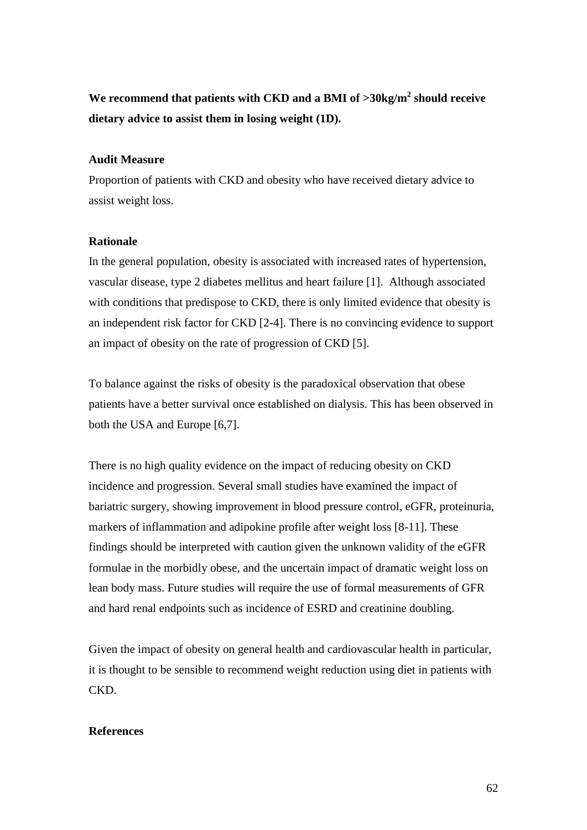**We recommend that patients with CKD and a BMI of >30kg/m<sup>2</sup> should receive dietary advice to assist them in losing weight (1D).**

# **Audit Measure**

Proportion of patients with CKD and obesity who have received dietary advice to assist weight loss.

### **Rationale**

In the general population, obesity is associated with increased rates of hypertension, vascular disease, type 2 diabetes mellitus and heart failure [1]. Although associated with conditions that predispose to CKD, there is only limited evidence that obesity is an independent risk factor for CKD [2-4]. There is no convincing evidence to support an impact of obesity on the rate of progression of CKD [5].

To balance against the risks of obesity is the paradoxical observation that obese patients have a better survival once established on dialysis. This has been observed in both the USA and Europe [6,7].

There is no high quality evidence on the impact of reducing obesity on CKD incidence and progression. Several small studies have examined the impact of bariatric surgery, showing improvement in blood pressure control, eGFR, proteinuria, markers of inflammation and adipokine profile after weight loss [8-11]. These findings should be interpreted with caution given the unknown validity of the eGFR formulae in the morbidly obese, and the uncertain impact of dramatic weight loss on lean body mass. Future studies will require the use of formal measurements of GFR and hard renal endpoints such as incidence of ESRD and creatinine doubling.

Given the impact of obesity on general health and cardiovascular health in particular, it is thought to be sensible to recommend weight reduction using diet in patients with CKD.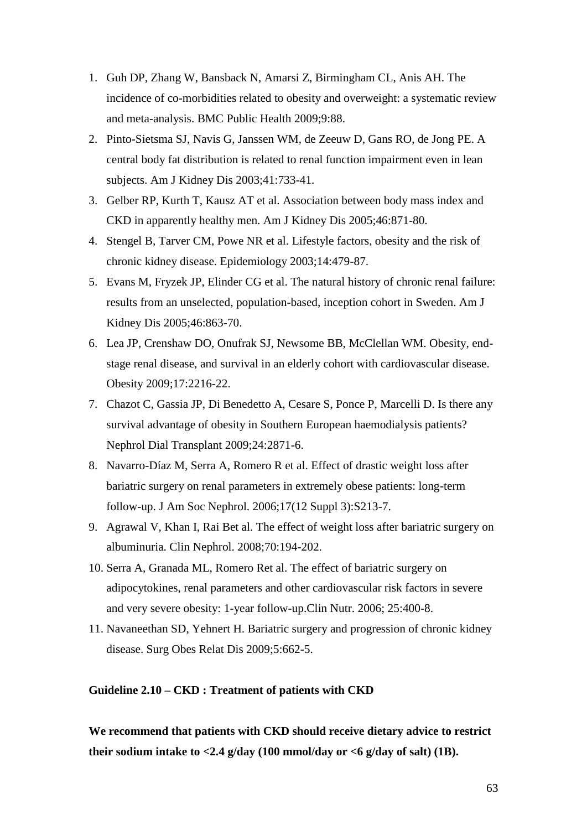- 1. Guh DP, Zhang W, Bansback N, Amarsi Z, Birmingham CL, Anis AH. The incidence of co-morbidities related to obesity and overweight: a systematic review and meta-analysis. BMC Public Health 2009;9:88.
- 2. Pinto-Sietsma SJ, Navis G, Janssen WM, de Zeeuw D, Gans RO, de Jong PE. A central body fat distribution is related to renal function impairment even in lean subjects. Am J Kidney Dis 2003;41:733-41.
- 3. Gelber RP, Kurth T, Kausz AT et al. Association between body mass index and CKD in apparently healthy men. Am J Kidney Dis 2005;46:871-80.
- 4. Stengel B, Tarver CM, Powe NR et al. Lifestyle factors, obesity and the risk of chronic kidney disease. Epidemiology 2003;14:479-87.
- 5. Evans M, Fryzek JP, Elinder CG et al. The natural history of chronic renal failure: results from an unselected, population-based, inception cohort in Sweden. Am J Kidney Dis 2005;46:863-70.
- 6. Lea JP, Crenshaw DO, Onufrak SJ, Newsome BB, McClellan WM. Obesity, endstage renal disease, and survival in an elderly cohort with cardiovascular disease. Obesity 2009;17:2216-22.
- 7. Chazot C, Gassia JP, Di Benedetto A, Cesare S, Ponce P, Marcelli D. Is there any survival advantage of obesity in Southern European haemodialysis patients? Nephrol Dial Transplant 2009;24:2871-6.
- 8. Navarro-Díaz M, Serra A, Romero R et al. Effect of drastic weight loss after bariatric surgery on renal parameters in extremely obese patients: long-term follow-up. J Am Soc Nephrol. 2006;17(12 Suppl 3):S213-7.
- 9. Agrawal V, Khan I, Rai Bet al. The effect of weight loss after bariatric surgery on albuminuria. Clin Nephrol. 2008;70:194-202.
- 10. Serra A, Granada ML, Romero Ret al. The effect of bariatric surgery on adipocytokines, renal parameters and other cardiovascular risk factors in severe and very severe obesity: 1-year follow-up.Clin Nutr. 2006; 25:400-8.
- 11. Navaneethan SD, Yehnert H. Bariatric surgery and progression of chronic kidney disease. Surg Obes Relat Dis 2009;5:662-5.

### **Guideline 2.10 – CKD : Treatment of patients with CKD**

**We recommend that patients with CKD should receive dietary advice to restrict their sodium intake to <2.4 g/day (100 mmol/day or <6 g/day of salt) (1B).**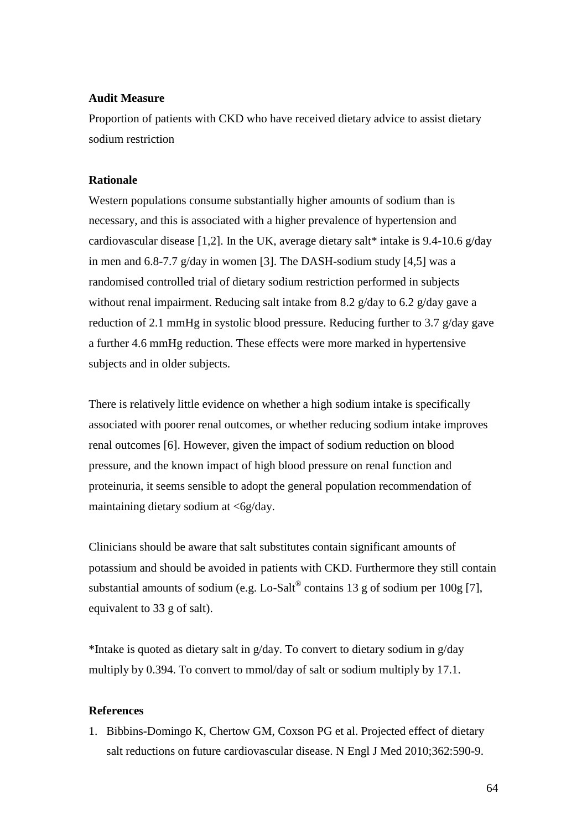#### **Audit Measure**

Proportion of patients with CKD who have received dietary advice to assist dietary sodium restriction

#### **Rationale**

Western populations consume substantially higher amounts of sodium than is necessary, and this is associated with a higher prevalence of hypertension and cardiovascular disease [1,2]. In the UK, average dietary salt\* intake is  $9.4$ -10.6 g/day in men and 6.8-7.7 g/day in women [3]. The DASH-sodium study [4,5] was a randomised controlled trial of dietary sodium restriction performed in subjects without renal impairment. Reducing salt intake from 8.2 g/day to 6.2 g/day gave a reduction of 2.1 mmHg in systolic blood pressure. Reducing further to 3.7 g/day gave a further 4.6 mmHg reduction. These effects were more marked in hypertensive subjects and in older subjects.

There is relatively little evidence on whether a high sodium intake is specifically associated with poorer renal outcomes, or whether reducing sodium intake improves renal outcomes [6]. However, given the impact of sodium reduction on blood pressure, and the known impact of high blood pressure on renal function and proteinuria, it seems sensible to adopt the general population recommendation of maintaining dietary sodium at <6g/day.

Clinicians should be aware that salt substitutes contain significant amounts of potassium and should be avoided in patients with CKD. Furthermore they still contain substantial amounts of sodium (e.g. Lo-Salt<sup>®</sup> contains 13 g of sodium per 100g [7], equivalent to 33 g of salt).

\*Intake is quoted as dietary salt in g/day. To convert to dietary sodium in g/day multiply by 0.394. To convert to mmol/day of salt or sodium multiply by 17.1.

#### **References**

1. Bibbins-Domingo K, Chertow GM, Coxson PG et al. Projected effect of dietary salt reductions on future cardiovascular disease. N Engl J Med 2010;362:590-9.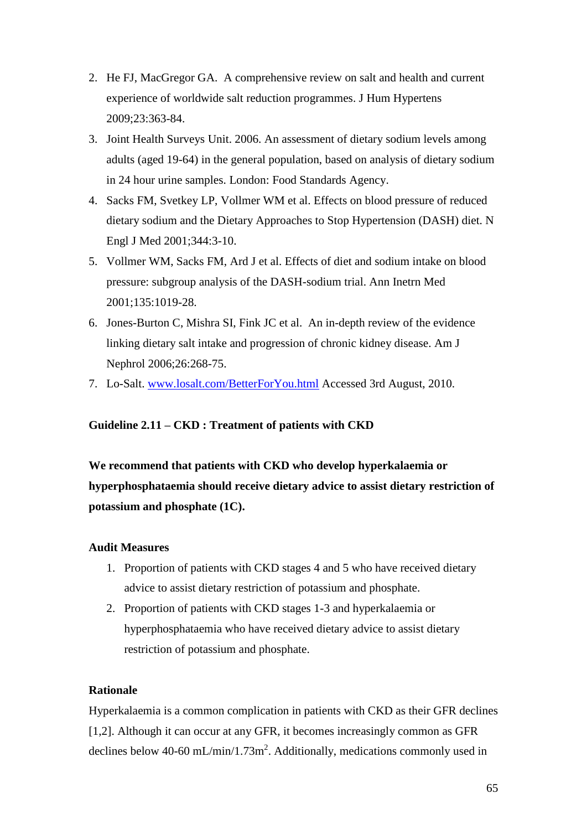- 2. He FJ, MacGregor GA. A comprehensive review on salt and health and current experience of worldwide salt reduction programmes. J Hum Hypertens 2009;23:363-84.
- 3. Joint Health Surveys Unit. 2006. An assessment of dietary sodium levels among adults (aged 19-64) in the general population, based on analysis of dietary sodium in 24 hour urine samples. London: Food Standards Agency.
- 4. Sacks FM, Svetkey LP, Vollmer WM et al. Effects on blood pressure of reduced dietary sodium and the Dietary Approaches to Stop Hypertension (DASH) diet. N Engl J Med 2001;344:3-10.
- 5. Vollmer WM, Sacks FM, Ard J et al. Effects of diet and sodium intake on blood pressure: subgroup analysis of the DASH-sodium trial. Ann Inetrn Med 2001;135:1019-28.
- 6. Jones-Burton C, Mishra SI, Fink JC et al. An in-depth review of the evidence linking dietary salt intake and progression of chronic kidney disease. Am J Nephrol 2006;26:268-75.
- 7. Lo-Salt. [www.losalt.com/BetterForYou.html](http://www.losalt.com/BetterForYou.html) Accessed 3rd August, 2010.

# **Guideline 2.11 – CKD : Treatment of patients with CKD**

**We recommend that patients with CKD who develop hyperkalaemia or hyperphosphataemia should receive dietary advice to assist dietary restriction of potassium and phosphate (1C).**

# **Audit Measures**

- 1. Proportion of patients with CKD stages 4 and 5 who have received dietary advice to assist dietary restriction of potassium and phosphate.
- 2. Proportion of patients with CKD stages 1-3 and hyperkalaemia or hyperphosphataemia who have received dietary advice to assist dietary restriction of potassium and phosphate.

# **Rationale**

Hyperkalaemia is a common complication in patients with CKD as their GFR declines [1,2]. Although it can occur at any GFR, it becomes increasingly common as GFR declines below 40-60 mL/min/1.73m<sup>2</sup>. Additionally, medications commonly used in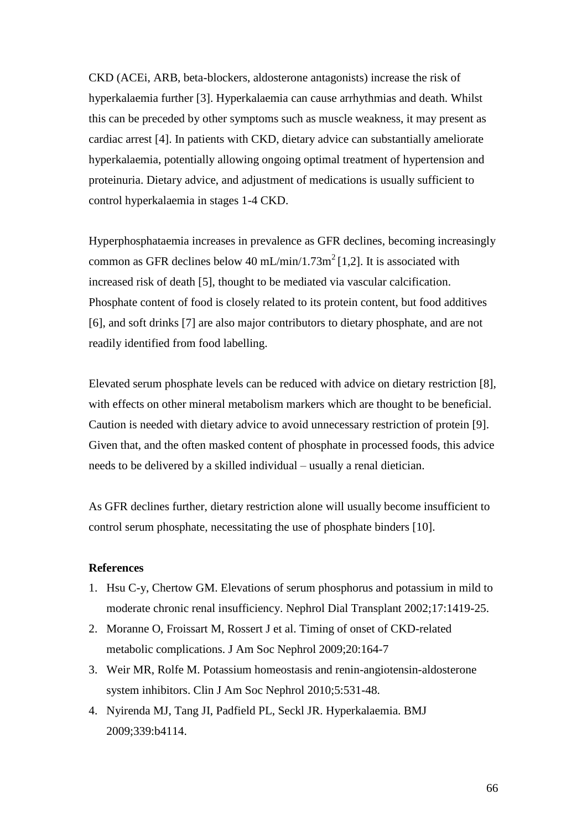CKD (ACEi, ARB, beta-blockers, aldosterone antagonists) increase the risk of hyperkalaemia further [3]. Hyperkalaemia can cause arrhythmias and death. Whilst this can be preceded by other symptoms such as muscle weakness, it may present as cardiac arrest [4]. In patients with CKD, dietary advice can substantially ameliorate hyperkalaemia, potentially allowing ongoing optimal treatment of hypertension and proteinuria. Dietary advice, and adjustment of medications is usually sufficient to control hyperkalaemia in stages 1-4 CKD.

Hyperphosphataemia increases in prevalence as GFR declines, becoming increasingly common as GFR declines below 40 mL/min/1.73m<sup>2</sup>[1,2]. It is associated with increased risk of death [5], thought to be mediated via vascular calcification. Phosphate content of food is closely related to its protein content, but food additives [6], and soft drinks [7] are also major contributors to dietary phosphate, and are not readily identified from food labelling.

Elevated serum phosphate levels can be reduced with advice on dietary restriction [8], with effects on other mineral metabolism markers which are thought to be beneficial. Caution is needed with dietary advice to avoid unnecessary restriction of protein [9]. Given that, and the often masked content of phosphate in processed foods, this advice needs to be delivered by a skilled individual – usually a renal dietician.

As GFR declines further, dietary restriction alone will usually become insufficient to control serum phosphate, necessitating the use of phosphate binders [10].

- 1. Hsu C-y, Chertow GM. Elevations of serum phosphorus and potassium in mild to moderate chronic renal insufficiency. Nephrol Dial Transplant 2002;17:1419-25.
- 2. Moranne O, Froissart M, Rossert J et al. Timing of onset of CKD-related metabolic complications. J Am Soc Nephrol 2009;20:164-7
- 3. Weir MR, Rolfe M. Potassium homeostasis and renin-angiotensin-aldosterone system inhibitors. Clin J Am Soc Nephrol 2010;5:531-48.
- 4. Nyirenda MJ, Tang JI, Padfield PL, Seckl JR. Hyperkalaemia. BMJ 2009;339:b4114.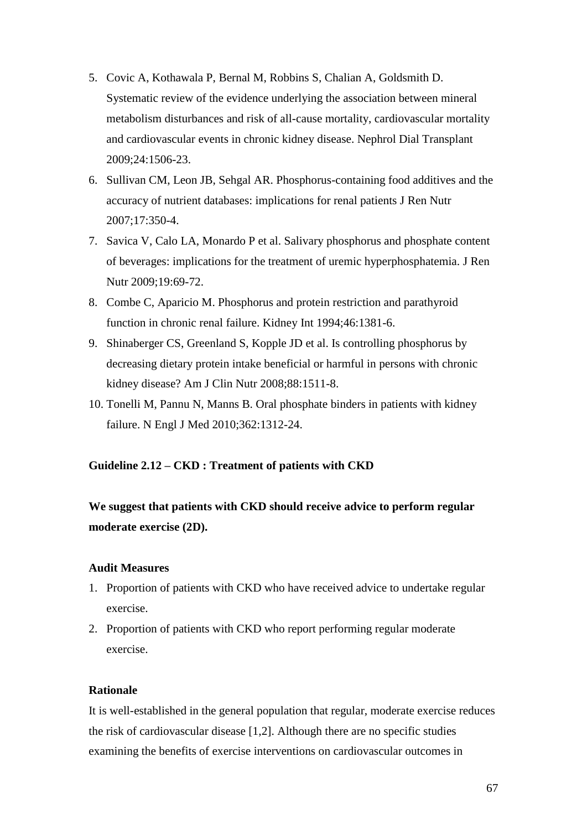- 5. Covic A, Kothawala P, Bernal M, Robbins S, Chalian A, Goldsmith D. Systematic review of the evidence underlying the association between mineral metabolism disturbances and risk of all-cause mortality, cardiovascular mortality and cardiovascular events in chronic kidney disease. Nephrol Dial Transplant 2009;24:1506-23.
- 6. Sullivan CM, Leon JB, Sehgal AR. Phosphorus-containing food additives and the accuracy of nutrient databases: implications for renal patients J Ren Nutr 2007;17:350-4.
- 7. Savica V, Calo LA, Monardo P et al. Salivary phosphorus and phosphate content of beverages: implications for the treatment of uremic hyperphosphatemia. J Ren Nutr 2009:19:69-72.
- 8. Combe C, Aparicio M. Phosphorus and protein restriction and parathyroid function in chronic renal failure. Kidney Int 1994;46:1381-6.
- 9. Shinaberger CS, Greenland S, Kopple JD et al. Is controlling phosphorus by decreasing dietary protein intake beneficial or harmful in persons with chronic kidney disease? Am J Clin Nutr 2008;88:1511-8.
- 10. Tonelli M, Pannu N, Manns B. Oral phosphate binders in patients with kidney failure. N Engl J Med 2010;362:1312-24.

# **Guideline 2.12 – CKD : Treatment of patients with CKD**

# **We suggest that patients with CKD should receive advice to perform regular moderate exercise (2D).**

# **Audit Measures**

- 1. Proportion of patients with CKD who have received advice to undertake regular exercise.
- 2. Proportion of patients with CKD who report performing regular moderate exercise.

# **Rationale**

It is well-established in the general population that regular, moderate exercise reduces the risk of cardiovascular disease [1,2]. Although there are no specific studies examining the benefits of exercise interventions on cardiovascular outcomes in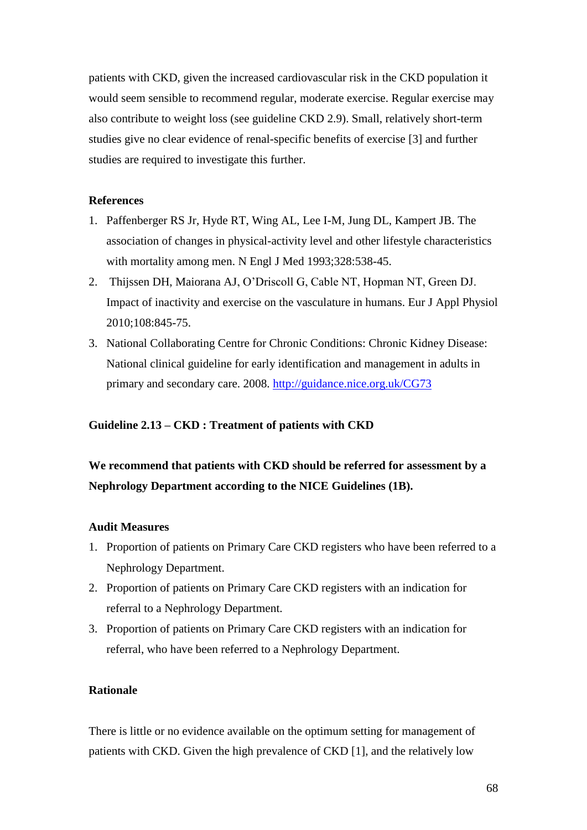patients with CKD, given the increased cardiovascular risk in the CKD population it would seem sensible to recommend regular, moderate exercise. Regular exercise may also contribute to weight loss (see guideline CKD 2.9). Small, relatively short-term studies give no clear evidence of renal-specific benefits of exercise [3] and further studies are required to investigate this further.

#### **References**

- 1. Paffenberger RS Jr, Hyde RT, Wing AL, Lee I-M, Jung DL, Kampert JB. The association of changes in physical-activity level and other lifestyle characteristics with mortality among men. N Engl J Med 1993;328:538-45.
- 2. Thijssen DH, Maiorana AJ, O"Driscoll G, Cable NT, Hopman NT, Green DJ. Impact of inactivity and exercise on the vasculature in humans. Eur J Appl Physiol 2010;108:845-75.
- 3. National Collaborating Centre for Chronic Conditions: Chronic Kidney Disease: National clinical guideline for early identification and management in adults in primary and secondary care. 2008.<http://guidance.nice.org.uk/CG73>

#### **Guideline 2.13 – CKD : Treatment of patients with CKD**

# **We recommend that patients with CKD should be referred for assessment by a Nephrology Department according to the NICE Guidelines (1B).**

#### **Audit Measures**

- 1. Proportion of patients on Primary Care CKD registers who have been referred to a Nephrology Department.
- 2. Proportion of patients on Primary Care CKD registers with an indication for referral to a Nephrology Department.
- 3. Proportion of patients on Primary Care CKD registers with an indication for referral, who have been referred to a Nephrology Department.

# **Rationale**

There is little or no evidence available on the optimum setting for management of patients with CKD. Given the high prevalence of CKD [1], and the relatively low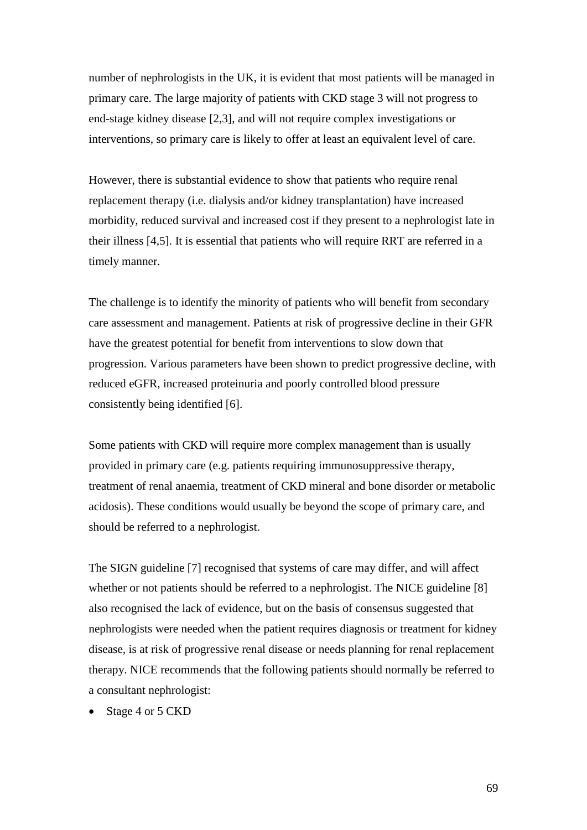number of nephrologists in the UK, it is evident that most patients will be managed in primary care. The large majority of patients with CKD stage 3 will not progress to end-stage kidney disease [2,3], and will not require complex investigations or interventions, so primary care is likely to offer at least an equivalent level of care.

However, there is substantial evidence to show that patients who require renal replacement therapy (i.e. dialysis and/or kidney transplantation) have increased morbidity, reduced survival and increased cost if they present to a nephrologist late in their illness [4,5]. It is essential that patients who will require RRT are referred in a timely manner.

The challenge is to identify the minority of patients who will benefit from secondary care assessment and management. Patients at risk of progressive decline in their GFR have the greatest potential for benefit from interventions to slow down that progression. Various parameters have been shown to predict progressive decline, with reduced eGFR, increased proteinuria and poorly controlled blood pressure consistently being identified [6].

Some patients with CKD will require more complex management than is usually provided in primary care (e.g. patients requiring immunosuppressive therapy, treatment of renal anaemia, treatment of CKD mineral and bone disorder or metabolic acidosis). These conditions would usually be beyond the scope of primary care, and should be referred to a nephrologist.

The SIGN guideline [7] recognised that systems of care may differ, and will affect whether or not patients should be referred to a nephrologist. The NICE guideline [8] also recognised the lack of evidence, but on the basis of consensus suggested that nephrologists were needed when the patient requires diagnosis or treatment for kidney disease, is at risk of progressive renal disease or needs planning for renal replacement therapy. NICE recommends that the following patients should normally be referred to a consultant nephrologist:

Stage 4 or 5 CKD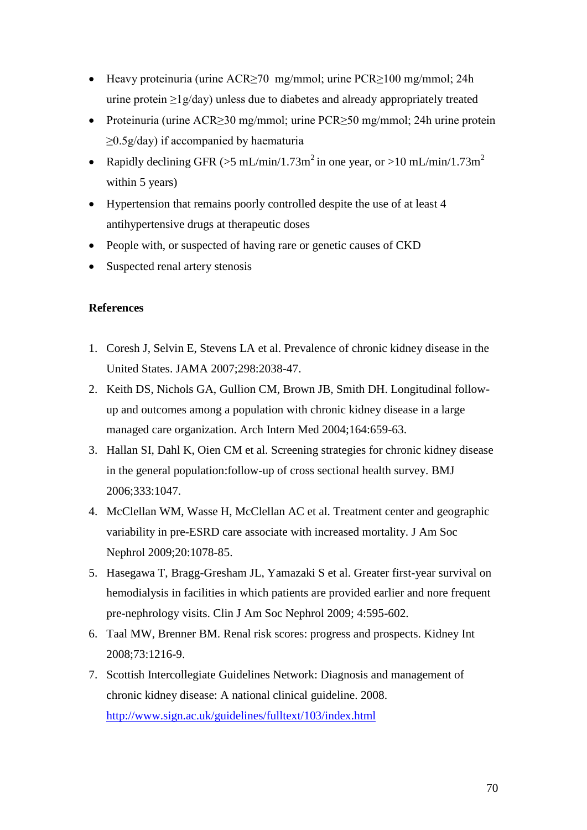- Heavy proteinuria (urine ACR≥70 mg/mmol; urine PCR≥100 mg/mmol; 24h urine protein  $\geq$ 1g/day) unless due to diabetes and already appropriately treated
- Proteinuria (urine ACR≥30 mg/mmol; urine PCR≥50 mg/mmol; 24h urine protein  $\geq$ 0.5g/day) if accompanied by haematuria
- Rapidly declining GFR ( $>5$  mL/min/1.73m<sup>2</sup> in one year, or  $>10$  mL/min/1.73m<sup>2</sup> within 5 years)
- Hypertension that remains poorly controlled despite the use of at least 4 antihypertensive drugs at therapeutic doses
- People with, or suspected of having rare or genetic causes of CKD
- Suspected renal artery stenosis

- 1. Coresh J, Selvin E, Stevens LA et al. Prevalence of chronic kidney disease in the United States. JAMA 2007;298:2038-47.
- 2. Keith DS, Nichols GA, Gullion CM, Brown JB, Smith DH. Longitudinal followup and outcomes among a population with chronic kidney disease in a large managed care organization. Arch Intern Med 2004;164:659-63.
- 3. Hallan SI, Dahl K, Oien CM et al. Screening strategies for chronic kidney disease in the general population:follow-up of cross sectional health survey. BMJ 2006;333:1047.
- 4. McClellan WM, Wasse H, McClellan AC et al. Treatment center and geographic variability in pre-ESRD care associate with increased mortality. J Am Soc Nephrol 2009;20:1078-85.
- 5. Hasegawa T, Bragg-Gresham JL, Yamazaki S et al. Greater first-year survival on hemodialysis in facilities in which patients are provided earlier and nore frequent pre-nephrology visits. Clin J Am Soc Nephrol 2009; 4:595-602.
- 6. Taal MW, Brenner BM. Renal risk scores: progress and prospects. Kidney Int 2008;73:1216-9.
- 7. Scottish Intercollegiate Guidelines Network: Diagnosis and management of chronic kidney disease: A national clinical guideline. 2008. <http://www.sign.ac.uk/guidelines/fulltext/103/index.html>